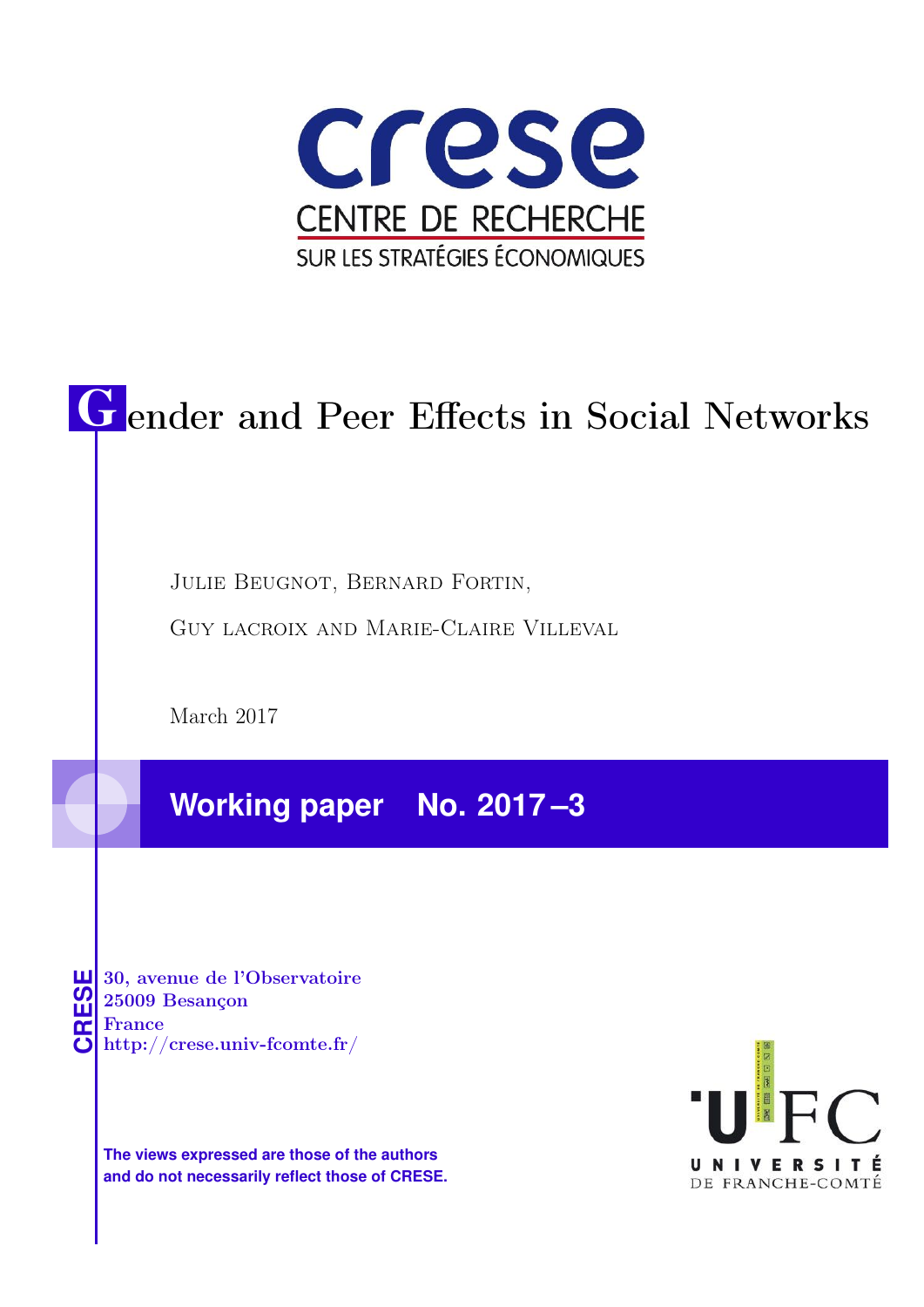

# Working paper No. 2017-3 **CRESE 30, avenue de l'Observatoire<br>
25009 Besançon<br>
France<br>
<b>CRESE de l'Observatoire**<br>
Http://crese.univ-fcomte.fr/ 25009 Besançon France Gender and Peer Effects in Social Networks Julie Beugnot, Bernard Fortin, Guy lacroix and Marie-Claire Villeval March 2017

UNIVERSITÉ DE FRANCHE-COMTÉ

**The views expressed are those of the authors and do not necessarily reflect those of CRESE.**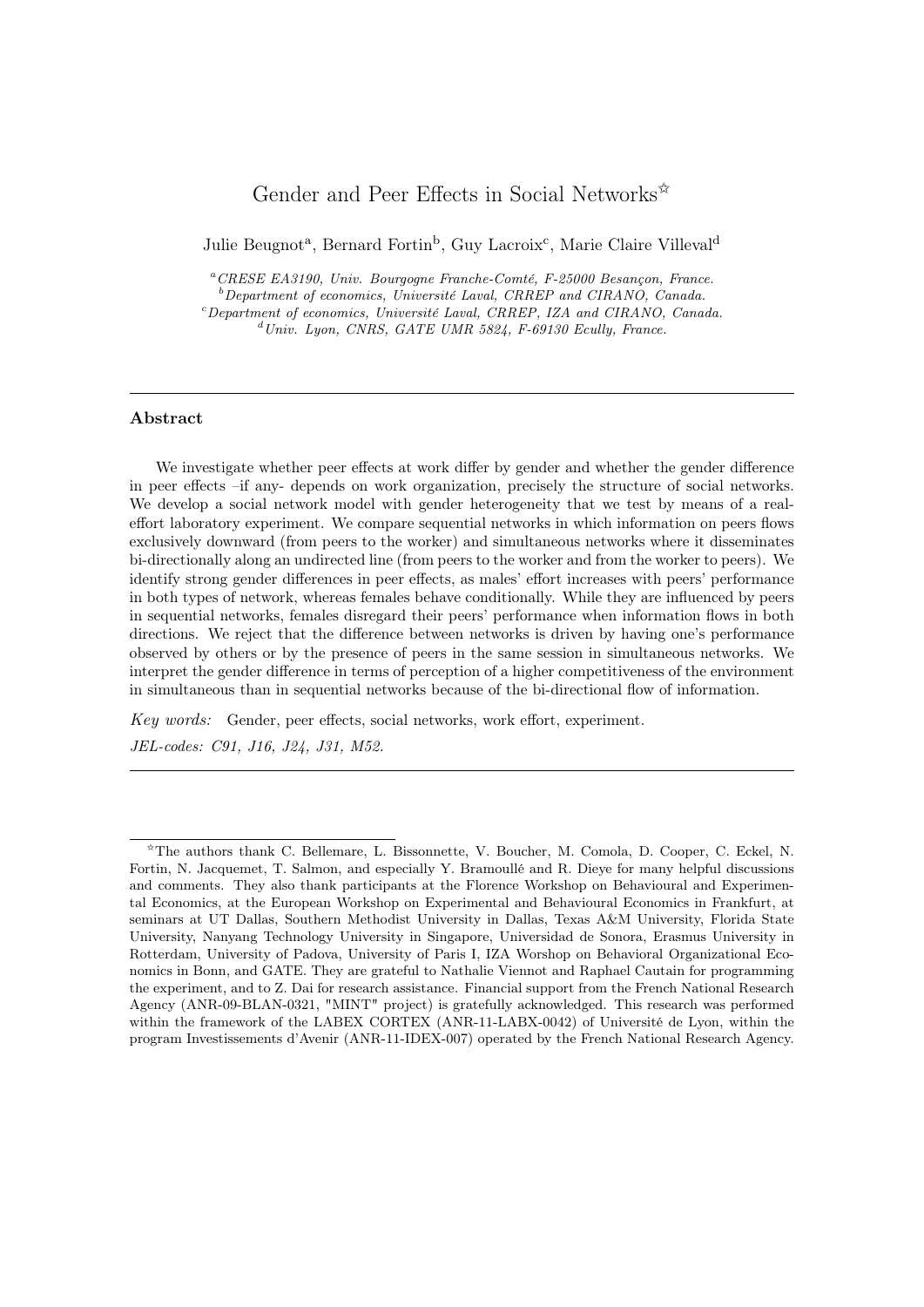# Gender and Peer Effects in Social Networks<sup> $\tilde{\mathbf{x}}$ </sup>

Julie Beugnot<sup>a</sup>, Bernard Fortin<sup>b</sup>, Guy Lacroix<sup>c</sup>, Marie Claire Villeval<sup>d</sup>

<sup>a</sup>CRESE EA3190, Univ. Bourgogne Franche-Comté, F-25000 Besançon, France.

 $b$ Department of economics, Université Laval, CRREP and CIRANO, Canada.

<sup>c</sup>Department of economics, Université Laval, CRREP, IZA and CIRANO, Canada.  $d$ Univ. Lyon, CNRS, GATE UMR 5824, F-69130 Ecully, France.

## Abstract

We investigate whether peer effects at work differ by gender and whether the gender difference in peer effects –if any- depends on work organization, precisely the structure of social networks. We develop a social network model with gender heterogeneity that we test by means of a realeffort laboratory experiment. We compare sequential networks in which information on peers flows exclusively downward (from peers to the worker) and simultaneous networks where it disseminates bi-directionally along an undirected line (from peers to the worker and from the worker to peers). We identify strong gender differences in peer effects, as males' effort increases with peers' performance in both types of network, whereas females behave conditionally. While they are influenced by peers in sequential networks, females disregard their peers' performance when information flows in both directions. We reject that the difference between networks is driven by having one's performance observed by others or by the presence of peers in the same session in simultaneous networks. We interpret the gender difference in terms of perception of a higher competitiveness of the environment in simultaneous than in sequential networks because of the bi-directional flow of information.

Key words: Gender, peer effects, social networks, work effort, experiment.

JEL-codes: C91, J16, J24, J31, M52.

<sup>✩</sup>The authors thank C. Bellemare, L. Bissonnette, V. Boucher, M. Comola, D. Cooper, C. Eckel, N. Fortin, N. Jacquemet, T. Salmon, and especially Y. Bramoullé and R. Dieye for many helpful discussions and comments. They also thank participants at the Florence Workshop on Behavioural and Experimental Economics, at the European Workshop on Experimental and Behavioural Economics in Frankfurt, at seminars at UT Dallas, Southern Methodist University in Dallas, Texas A&M University, Florida State University, Nanyang Technology University in Singapore, Universidad de Sonora, Erasmus University in Rotterdam, University of Padova, University of Paris I, IZA Worshop on Behavioral Organizational Economics in Bonn, and GATE. They are grateful to Nathalie Viennot and Raphael Cautain for programming the experiment, and to Z. Dai for research assistance. Financial support from the French National Research Agency (ANR-09-BLAN-0321, "MINT" project) is gratefully acknowledged. This research was performed within the framework of the LABEX CORTEX (ANR-11-LABX-0042) of Université de Lyon, within the program Investissements d'Avenir (ANR-11-IDEX-007) operated by the French National Research Agency.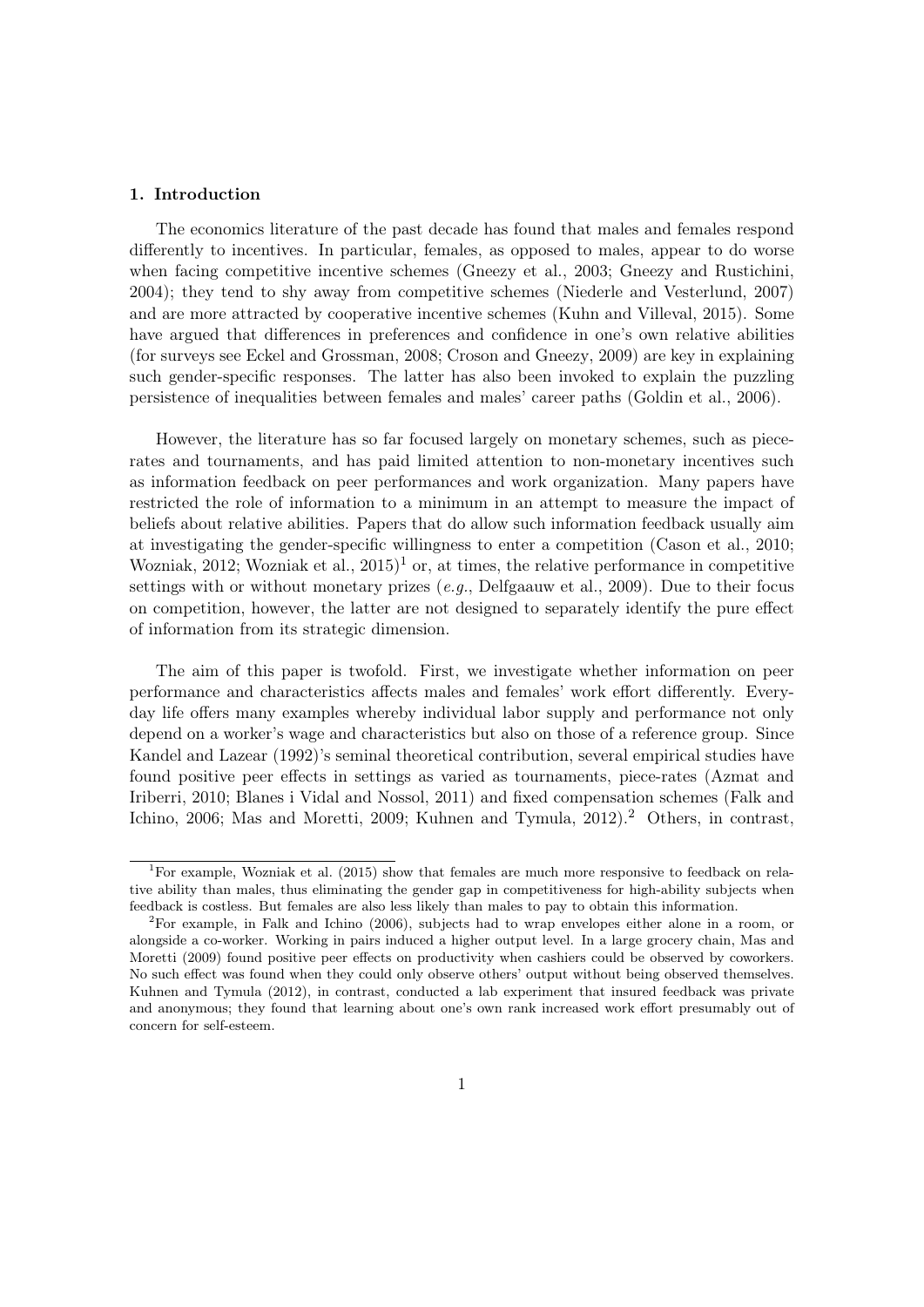## 1. Introduction

The economics literature of the past decade has found that males and females respond differently to incentives. In particular, females, as opposed to males, appear to do worse when facing competitive incentive schemes (Gneezy et al., 2003; Gneezy and Rustichini, 2004); they tend to shy away from competitive schemes (Niederle and Vesterlund, 2007) and are more attracted by cooperative incentive schemes (Kuhn and Villeval, 2015). Some have argued that differences in preferences and confidence in one's own relative abilities (for surveys see Eckel and Grossman, 2008; Croson and Gneezy, 2009) are key in explaining such gender-specific responses. The latter has also been invoked to explain the puzzling persistence of inequalities between females and males' career paths (Goldin et al., 2006).

However, the literature has so far focused largely on monetary schemes, such as piecerates and tournaments, and has paid limited attention to non-monetary incentives such as information feedback on peer performances and work organization. Many papers have restricted the role of information to a minimum in an attempt to measure the impact of beliefs about relative abilities. Papers that do allow such information feedback usually aim at investigating the gender-specific willingness to enter a competition (Cason et al., 2010; Wozniak, 2012; Wozniak et al.,  $2015$ <sup>1</sup> or, at times, the relative performance in competitive settings with or without monetary prizes  $(e.g.,$  Delfgaauw et al., 2009). Due to their focus on competition, however, the latter are not designed to separately identify the pure effect of information from its strategic dimension.

The aim of this paper is twofold. First, we investigate whether information on peer performance and characteristics affects males and females' work effort differently. Everyday life offers many examples whereby individual labor supply and performance not only depend on a worker's wage and characteristics but also on those of a reference group. Since Kandel and Lazear (1992)'s seminal theoretical contribution, several empirical studies have found positive peer effects in settings as varied as tournaments, piece-rates (Azmat and Iriberri, 2010; Blanes i Vidal and Nossol, 2011) and fixed compensation schemes (Falk and Ichino, 2006; Mas and Moretti, 2009; Kuhnen and Tymula, 2012).<sup>2</sup> Others, in contrast,

<sup>&</sup>lt;sup>1</sup>For example, Wozniak et al.  $(2015)$  show that females are much more responsive to feedback on relative ability than males, thus eliminating the gender gap in competitiveness for high-ability subjects when feedback is costless. But females are also less likely than males to pay to obtain this information.

<sup>2</sup>For example, in Falk and Ichino (2006), subjects had to wrap envelopes either alone in a room, or alongside a co-worker. Working in pairs induced a higher output level. In a large grocery chain, Mas and Moretti (2009) found positive peer effects on productivity when cashiers could be observed by coworkers. No such effect was found when they could only observe others' output without being observed themselves. Kuhnen and Tymula (2012), in contrast, conducted a lab experiment that insured feedback was private and anonymous; they found that learning about one's own rank increased work effort presumably out of concern for self-esteem.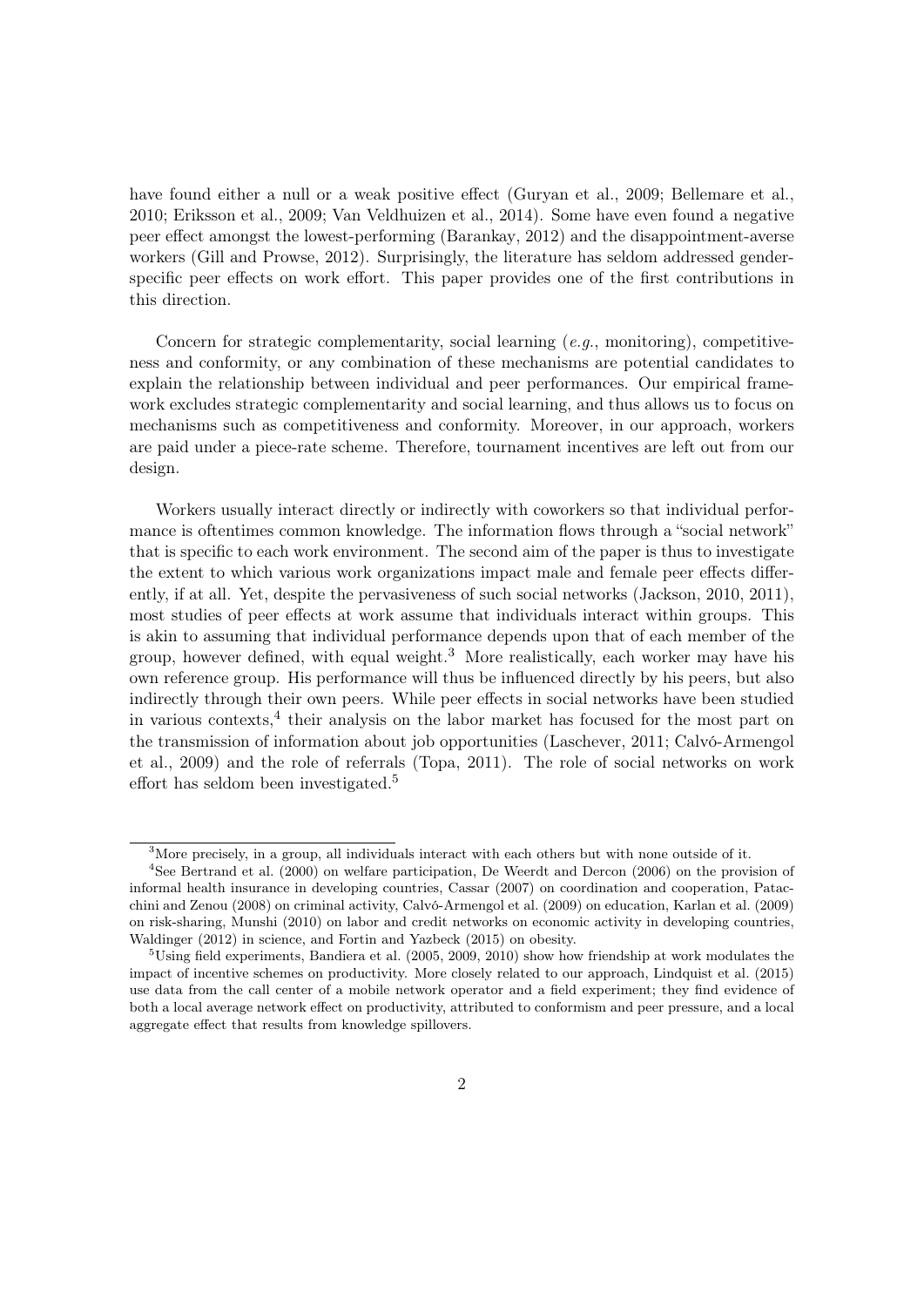have found either a null or a weak positive effect (Guryan et al., 2009; Bellemare et al., 2010; Eriksson et al., 2009; Van Veldhuizen et al., 2014). Some have even found a negative peer effect amongst the lowest-performing (Barankay, 2012) and the disappointment-averse workers (Gill and Prowse, 2012). Surprisingly, the literature has seldom addressed genderspecific peer effects on work effort. This paper provides one of the first contributions in this direction.

Concern for strategic complementarity, social learning  $(e.q., \text{ monitoring})$ , competitiveness and conformity, or any combination of these mechanisms are potential candidates to explain the relationship between individual and peer performances. Our empirical framework excludes strategic complementarity and social learning, and thus allows us to focus on mechanisms such as competitiveness and conformity. Moreover, in our approach, workers are paid under a piece-rate scheme. Therefore, tournament incentives are left out from our design.

Workers usually interact directly or indirectly with coworkers so that individual performance is oftentimes common knowledge. The information flows through a "social network" that is specific to each work environment. The second aim of the paper is thus to investigate the extent to which various work organizations impact male and female peer effects differently, if at all. Yet, despite the pervasiveness of such social networks (Jackson, 2010, 2011), most studies of peer effects at work assume that individuals interact within groups. This is akin to assuming that individual performance depends upon that of each member of the group, however defined, with equal weight.<sup>3</sup> More realistically, each worker may have his own reference group. His performance will thus be influenced directly by his peers, but also indirectly through their own peers. While peer effects in social networks have been studied in various contexts,<sup>4</sup> their analysis on the labor market has focused for the most part on the transmission of information about job opportunities (Laschever, 2011; Calvó-Armengol et al., 2009) and the role of referrals (Topa, 2011). The role of social networks on work effort has seldom been investigated.<sup>5</sup>

<sup>&</sup>lt;sup>3</sup>More precisely, in a group, all individuals interact with each others but with none outside of it.

<sup>4</sup>See Bertrand et al. (2000) on welfare participation, De Weerdt and Dercon (2006) on the provision of informal health insurance in developing countries, Cassar (2007) on coordination and cooperation, Patacchini and Zenou (2008) on criminal activity, Calvó-Armengol et al. (2009) on education, Karlan et al. (2009) on risk-sharing, Munshi (2010) on labor and credit networks on economic activity in developing countries, Waldinger (2012) in science, and Fortin and Yazbeck (2015) on obesity.

 $5$ Using field experiments, Bandiera et al. (2005, 2009, 2010) show how friendship at work modulates the impact of incentive schemes on productivity. More closely related to our approach, Lindquist et al. (2015) use data from the call center of a mobile network operator and a field experiment; they find evidence of both a local average network effect on productivity, attributed to conformism and peer pressure, and a local aggregate effect that results from knowledge spillovers.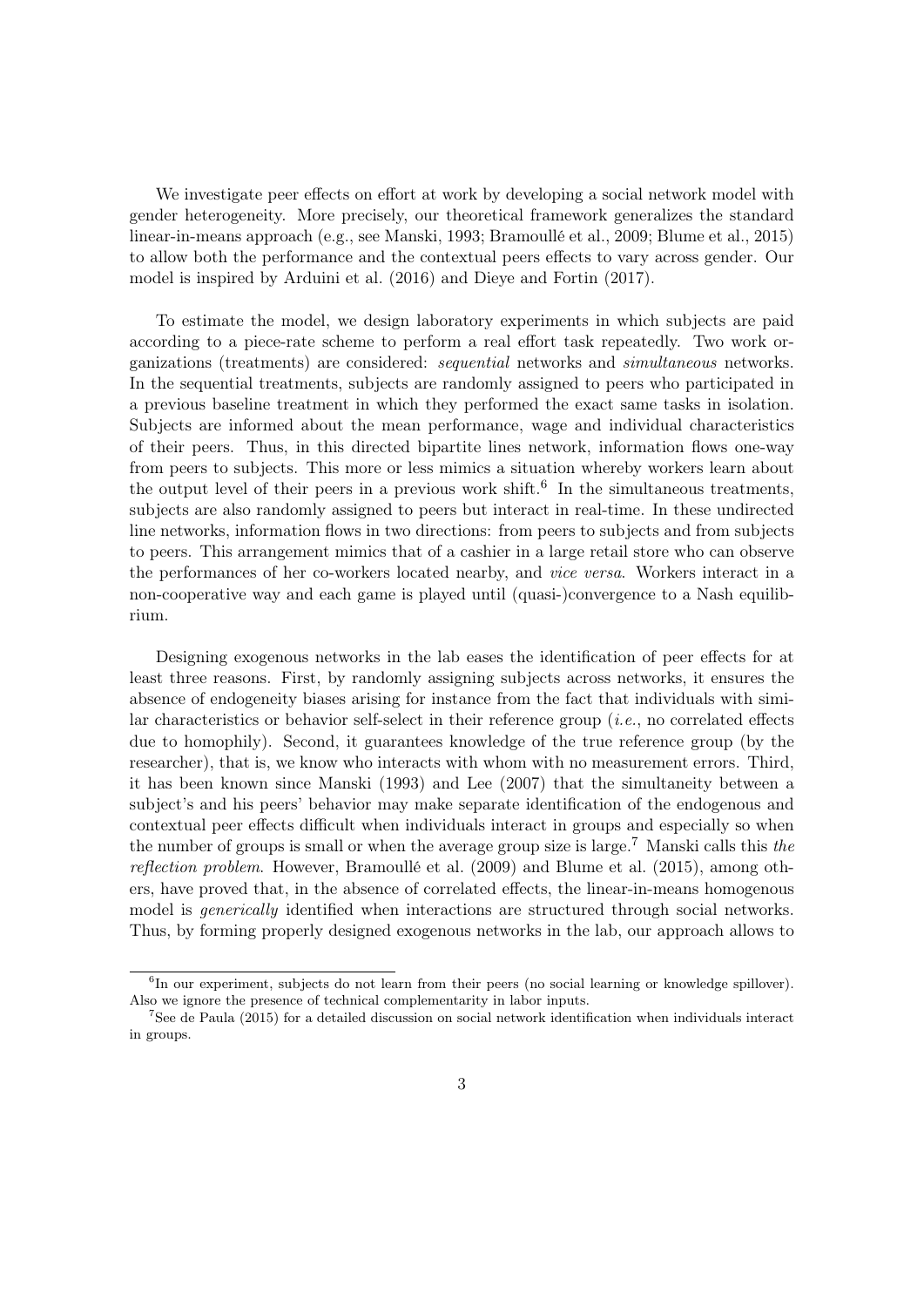We investigate peer effects on effort at work by developing a social network model with gender heterogeneity. More precisely, our theoretical framework generalizes the standard linear-in-means approach (e.g., see Manski, 1993; Bramoullé et al., 2009; Blume et al., 2015) to allow both the performance and the contextual peers effects to vary across gender. Our model is inspired by Arduini et al. (2016) and Dieye and Fortin (2017).

To estimate the model, we design laboratory experiments in which subjects are paid according to a piece-rate scheme to perform a real effort task repeatedly. Two work organizations (treatments) are considered: sequential networks and simultaneous networks. In the sequential treatments, subjects are randomly assigned to peers who participated in a previous baseline treatment in which they performed the exact same tasks in isolation. Subjects are informed about the mean performance, wage and individual characteristics of their peers. Thus, in this directed bipartite lines network, information flows one-way from peers to subjects. This more or less mimics a situation whereby workers learn about the output level of their peers in a previous work shift.<sup>6</sup> In the simultaneous treatments, subjects are also randomly assigned to peers but interact in real-time. In these undirected line networks, information flows in two directions: from peers to subjects and from subjects to peers. This arrangement mimics that of a cashier in a large retail store who can observe the performances of her co-workers located nearby, and vice versa. Workers interact in a non-cooperative way and each game is played until (quasi-)convergence to a Nash equilibrium.

Designing exogenous networks in the lab eases the identification of peer effects for at least three reasons. First, by randomly assigning subjects across networks, it ensures the absence of endogeneity biases arising for instance from the fact that individuals with similar characteristics or behavior self-select in their reference group  $(i.e.,$  no correlated effects due to homophily). Second, it guarantees knowledge of the true reference group (by the researcher), that is, we know who interacts with whom with no measurement errors. Third, it has been known since Manski (1993) and Lee (2007) that the simultaneity between a subject's and his peers' behavior may make separate identification of the endogenous and contextual peer effects difficult when individuals interact in groups and especially so when the number of groups is small or when the average group size is large.<sup>7</sup> Manski calls this the reflection problem. However, Bramoullé et al. (2009) and Blume et al. (2015), among others, have proved that, in the absence of correlated effects, the linear-in-means homogenous model is *generically* identified when interactions are structured through social networks. Thus, by forming properly designed exogenous networks in the lab, our approach allows to

<sup>&</sup>lt;sup>6</sup>In our experiment, subjects do not learn from their peers (no social learning or knowledge spillover). Also we ignore the presence of technical complementarity in labor inputs.

<sup>7</sup>See de Paula (2015) for a detailed discussion on social network identification when individuals interact in groups.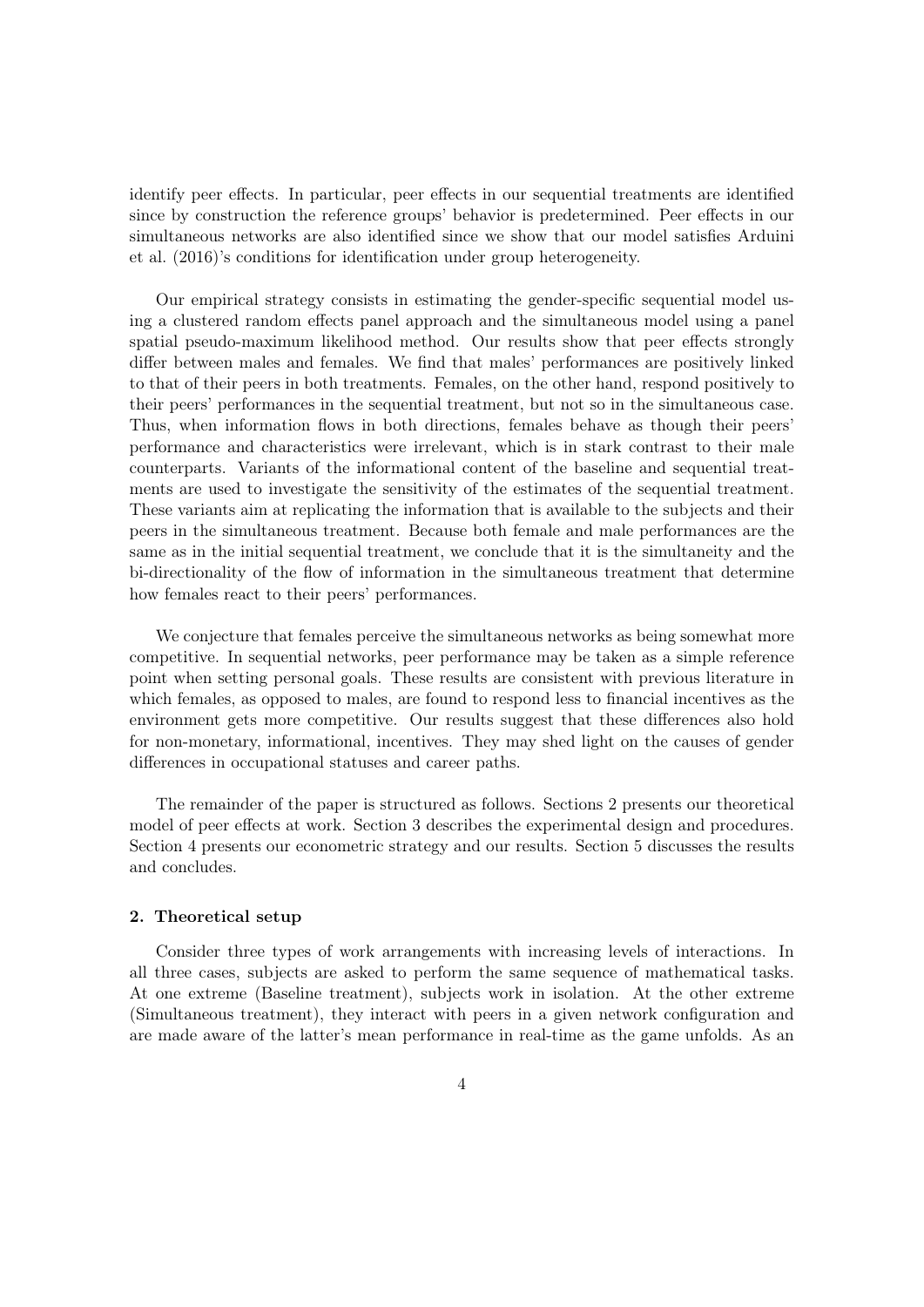identify peer effects. In particular, peer effects in our sequential treatments are identified since by construction the reference groups' behavior is predetermined. Peer effects in our simultaneous networks are also identified since we show that our model satisfies Arduini et al. (2016)'s conditions for identification under group heterogeneity.

Our empirical strategy consists in estimating the gender-specific sequential model using a clustered random effects panel approach and the simultaneous model using a panel spatial pseudo-maximum likelihood method. Our results show that peer effects strongly differ between males and females. We find that males' performances are positively linked to that of their peers in both treatments. Females, on the other hand, respond positively to their peers' performances in the sequential treatment, but not so in the simultaneous case. Thus, when information flows in both directions, females behave as though their peers' performance and characteristics were irrelevant, which is in stark contrast to their male counterparts. Variants of the informational content of the baseline and sequential treatments are used to investigate the sensitivity of the estimates of the sequential treatment. These variants aim at replicating the information that is available to the subjects and their peers in the simultaneous treatment. Because both female and male performances are the same as in the initial sequential treatment, we conclude that it is the simultaneity and the bi-directionality of the flow of information in the simultaneous treatment that determine how females react to their peers' performances.

We conjecture that females perceive the simultaneous networks as being somewhat more competitive. In sequential networks, peer performance may be taken as a simple reference point when setting personal goals. These results are consistent with previous literature in which females, as opposed to males, are found to respond less to financial incentives as the environment gets more competitive. Our results suggest that these differences also hold for non-monetary, informational, incentives. They may shed light on the causes of gender differences in occupational statuses and career paths.

The remainder of the paper is structured as follows. Sections 2 presents our theoretical model of peer effects at work. Section 3 describes the experimental design and procedures. Section 4 presents our econometric strategy and our results. Section 5 discusses the results and concludes.

## 2. Theoretical setup

Consider three types of work arrangements with increasing levels of interactions. In all three cases, subjects are asked to perform the same sequence of mathematical tasks. At one extreme (Baseline treatment), subjects work in isolation. At the other extreme (Simultaneous treatment), they interact with peers in a given network configuration and are made aware of the latter's mean performance in real-time as the game unfolds. As an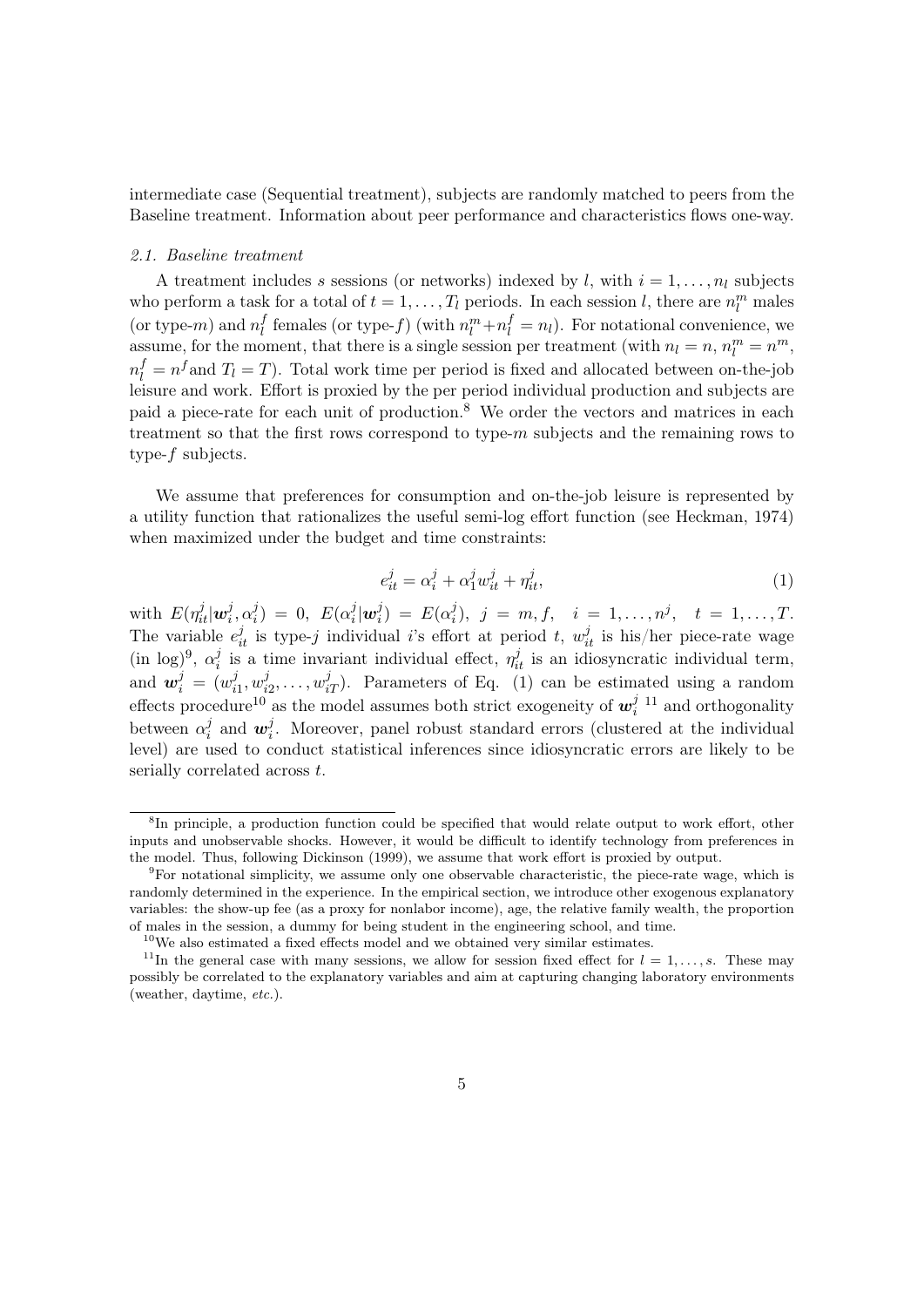intermediate case (Sequential treatment), subjects are randomly matched to peers from the Baseline treatment. Information about peer performance and characteristics flows one-way.

## 2.1. Baseline treatment

A treatment includes s sessions (or networks) indexed by l, with  $i = 1, \ldots, n_l$  subjects who perform a task for a total of  $t = 1, ..., T_l$  periods. In each session l, there are  $n_l^m$  males (or type-*m*) and  $n_l^f$  $\int_l^f$  females (or type-f) (with  $n_l^m + n_l^f = n_l$ ). For notational convenience, we assume, for the moment, that there is a single session per treatment (with  $n_l = n$ ,  $n_l^m = n^m$ ,  $n_l^f = n^f$  and  $T_l = T$ ). Total work time per period is fixed and allocated between on-the-job leisure and work. Effort is proxied by the per period individual production and subjects are paid a piece-rate for each unit of production.<sup>8</sup> We order the vectors and matrices in each treatment so that the first rows correspond to type- $m$  subjects and the remaining rows to type-f subjects.

We assume that preferences for consumption and on-the-job leisure is represented by a utility function that rationalizes the useful semi-log effort function (see Heckman, 1974) when maximized under the budget and time constraints:

$$
e_{it}^j = \alpha_i^j + \alpha_1^j w_{it}^j + \eta_{it}^j,\tag{1}
$$

with  $E(\eta_{it}^j | \boldsymbol{w}_i^j)$  $i^j,\alpha_i^j$  $\binom{j}{i} = 0, \ E(\alpha_i^j)$  $_{i}^{j}|\boldsymbol{w}_{i}^{j}$  $i^j$ ) =  $E(\alpha_i^j)$  $\hat{i}$ ,  $j = m, f, \quad i = 1, \ldots, n^j, \quad t = 1, \ldots, T.$ The variable  $e_{it}^j$  is type-j individual i's effort at period t,  $w_{it}^j$  is his/her piece-rate wage  $(\text{in } \log)^9$ ,  $\alpha_i^j$  $i$  is a time invariant individual effect,  $\eta_{it}^{j}$  is an idiosyncratic individual term, and  $\boldsymbol{w}_i^j = (w_i^j)$  $_{i1}^{j},w_{i}^{j}$  $i_2, \ldots, u_{iT}^j$ ). Parameters of Eq. (1) can be estimated using a random effects procedure<sup>10</sup> as the model assumes both strict exogeneity of  $w_i^j$  $i^{j}$ <sup>11</sup> and orthogonality between  $\alpha_i^j$  $i$  and  $w_i^j$  $i<sub>i</sub>$ . Moreover, panel robust standard errors (clustered at the individual level) are used to conduct statistical inferences since idiosyncratic errors are likely to be serially correlated across  $t$ .

<sup>8</sup> In principle, a production function could be specified that would relate output to work effort, other inputs and unobservable shocks. However, it would be difficult to identify technology from preferences in the model. Thus, following Dickinson (1999), we assume that work effort is proxied by output.

<sup>9</sup>For notational simplicity, we assume only one observable characteristic, the piece-rate wage, which is randomly determined in the experience. In the empirical section, we introduce other exogenous explanatory variables: the show-up fee (as a proxy for nonlabor income), age, the relative family wealth, the proportion of males in the session, a dummy for being student in the engineering school, and time.

 $^{10}\mathrm{We}$  also estimated a fixed effects model and we obtained very similar estimates.

<sup>&</sup>lt;sup>11</sup>In the general case with many sessions, we allow for session fixed effect for  $l = 1, \ldots, s$ . These may possibly be correlated to the explanatory variables and aim at capturing changing laboratory environments (weather, daytime, etc.).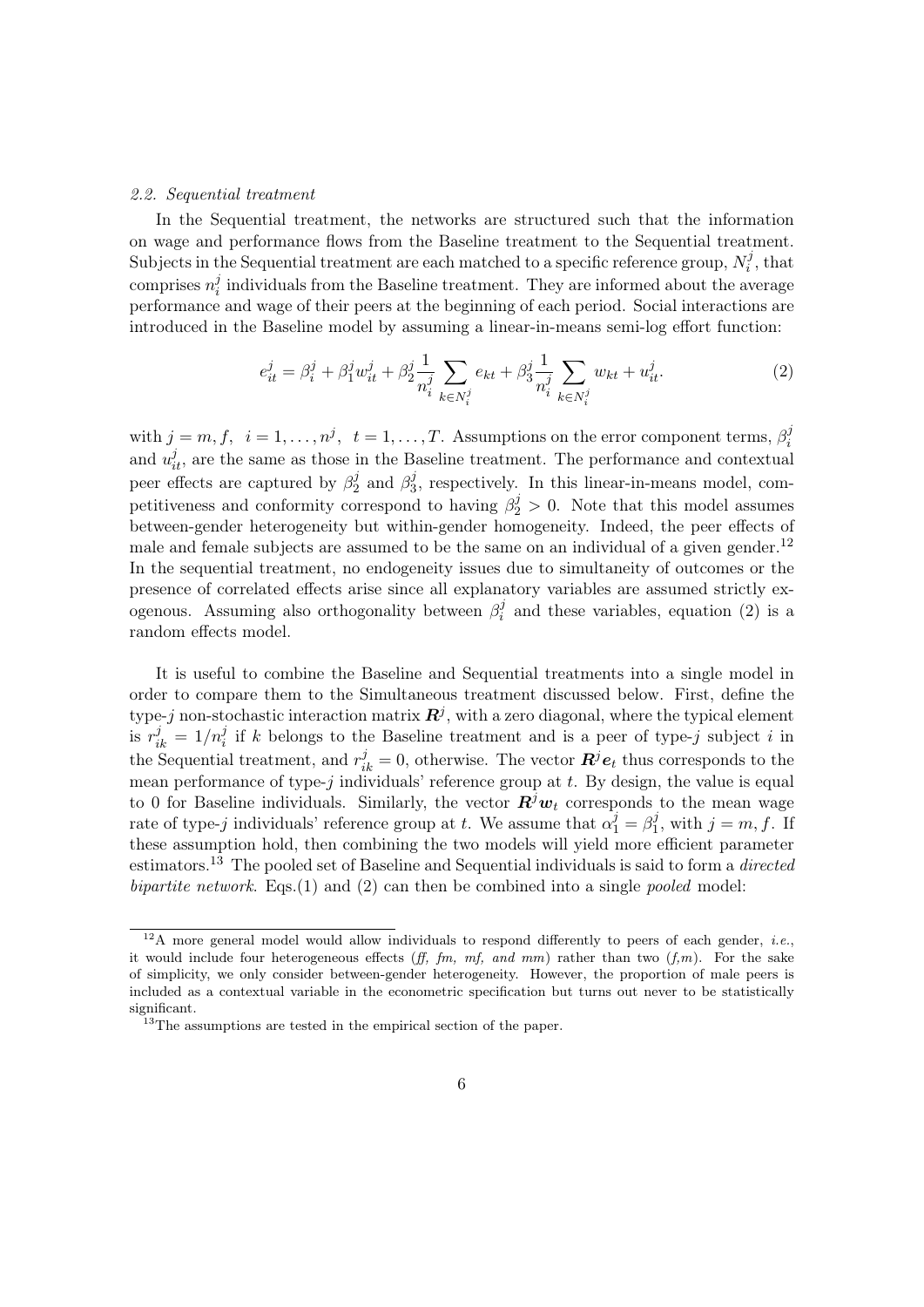#### 2.2. Sequential treatment

In the Sequential treatment, the networks are structured such that the information on wage and performance flows from the Baseline treatment to the Sequential treatment. Subjects in the Sequential treatment are each matched to a specific reference group,  $N_i^j$  $i^j$ , that comprises  $n_i^j$  $i<sub>i</sub>$  individuals from the Baseline treatment. They are informed about the average performance and wage of their peers at the beginning of each period. Social interactions are introduced in the Baseline model by assuming a linear-in-means semi-log effort function:

$$
e_{it}^{j} = \beta_{i}^{j} + \beta_{1}^{j} w_{it}^{j} + \beta_{2}^{j} \frac{1}{n_{i}^{j}} \sum_{k \in N_{i}^{j}} e_{kt} + \beta_{3}^{j} \frac{1}{n_{i}^{j}} \sum_{k \in N_{i}^{j}} w_{kt} + u_{it}^{j}.
$$
 (2)

with  $j = m, f, i = 1, ..., n^j, t = 1, ..., T$ . Assumptions on the error component terms,  $\beta_i^j$ i and  $u_{it}^j$ , are the same as those in the Baseline treatment. The performance and contextual peer effects are captured by  $\beta_2^j$  $\beta_2^j$  and  $\beta_3^j$  $3<sub>3</sub>$ , respectively. In this linear-in-means model, competitiveness and conformity correspond to having  $\beta_2^j > 0$ . Note that this model assumes between-gender heterogeneity but within-gender homogeneity. Indeed, the peer effects of male and female subjects are assumed to be the same on an individual of a given gender.<sup>12</sup> In the sequential treatment, no endogeneity issues due to simultaneity of outcomes or the presence of correlated effects arise since all explanatory variables are assumed strictly exogenous. Assuming also orthogonality between  $\beta_i^j$  $i$  and these variables, equation (2) is a random effects model.

It is useful to combine the Baseline and Sequential treatments into a single model in order to compare them to the Simultaneous treatment discussed below. First, define the type- $j$  non-stochastic interaction matrix  $\boldsymbol{R}^j$ , with a zero diagonal, where the typical element is  $r_{ik}^j = 1/n_i^j$  if k belongs to the Baseline treatment and is a peer of type-j subject i in the Sequential treatment, and  $r_{ik}^j = 0$ , otherwise. The vector  $\mathbf{R}^j e_t$  thus corresponds to the mean performance of type- $j$  individuals' reference group at  $t$ . By design, the value is equal to 0 for Baseline individuals. Similarly, the vector  $\mathbf{R}^j\mathbf{w}_t$  corresponds to the mean wage rate of type-*j* individuals' reference group at t. We assume that  $\alpha_1^j = \beta_1^j$  $j_1^j$ , with  $j = m, f$ . If these assumption hold, then combining the two models will yield more efficient parameter estimators.<sup>13</sup> The pooled set of Baseline and Sequential individuals is said to form a *directed* bipartite network. Eqs.(1) and (2) can then be combined into a single pooled model:

 $12A$  more general model would allow individuals to respond differently to peers of each gender, *i.e.*, it would include four heterogeneous effects (ff, fm, mf, and mm) rather than two  $(f, m)$ . For the sake of simplicity, we only consider between-gender heterogeneity. However, the proportion of male peers is included as a contextual variable in the econometric specification but turns out never to be statistically significant.

 $13$ The assumptions are tested in the empirical section of the paper.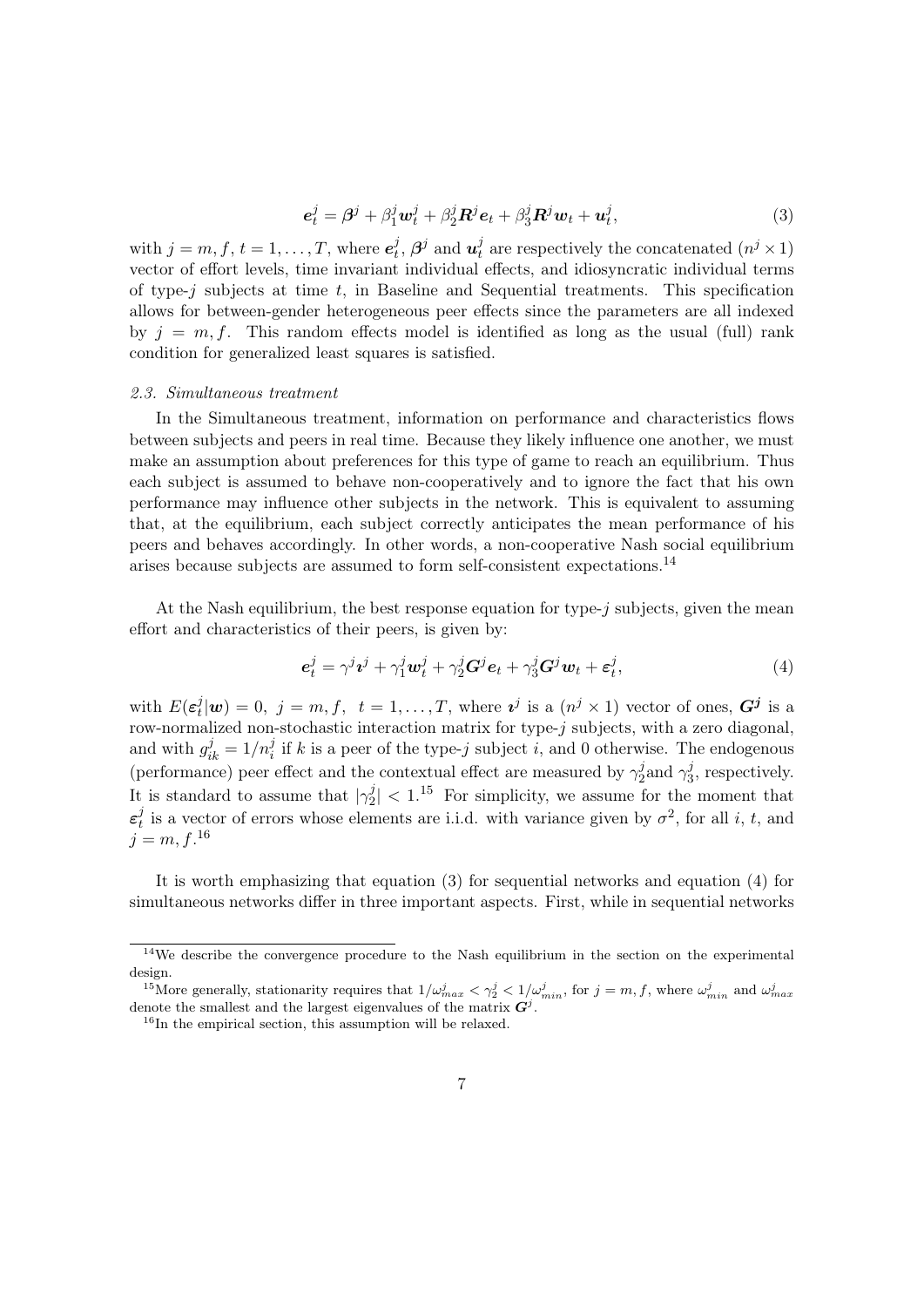$$
\mathbf{e}_t^j = \boldsymbol{\beta}^j + \beta_1^j \mathbf{w}_t^j + \beta_2^j \mathbf{R}^j \mathbf{e}_t + \beta_3^j \mathbf{R}^j \mathbf{w}_t + \mathbf{u}_t^j, \tag{3}
$$

with  $j = m, f, t = 1, \ldots, T$ , where  $e_t^j$  $_t^j,\,\boldsymbol{\beta}^j$  and  $\boldsymbol{u}_t^j$  $t_i$  are respectively the concatenated  $(n^j \times 1)$ vector of effort levels, time invariant individual effects, and idiosyncratic individual terms of type-j subjects at time  $t$ , in Baseline and Sequential treatments. This specification allows for between-gender heterogeneous peer effects since the parameters are all indexed by  $i = m, f$ . This random effects model is identified as long as the usual (full) rank condition for generalized least squares is satisfied.

## 2.3. Simultaneous treatment

In the Simultaneous treatment, information on performance and characteristics flows between subjects and peers in real time. Because they likely influence one another, we must make an assumption about preferences for this type of game to reach an equilibrium. Thus each subject is assumed to behave non-cooperatively and to ignore the fact that his own performance may influence other subjects in the network. This is equivalent to assuming that, at the equilibrium, each subject correctly anticipates the mean performance of his peers and behaves accordingly. In other words, a non-cooperative Nash social equilibrium arises because subjects are assumed to form self-consistent expectations.<sup>14</sup>

At the Nash equilibrium, the best response equation for type- $j$  subjects, given the mean effort and characteristics of their peers, is given by:

$$
\mathbf{e}_t^j = \gamma^j \mathbf{v}^j + \gamma_1^j \mathbf{w}_t^j + \gamma_2^j \mathbf{G}^j \mathbf{e}_t + \gamma_3^j \mathbf{G}^j \mathbf{w}_t + \boldsymbol{\varepsilon}_t^j,\tag{4}
$$

with  $E(\varepsilon_t^j)$  $t_i^j(w) = 0, \ j = m, f, \ t = 1, \ldots, T$ , where  $i^j$  is a  $(n^j \times 1)$  vector of ones,  $G^j$  is a row-normalized non-stochastic interaction matrix for type-j subjects, with a zero diagonal, and with  $g_{ik}^j = 1/n_i^j$  if k is a peer of the type-j subject i, and 0 otherwise. The endogenous (performance) peer effect and the contextual effect are measured by  $\gamma_2^j$  $i_2^j$ and  $\gamma_3^j$  $\mathcal{L}_3^J$ , respectively. It is standard to assume that  $|\gamma_2^j$  $\frac{1}{2}$  < 1.<sup>15</sup> For simplicity, we assume for the moment that  $\varepsilon^j_t$  $t_i$  is a vector of errors whose elements are i.i.d. with variance given by  $\sigma^2$ , for all i, t, and  $j = m, f.$ <sup>16</sup>

It is worth emphasizing that equation (3) for sequential networks and equation (4) for simultaneous networks differ in three important aspects. First, while in sequential networks

<sup>&</sup>lt;sup>14</sup>We describe the convergence procedure to the Nash equilibrium in the section on the experimental design.

<sup>&</sup>lt;sup>15</sup>More generally, stationarity requires that  $1/\omega_{max}^j < \gamma_2^j < 1/\omega_{min}^j$ , for  $j = m, f$ , where  $\omega_{min}^j$  and  $\omega_{max}^j$ denote the smallest and the largest eigenvalues of the matrix  $G<sup>j</sup>$ .

 $16$ In the empirical section, this assumption will be relaxed.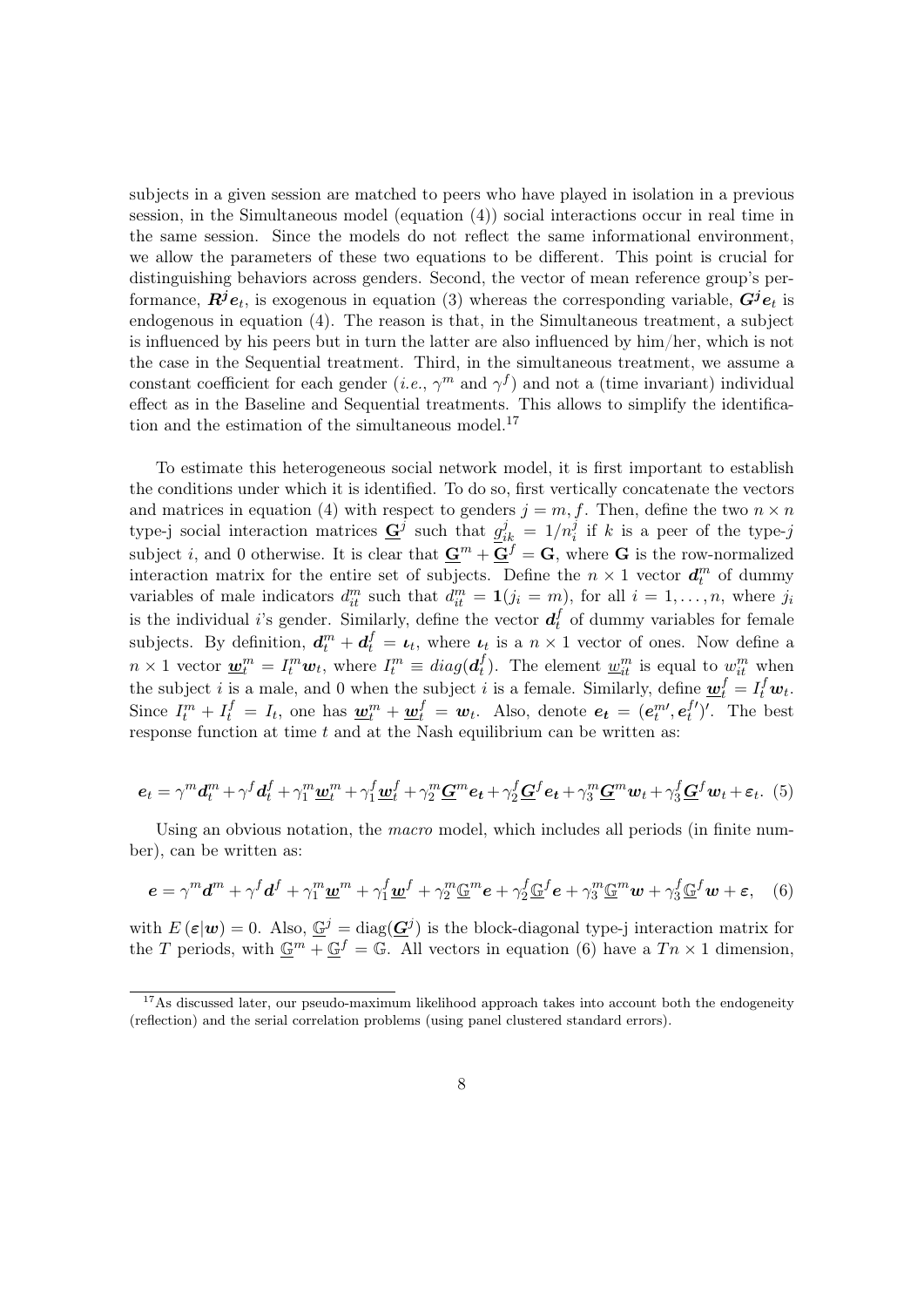subjects in a given session are matched to peers who have played in isolation in a previous session, in the Simultaneous model (equation (4)) social interactions occur in real time in the same session. Since the models do not reflect the same informational environment, we allow the parameters of these two equations to be different. This point is crucial for distinguishing behaviors across genders. Second, the vector of mean reference group's performance,  $\mathbf{R}^j e_t$ , is exogenous in equation (3) whereas the corresponding variable,  $\mathbf{G}^j e_t$  is endogenous in equation (4). The reason is that, in the Simultaneous treatment, a subject is influenced by his peers but in turn the latter are also influenced by him/her, which is not the case in the Sequential treatment. Third, in the simultaneous treatment, we assume a constant coefficient for each gender  $(i.e., \gamma^m$  and  $\gamma^f$ ) and not a (time invariant) individual effect as in the Baseline and Sequential treatments. This allows to simplify the identification and the estimation of the simultaneous model. $^{17}$ 

To estimate this heterogeneous social network model, it is first important to establish the conditions under which it is identified. To do so, first vertically concatenate the vectors and matrices in equation (4) with respect to genders  $j = m, f$ . Then, define the two  $n \times n$ type-j social interaction matrices  $\underline{G}^j$  such that  $\underline{g}^j_{ik} = 1/n_i^j$  if k is a peer of the type-j subject i, and 0 otherwise. It is clear that  $\underline{\mathbf{G}}^m + \underline{\mathbf{G}}^f = \mathbf{G}$ , where  $\mathbf{G}$  is the row-normalized interaction matrix for the entire set of subjects. Define the  $n \times 1$  vector  $d_t^m$  of dummy variables of male indicators  $d_{it}^{m}$  such that  $d_{it}^{m} = \mathbf{1}(j_i = m)$ , for all  $i = 1, ..., n$ , where  $j_i$ is the individual *i*'s gender. Similarly, define the vector  $d_t^f$  $t_t^j$  of dummy variables for female subjects. By definition,  $d_t^m + d_t^f = \iota_t$ , where  $\iota_t$  is a  $n \times 1$  vector of ones. Now define a  $n \times 1$  vector  $\underline{\boldsymbol{w}}_t^m = I_t^m \boldsymbol{w}_t$ , where  $I_t^m \equiv diag(\boldsymbol{d}_t^f)$  $w_t^f$ ). The element  $w_{it}^m$  is equal to  $w_{it}^m$  when the subject *i* is a male, and 0 when the subject *i* is a female. Similarly, define  $\underline{\boldsymbol{w}}_t^f = I_t^f \boldsymbol{w}_t$ . Since  $I_t^m + I_t^f = I_t$ , one has  $\underline{\mathbf{w}}_t^m + \underline{\mathbf{w}}_t^f = \mathbf{w}_t$ . Also, denote  $\mathbf{e}_t = (e_t^{m\prime}, e_t^{f\prime})'$ . The best response function at time  $t$  and at the Nash equilibrium can be written as:

$$
\boldsymbol{e}_t = \gamma^m \boldsymbol{d}_t^m + \gamma^f \boldsymbol{d}_t^f + \gamma_1^m \underline{\boldsymbol{w}}_t^m + \gamma_1^f \underline{\boldsymbol{w}}_t^f + \gamma_2^m \underline{\boldsymbol{G}}^m \boldsymbol{e}_t + \gamma_2^f \underline{\boldsymbol{G}}^f \boldsymbol{e}_t + \gamma_3^m \underline{\boldsymbol{G}}^m \boldsymbol{w}_t + \gamma_3^f \underline{\boldsymbol{G}}^f \boldsymbol{w}_t + \boldsymbol{\varepsilon}_t. \tag{5}
$$

Using an obvious notation, the *macro* model, which includes all periods (in finite number), can be written as:

$$
\mathbf{e} = \gamma^m \mathbf{d}^m + \gamma^f \mathbf{d}^f + \gamma_1^m \underline{\mathbf{w}}^m + \gamma_1^f \underline{\mathbf{w}}^f + \gamma_2^m \underline{\mathbb{G}}^m \mathbf{e} + \gamma_2^f \underline{\mathbb{G}}^f \mathbf{e} + \gamma_3^m \underline{\mathbb{G}}^m \mathbf{w} + \gamma_3^f \underline{\mathbb{G}}^f \mathbf{w} + \varepsilon, \quad (6)
$$

with  $E(\epsilon|\boldsymbol{w})=0$ . Also,  $\mathbb{G}^j = \text{diag}(\mathbf{G}^j)$  is the block-diagonal type-j interaction matrix for the T periods, with  $\underline{\mathbb{G}}^m + \underline{\mathbb{G}}^f = \mathbb{G}$ . All vectors in equation (6) have a  $T_n \times 1$  dimension,

 $17$ As discussed later, our pseudo-maximum likelihood approach takes into account both the endogeneity (reflection) and the serial correlation problems (using panel clustered standard errors).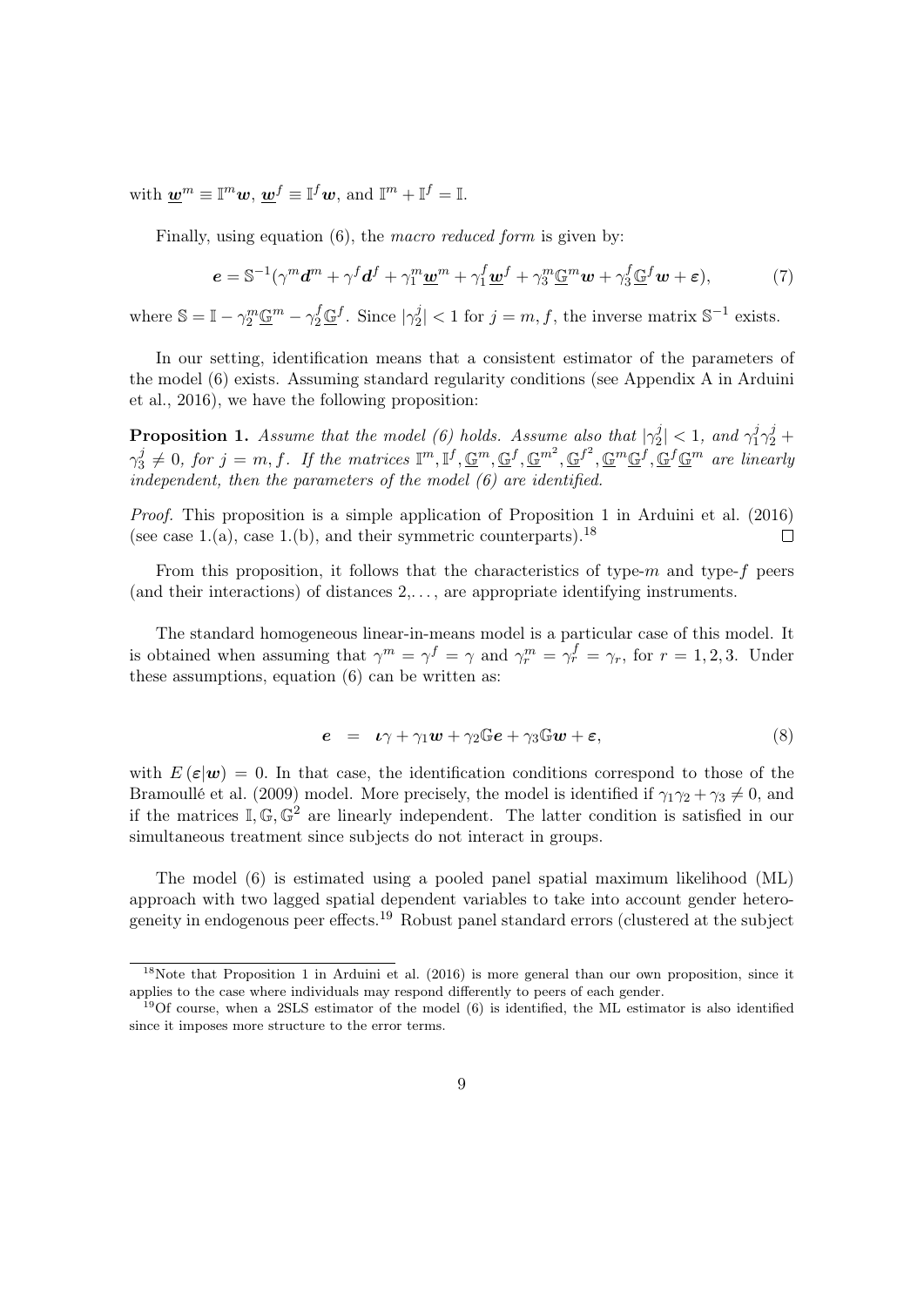with  $\underline{\boldsymbol{w}}^m \equiv \mathbb{I}^m \boldsymbol{w}, \, \underline{\boldsymbol{w}}^f \equiv \mathbb{I}^f \boldsymbol{w}, \, \text{and} \, \mathbb{I}^m + \mathbb{I}^f = \mathbb{I}.$ 

Finally, using equation (6), the macro reduced form is given by:

$$
\mathbf{e} = \mathbb{S}^{-1}(\gamma^m \mathbf{d}^m + \gamma^f \mathbf{d}^f + \gamma_1^m \underline{\mathbf{w}}^m + \gamma_1^f \underline{\mathbf{w}}^f + \gamma_3^m \underline{\mathbb{G}}^m \mathbf{w} + \gamma_3^f \underline{\mathbb{G}}^f \mathbf{w} + \varepsilon),\tag{7}
$$

where  $\mathbb{S} = \mathbb{I} - \gamma_2^m \mathbb{G}^m - \gamma_2^f \mathbb{G}^f$ . Since  $|\gamma_2^j$  $|j|$  < 1 for  $j = m, f$ , the inverse matrix  $\mathbb{S}^{-1}$  exists.

In our setting, identification means that a consistent estimator of the parameters of the model (6) exists. Assuming standard regularity conditions (see Appendix A in Arduini et al., 2016), we have the following proposition:

**Proposition 1.** Assume that the model (6) holds. Assume also that  $\gamma_2^j$  $\left| \frac{j}{2} \right| < 1$ , and  $\gamma_1^j$  $i_1^j \gamma_2^j +$  $\gamma^j_3$  $\mathbf{S}_3^j \neq 0$ , for  $j = m, f$ . If the matrices  $\mathbb{I}^m, \mathbb{I}^f, \mathbb{G}^m, \mathbb{G}^f, \mathbb{G}^{m^2}, \mathbb{G}^f, \mathbb{G}^m \mathbb{G}^f, \mathbb{G}^m \mathbb{G}^f$ independent, then the parameters of the model (6) are identified.

Proof. This proposition is a simple application of Proposition 1 in Arduini et al. (2016) (see case 1.(a), case 1.(b), and their symmetric counterparts).<sup>18</sup>  $\Box$ 

From this proposition, it follows that the characteristics of type- $m$  and type- $f$  peers (and their interactions) of distances 2,. . . , are appropriate identifying instruments.

The standard homogeneous linear-in-means model is a particular case of this model. It is obtained when assuming that  $\gamma^m = \gamma^f = \gamma$  and  $\gamma^m_r = \gamma^f_r = \gamma_r$ , for  $r = 1, 2, 3$ . Under these assumptions, equation (6) can be written as:

$$
e = \nu \gamma + \gamma_1 w + \gamma_2 \mathbb{G}e + \gamma_3 \mathbb{G}w + \varepsilon, \qquad (8)
$$

with  $E(\epsilon|\mathbf{w})=0$ . In that case, the identification conditions correspond to those of the Bramoullé et al. (2009) model. More precisely, the model is identified if  $\gamma_1 \gamma_2 + \gamma_3 \neq 0$ , and if the matrices  $\mathbb{I}, \mathbb{G}, \mathbb{G}^2$  are linearly independent. The latter condition is satisfied in our simultaneous treatment since subjects do not interact in groups.

The model (6) is estimated using a pooled panel spatial maximum likelihood (ML) approach with two lagged spatial dependent variables to take into account gender heterogeneity in endogenous peer effects.<sup>19</sup> Robust panel standard errors (clustered at the subject

<sup>&</sup>lt;sup>18</sup>Note that Proposition 1 in Arduini et al.  $(2016)$  is more general than our own proposition, since it applies to the case where individuals may respond differently to peers of each gender.

<sup>&</sup>lt;sup>19</sup>Of course, when a 2SLS estimator of the model  $(6)$  is identified, the ML estimator is also identified since it imposes more structure to the error terms.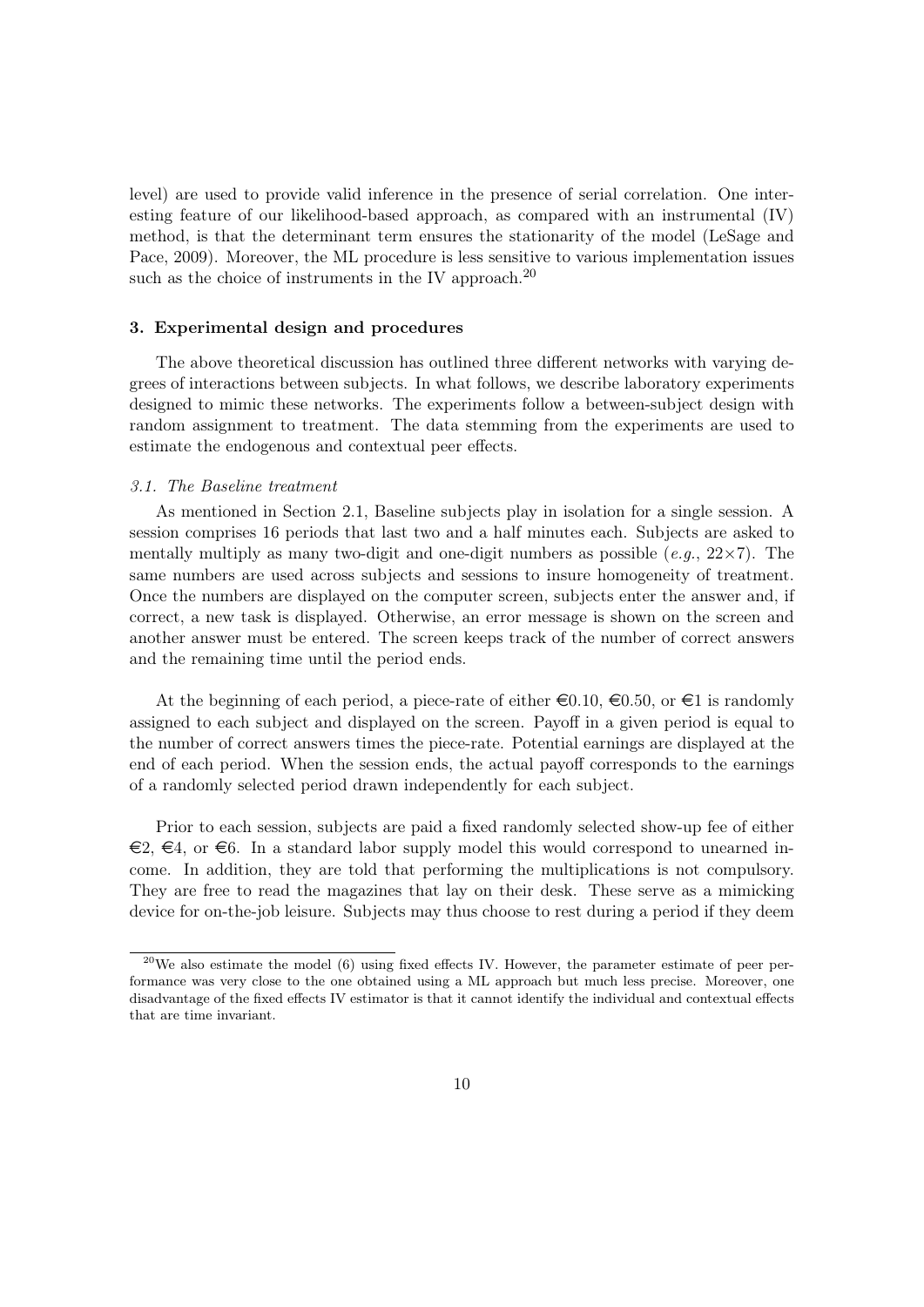level) are used to provide valid inference in the presence of serial correlation. One interesting feature of our likelihood-based approach, as compared with an instrumental (IV) method, is that the determinant term ensures the stationarity of the model (LeSage and Pace, 2009). Moreover, the ML procedure is less sensitive to various implementation issues such as the choice of instruments in the IV approach.<sup>20</sup>

## 3. Experimental design and procedures

The above theoretical discussion has outlined three different networks with varying degrees of interactions between subjects. In what follows, we describe laboratory experiments designed to mimic these networks. The experiments follow a between-subject design with random assignment to treatment. The data stemming from the experiments are used to estimate the endogenous and contextual peer effects.

## 3.1. The Baseline treatment

As mentioned in Section 2.1, Baseline subjects play in isolation for a single session. A session comprises 16 periods that last two and a half minutes each. Subjects are asked to mentally multiply as many two-digit and one-digit numbers as possible (e.g.,  $22\times7$ ). The same numbers are used across subjects and sessions to insure homogeneity of treatment. Once the numbers are displayed on the computer screen, subjects enter the answer and, if correct, a new task is displayed. Otherwise, an error message is shown on the screen and another answer must be entered. The screen keeps track of the number of correct answers and the remaining time until the period ends.

At the beginning of each period, a piece-rate of either  $\epsilon 0.10, \epsilon 0.50$ , or  $\epsilon 1$  is randomly assigned to each subject and displayed on the screen. Payoff in a given period is equal to the number of correct answers times the piece-rate. Potential earnings are displayed at the end of each period. When the session ends, the actual payoff corresponds to the earnings of a randomly selected period drawn independently for each subject.

Prior to each session, subjects are paid a fixed randomly selected show-up fee of either  $\epsilon$ 2,  $\epsilon$ 4, or  $\epsilon$ 6. In a standard labor supply model this would correspond to unearned income. In addition, they are told that performing the multiplications is not compulsory. They are free to read the magazines that lay on their desk. These serve as a mimicking device for on-the-job leisure. Subjects may thus choose to rest during a period if they deem

<sup>&</sup>lt;sup>20</sup>We also estimate the model (6) using fixed effects IV. However, the parameter estimate of peer performance was very close to the one obtained using a ML approach but much less precise. Moreover, one disadvantage of the fixed effects IV estimator is that it cannot identify the individual and contextual effects that are time invariant.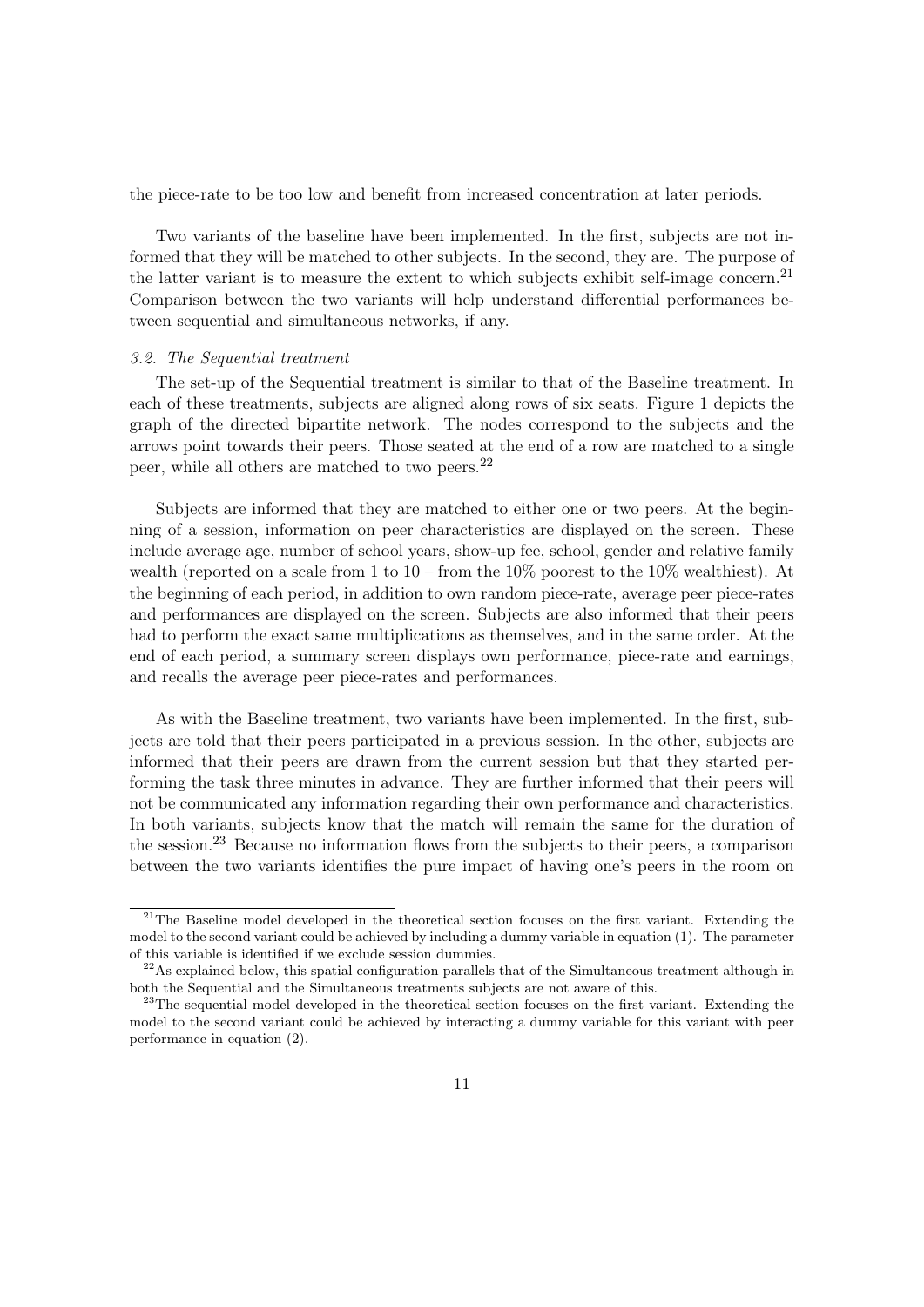the piece-rate to be too low and benefit from increased concentration at later periods.

Two variants of the baseline have been implemented. In the first, subjects are not informed that they will be matched to other subjects. In the second, they are. The purpose of the latter variant is to measure the extent to which subjects exhibit self-image concern.<sup>21</sup> Comparison between the two variants will help understand differential performances between sequential and simultaneous networks, if any.

## 3.2. The Sequential treatment

The set-up of the Sequential treatment is similar to that of the Baseline treatment. In each of these treatments, subjects are aligned along rows of six seats. Figure 1 depicts the graph of the directed bipartite network. The nodes correspond to the subjects and the arrows point towards their peers. Those seated at the end of a row are matched to a single peer, while all others are matched to two peers.<sup>22</sup>

Subjects are informed that they are matched to either one or two peers. At the beginning of a session, information on peer characteristics are displayed on the screen. These include average age, number of school years, show-up fee, school, gender and relative family wealth (reported on a scale from 1 to  $10 -$  from the  $10\%$  poorest to the  $10\%$  wealthiest). At the beginning of each period, in addition to own random piece-rate, average peer piece-rates and performances are displayed on the screen. Subjects are also informed that their peers had to perform the exact same multiplications as themselves, and in the same order. At the end of each period, a summary screen displays own performance, piece-rate and earnings, and recalls the average peer piece-rates and performances.

As with the Baseline treatment, two variants have been implemented. In the first, subjects are told that their peers participated in a previous session. In the other, subjects are informed that their peers are drawn from the current session but that they started performing the task three minutes in advance. They are further informed that their peers will not be communicated any information regarding their own performance and characteristics. In both variants, subjects know that the match will remain the same for the duration of the session.<sup>23</sup> Because no information flows from the subjects to their peers, a comparison between the two variants identifies the pure impact of having one's peers in the room on

 $21$ The Baseline model developed in the theoretical section focuses on the first variant. Extending the model to the second variant could be achieved by including a dummy variable in equation (1). The parameter of this variable is identified if we exclude session dummies.

 $^{22}$ As explained below, this spatial configuration parallels that of the Simultaneous treatment although in both the Sequential and the Simultaneous treatments subjects are not aware of this.

 $23$ The sequential model developed in the theoretical section focuses on the first variant. Extending the model to the second variant could be achieved by interacting a dummy variable for this variant with peer performance in equation (2).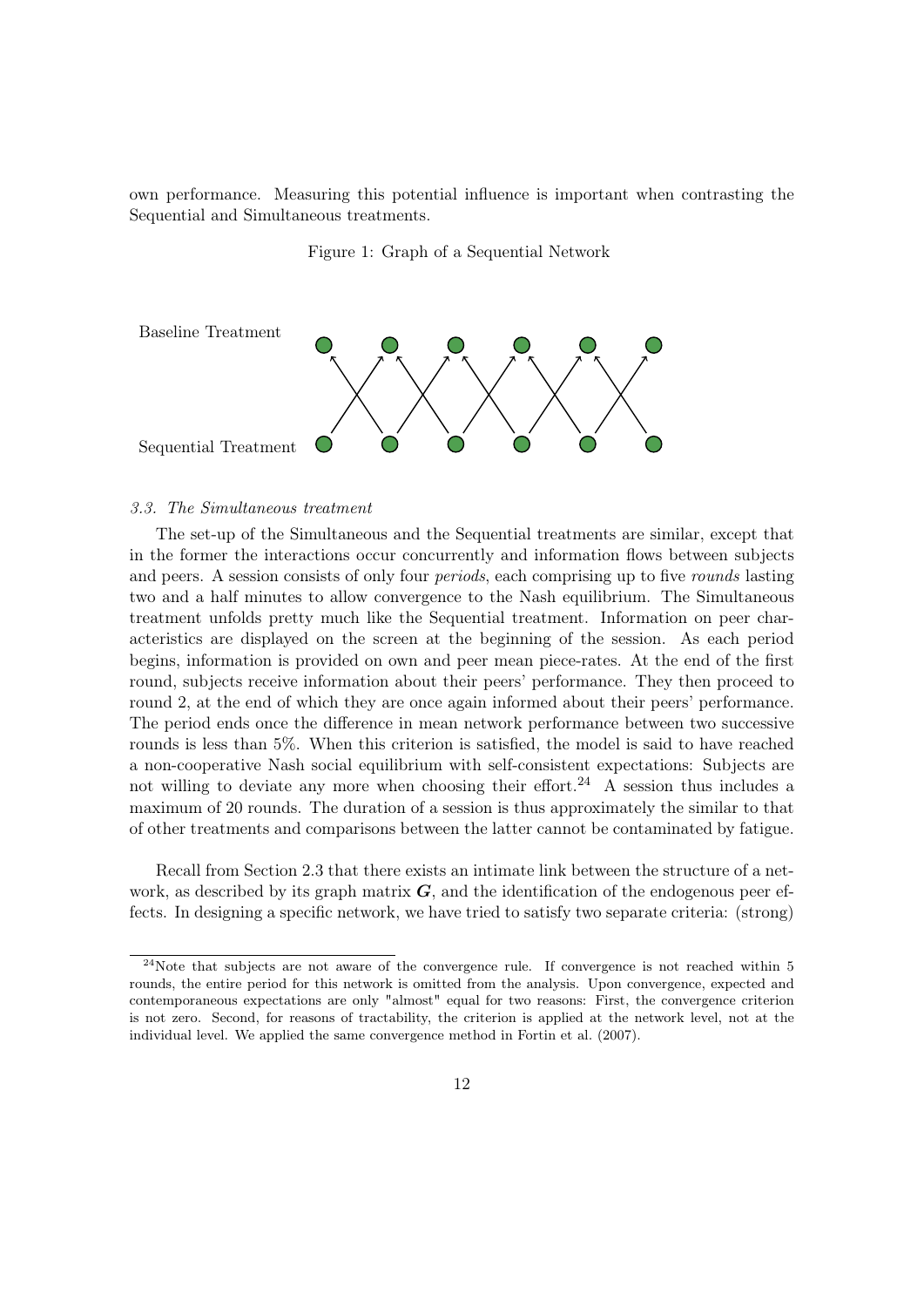own performance. Measuring this potential influence is important when contrasting the Sequential and Simultaneous treatments.

Figure 1: Graph of a Sequential Network



## 3.3. The Simultaneous treatment

The set-up of the Simultaneous and the Sequential treatments are similar, except that in the former the interactions occur concurrently and information flows between subjects and peers. A session consists of only four *periods*, each comprising up to five *rounds* lasting two and a half minutes to allow convergence to the Nash equilibrium. The Simultaneous treatment unfolds pretty much like the Sequential treatment. Information on peer characteristics are displayed on the screen at the beginning of the session. As each period begins, information is provided on own and peer mean piece-rates. At the end of the first round, subjects receive information about their peers' performance. They then proceed to round 2, at the end of which they are once again informed about their peers' performance. The period ends once the difference in mean network performance between two successive rounds is less than 5%. When this criterion is satisfied, the model is said to have reached a non-cooperative Nash social equilibrium with self-consistent expectations: Subjects are not willing to deviate any more when choosing their effort.<sup>24</sup> A session thus includes a maximum of 20 rounds. The duration of a session is thus approximately the similar to that of other treatments and comparisons between the latter cannot be contaminated by fatigue.

Recall from Section 2.3 that there exists an intimate link between the structure of a network, as described by its graph matrix  $G$ , and the identification of the endogenous peer effects. In designing a specific network, we have tried to satisfy two separate criteria: (strong)

 $24$ Note that subjects are not aware of the convergence rule. If convergence is not reached within 5 rounds, the entire period for this network is omitted from the analysis. Upon convergence, expected and contemporaneous expectations are only "almost" equal for two reasons: First, the convergence criterion is not zero. Second, for reasons of tractability, the criterion is applied at the network level, not at the individual level. We applied the same convergence method in Fortin et al. (2007).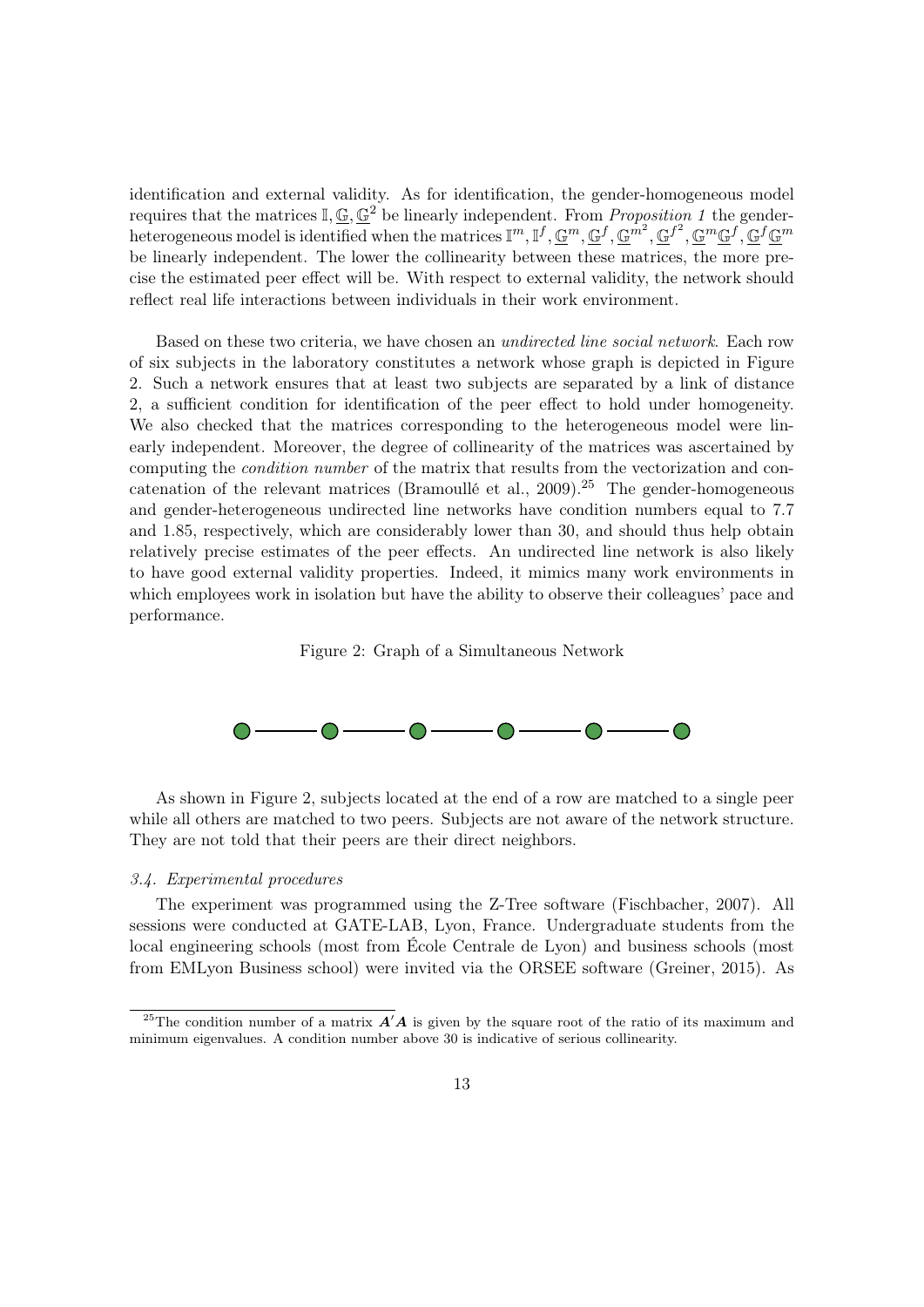identification and external validity. As for identification, the gender-homogeneous model requires that the matrices  $\mathbb{I}, \mathbb{G}, \mathbb{G}^2$  be linearly independent. From *Proposition 1* the genderheterogeneous model is identified when the matrices  $\mathbb{I}^m, \mathbb{I}^f, \mathbb{G}^m, \mathbb{G}^f, \mathbb{G}^{m^2}, \mathbb{G}^{f^2}, \mathbb{G}^m \mathbb{G}^f, \mathbb{G}^f \mathbb{G}^m$ be linearly independent. The lower the collinearity between these matrices, the more precise the estimated peer effect will be. With respect to external validity, the network should reflect real life interactions between individuals in their work environment.

Based on these two criteria, we have chosen an undirected line social network. Each row of six subjects in the laboratory constitutes a network whose graph is depicted in Figure 2. Such a network ensures that at least two subjects are separated by a link of distance 2, a sufficient condition for identification of the peer effect to hold under homogeneity. We also checked that the matrices corresponding to the heterogeneous model were linearly independent. Moreover, the degree of collinearity of the matrices was ascertained by computing the condition number of the matrix that results from the vectorization and concatenation of the relevant matrices (Bramoullé et al., 2009).<sup>25</sup> The gender-homogeneous and gender-heterogeneous undirected line networks have condition numbers equal to 7.7 and 1.85, respectively, which are considerably lower than 30, and should thus help obtain relatively precise estimates of the peer effects. An undirected line network is also likely to have good external validity properties. Indeed, it mimics many work environments in which employees work in isolation but have the ability to observe their colleagues' pace and performance.





As shown in Figure 2, subjects located at the end of a row are matched to a single peer while all others are matched to two peers. Subjects are not aware of the network structure. They are not told that their peers are their direct neighbors.

## 3.4. Experimental procedures

The experiment was programmed using the Z-Tree software (Fischbacher, 2007). All sessions were conducted at GATE-LAB, Lyon, France. Undergraduate students from the local engineering schools (most from École Centrale de Lyon) and business schools (most from EMLyon Business school) were invited via the ORSEE software (Greiner, 2015). As

<sup>&</sup>lt;sup>25</sup>The condition number of a matrix  $A'A$  is given by the square root of the ratio of its maximum and minimum eigenvalues. A condition number above 30 is indicative of serious collinearity.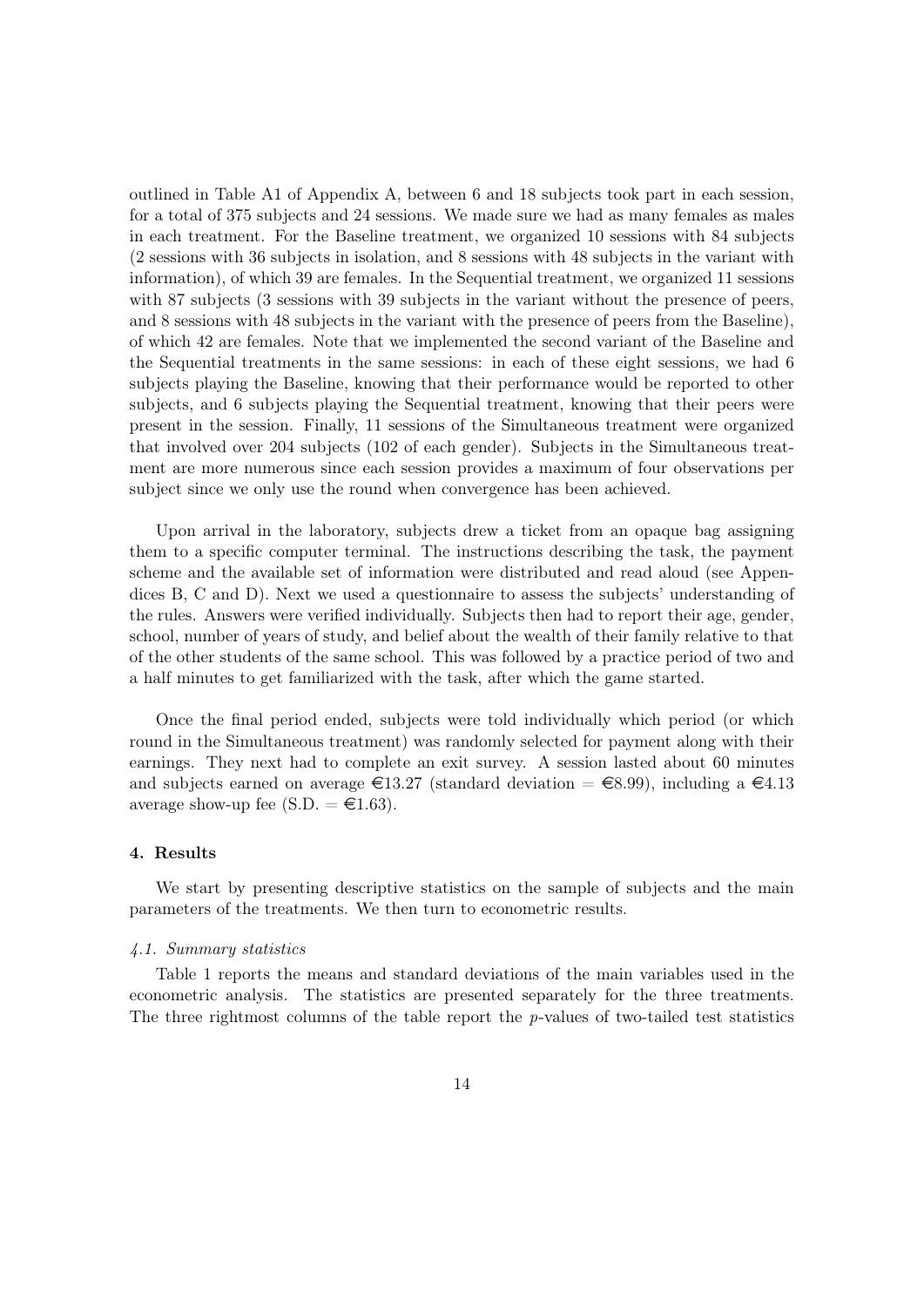outlined in Table A1 of Appendix A, between 6 and 18 subjects took part in each session, for a total of 375 subjects and 24 sessions. We made sure we had as many females as males in each treatment. For the Baseline treatment, we organized 10 sessions with 84 subjects (2 sessions with 36 subjects in isolation, and 8 sessions with 48 subjects in the variant with information), of which 39 are females. In the Sequential treatment, we organized 11 sessions with 87 subjects (3 sessions with 39 subjects in the variant without the presence of peers, and 8 sessions with 48 subjects in the variant with the presence of peers from the Baseline), of which 42 are females. Note that we implemented the second variant of the Baseline and the Sequential treatments in the same sessions: in each of these eight sessions, we had 6 subjects playing the Baseline, knowing that their performance would be reported to other subjects, and 6 subjects playing the Sequential treatment, knowing that their peers were present in the session. Finally, 11 sessions of the Simultaneous treatment were organized that involved over 204 subjects (102 of each gender). Subjects in the Simultaneous treatment are more numerous since each session provides a maximum of four observations per subject since we only use the round when convergence has been achieved.

Upon arrival in the laboratory, subjects drew a ticket from an opaque bag assigning them to a specific computer terminal. The instructions describing the task, the payment scheme and the available set of information were distributed and read aloud (see Appendices B, C and D). Next we used a questionnaire to assess the subjects' understanding of the rules. Answers were verified individually. Subjects then had to report their age, gender, school, number of years of study, and belief about the wealth of their family relative to that of the other students of the same school. This was followed by a practice period of two and a half minutes to get familiarized with the task, after which the game started.

Once the final period ended, subjects were told individually which period (or which round in the Simultaneous treatment) was randomly selected for payment along with their earnings. They next had to complete an exit survey. A session lasted about 60 minutes and subjects earned on average  $\in$ 13.27 (standard deviation =  $\in$ 8.99), including a  $\in$ 4.13 average show-up fee  $(S.D. = \text{\textsterling}1.63)$ .

## 4. Results

We start by presenting descriptive statistics on the sample of subjects and the main parameters of the treatments. We then turn to econometric results.

## 4.1. Summary statistics

Table 1 reports the means and standard deviations of the main variables used in the econometric analysis. The statistics are presented separately for the three treatments. The three rightmost columns of the table report the p-values of two-tailed test statistics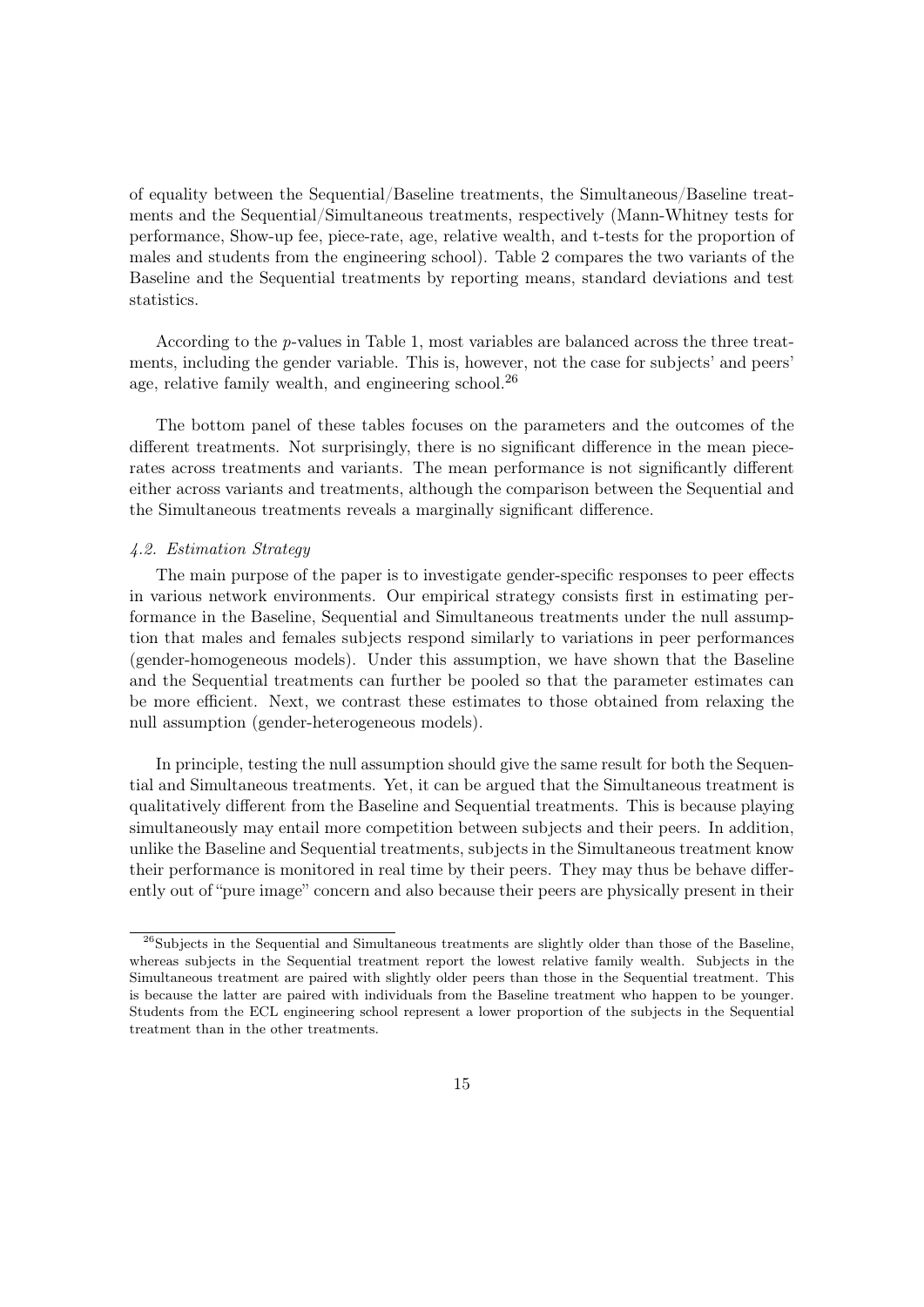of equality between the Sequential/Baseline treatments, the Simultaneous/Baseline treatments and the Sequential/Simultaneous treatments, respectively (Mann-Whitney tests for performance, Show-up fee, piece-rate, age, relative wealth, and t-tests for the proportion of males and students from the engineering school). Table 2 compares the two variants of the Baseline and the Sequential treatments by reporting means, standard deviations and test statistics.

According to the p-values in Table 1, most variables are balanced across the three treatments, including the gender variable. This is, however, not the case for subjects' and peers' age, relative family wealth, and engineering school. $^{26}$ 

The bottom panel of these tables focuses on the parameters and the outcomes of the different treatments. Not surprisingly, there is no significant difference in the mean piecerates across treatments and variants. The mean performance is not significantly different either across variants and treatments, although the comparison between the Sequential and the Simultaneous treatments reveals a marginally significant difference.

## 4.2. Estimation Strategy

The main purpose of the paper is to investigate gender-specific responses to peer effects in various network environments. Our empirical strategy consists first in estimating performance in the Baseline, Sequential and Simultaneous treatments under the null assumption that males and females subjects respond similarly to variations in peer performances (gender-homogeneous models). Under this assumption, we have shown that the Baseline and the Sequential treatments can further be pooled so that the parameter estimates can be more efficient. Next, we contrast these estimates to those obtained from relaxing the null assumption (gender-heterogeneous models).

In principle, testing the null assumption should give the same result for both the Sequential and Simultaneous treatments. Yet, it can be argued that the Simultaneous treatment is qualitatively different from the Baseline and Sequential treatments. This is because playing simultaneously may entail more competition between subjects and their peers. In addition, unlike the Baseline and Sequential treatments, subjects in the Simultaneous treatment know their performance is monitored in real time by their peers. They may thus be behave differently out of "pure image" concern and also because their peers are physically present in their

<sup>&</sup>lt;sup>26</sup>Subjects in the Sequential and Simultaneous treatments are slightly older than those of the Baseline, whereas subjects in the Sequential treatment report the lowest relative family wealth. Subjects in the Simultaneous treatment are paired with slightly older peers than those in the Sequential treatment. This is because the latter are paired with individuals from the Baseline treatment who happen to be younger. Students from the ECL engineering school represent a lower proportion of the subjects in the Sequential treatment than in the other treatments.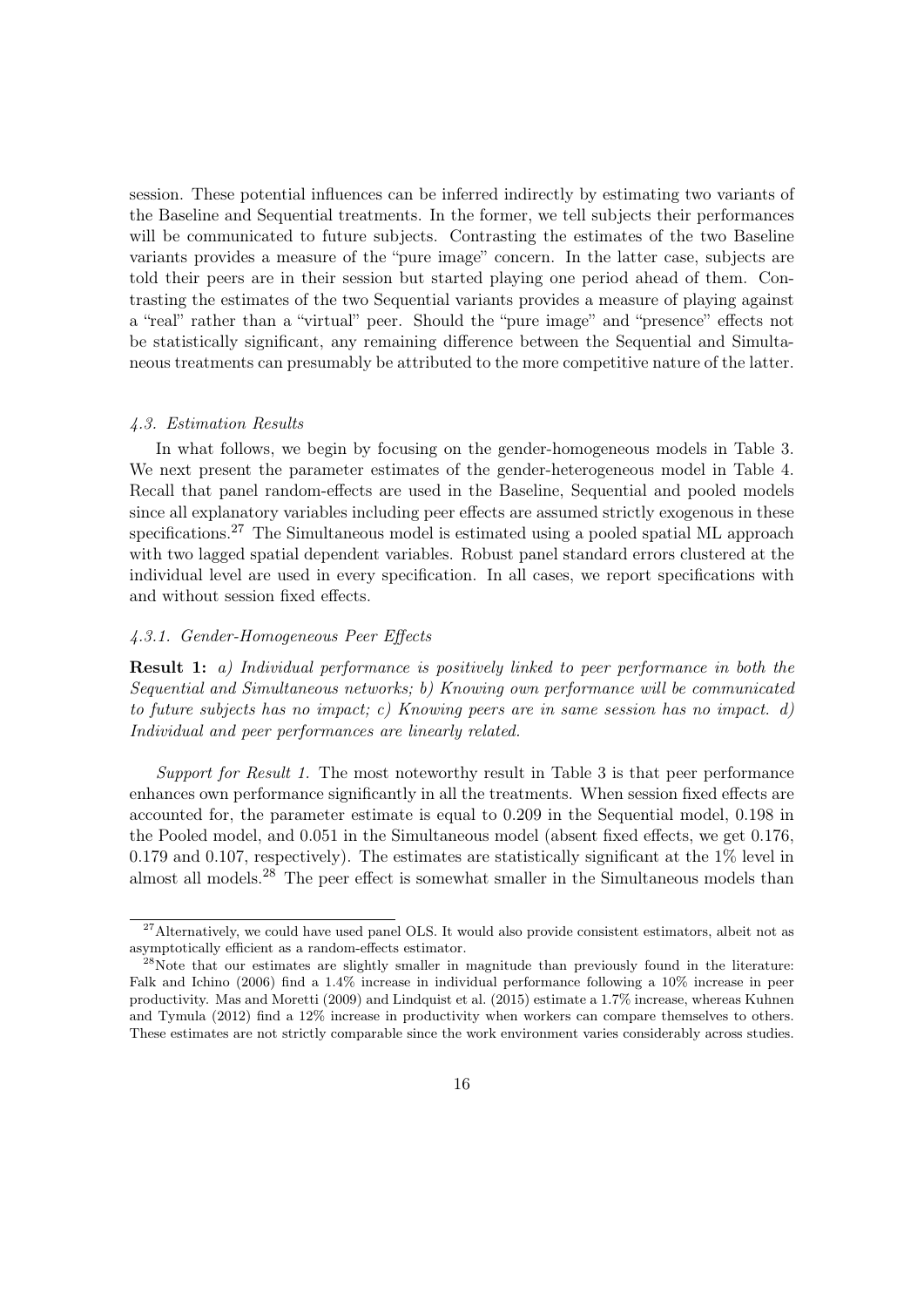session. These potential influences can be inferred indirectly by estimating two variants of the Baseline and Sequential treatments. In the former, we tell subjects their performances will be communicated to future subjects. Contrasting the estimates of the two Baseline variants provides a measure of the "pure image" concern. In the latter case, subjects are told their peers are in their session but started playing one period ahead of them. Contrasting the estimates of the two Sequential variants provides a measure of playing against a "real" rather than a "virtual" peer. Should the "pure image" and "presence" effects not be statistically significant, any remaining difference between the Sequential and Simultaneous treatments can presumably be attributed to the more competitive nature of the latter.

## 4.3. Estimation Results

In what follows, we begin by focusing on the gender-homogeneous models in Table 3. We next present the parameter estimates of the gender-heterogeneous model in Table 4. Recall that panel random-effects are used in the Baseline, Sequential and pooled models since all explanatory variables including peer effects are assumed strictly exogenous in these specifications.<sup>27</sup> The Simultaneous model is estimated using a pooled spatial ML approach with two lagged spatial dependent variables. Robust panel standard errors clustered at the individual level are used in every specification. In all cases, we report specifications with and without session fixed effects.

## 4.3.1. Gender-Homogeneous Peer Effects

**Result 1:** a) Individual performance is positively linked to peer performance in both the Sequential and Simultaneous networks; b) Knowing own performance will be communicated to future subjects has no impact; c) Knowing peers are in same session has no impact. d) Individual and peer performances are linearly related.

Support for Result 1. The most noteworthy result in Table 3 is that peer performance enhances own performance significantly in all the treatments. When session fixed effects are accounted for, the parameter estimate is equal to 0.209 in the Sequential model, 0.198 in the Pooled model, and 0.051 in the Simultaneous model (absent fixed effects, we get 0.176, 0.179 and 0.107, respectively). The estimates are statistically significant at the 1% level in almost all models.<sup>28</sup> The peer effect is somewhat smaller in the Simultaneous models than

<sup>&</sup>lt;sup>27</sup>Alternatively, we could have used panel OLS. It would also provide consistent estimators, albeit not as asymptotically efficient as a random-effects estimator.

<sup>&</sup>lt;sup>28</sup>Note that our estimates are slightly smaller in magnitude than previously found in the literature: Falk and Ichino (2006) find a 1.4% increase in individual performance following a 10% increase in peer productivity. Mas and Moretti (2009) and Lindquist et al. (2015) estimate a 1.7% increase, whereas Kuhnen and Tymula (2012) find a 12% increase in productivity when workers can compare themselves to others. These estimates are not strictly comparable since the work environment varies considerably across studies.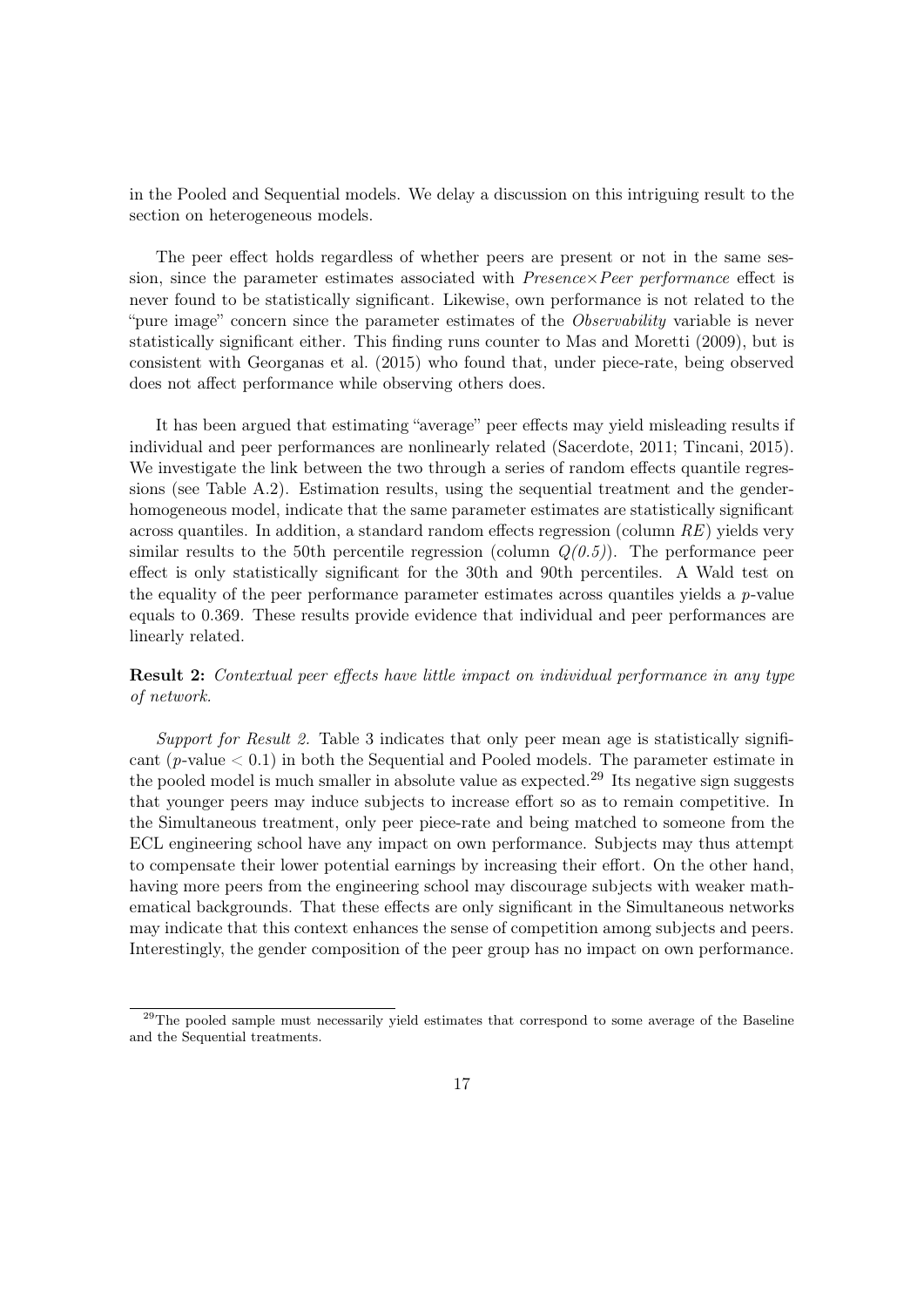in the Pooled and Sequential models. We delay a discussion on this intriguing result to the section on heterogeneous models.

The peer effect holds regardless of whether peers are present or not in the same session, since the parameter estimates associated with *Presence × Peer performance* effect is never found to be statistically significant. Likewise, own performance is not related to the "pure image" concern since the parameter estimates of the *Observability* variable is never statistically significant either. This finding runs counter to Mas and Moretti (2009), but is consistent with Georganas et al. (2015) who found that, under piece-rate, being observed does not affect performance while observing others does.

It has been argued that estimating "average" peer effects may yield misleading results if individual and peer performances are nonlinearly related (Sacerdote, 2011; Tincani, 2015). We investigate the link between the two through a series of random effects quantile regressions (see Table A.2). Estimation results, using the sequential treatment and the genderhomogeneous model, indicate that the same parameter estimates are statistically significant across quantiles. In addition, a standard random effects regression (column  $RE$ ) yields very similar results to the 50th percentile regression (column  $Q(0.5)$ ). The performance peer effect is only statistically significant for the 30th and 90th percentiles. A Wald test on the equality of the peer performance parameter estimates across quantiles yields a p-value equals to 0.369. These results provide evidence that individual and peer performances are linearly related.

Result 2: Contextual peer effects have little impact on individual performance in any type of network.

Support for Result 2. Table 3 indicates that only peer mean age is statistically significant  $(p$ -value  $\leq 0.1$ ) in both the Sequential and Pooled models. The parameter estimate in the pooled model is much smaller in absolute value as expected.<sup>29</sup> Its negative sign suggests that younger peers may induce subjects to increase effort so as to remain competitive. In the Simultaneous treatment, only peer piece-rate and being matched to someone from the ECL engineering school have any impact on own performance. Subjects may thus attempt to compensate their lower potential earnings by increasing their effort. On the other hand, having more peers from the engineering school may discourage subjects with weaker mathematical backgrounds. That these effects are only significant in the Simultaneous networks may indicate that this context enhances the sense of competition among subjects and peers. Interestingly, the gender composition of the peer group has no impact on own performance.

<sup>&</sup>lt;sup>29</sup>The pooled sample must necessarily yield estimates that correspond to some average of the Baseline and the Sequential treatments.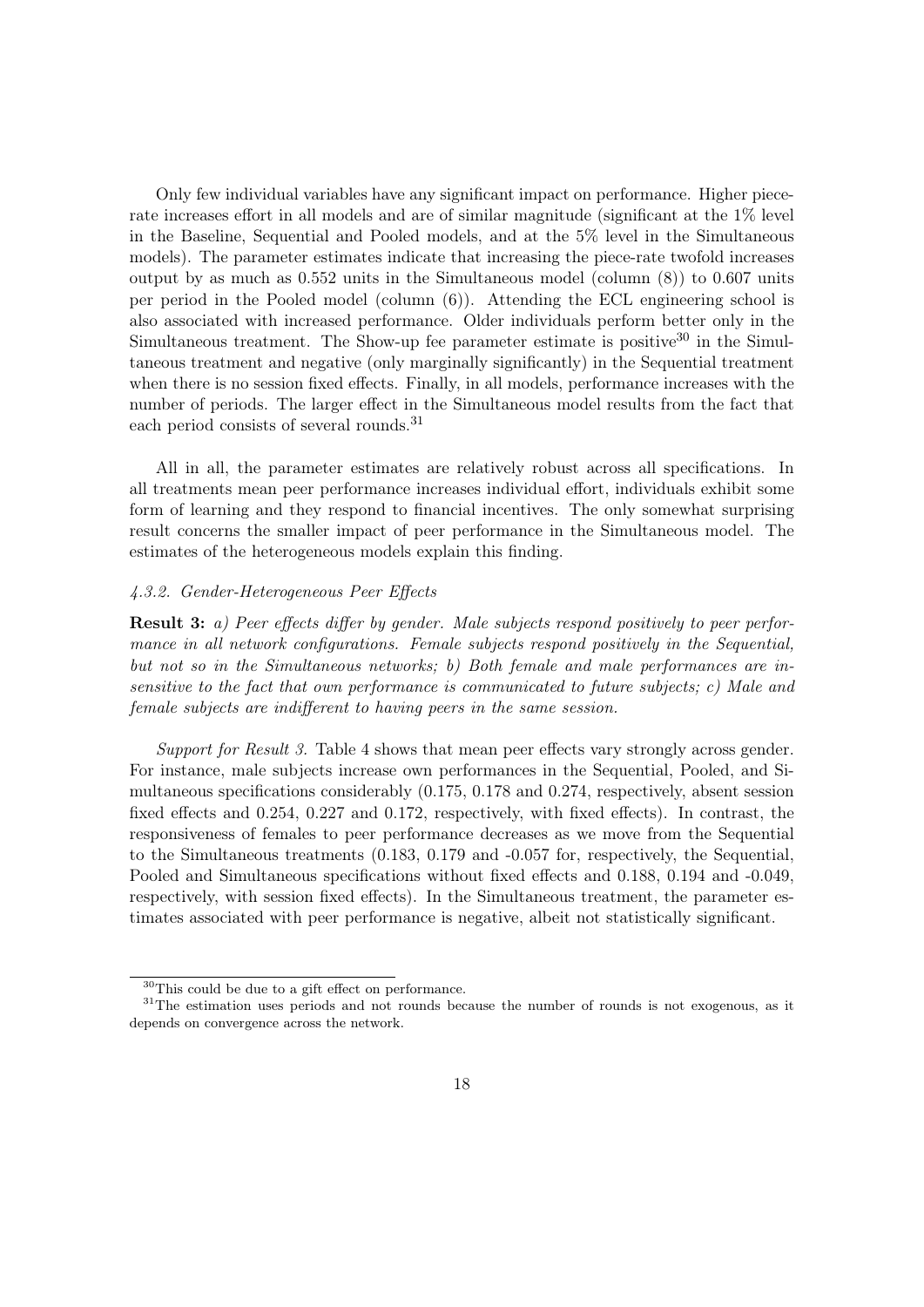Only few individual variables have any significant impact on performance. Higher piecerate increases effort in all models and are of similar magnitude (significant at the 1% level in the Baseline, Sequential and Pooled models, and at the 5% level in the Simultaneous models). The parameter estimates indicate that increasing the piece-rate twofold increases output by as much as  $0.552$  units in the Simultaneous model (column  $(8)$ ) to  $0.607$  units per period in the Pooled model (column (6)). Attending the ECL engineering school is also associated with increased performance. Older individuals perform better only in the Simultaneous treatment. The Show-up fee parameter estimate is positive<sup>30</sup> in the Simultaneous treatment and negative (only marginally significantly) in the Sequential treatment when there is no session fixed effects. Finally, in all models, performance increases with the number of periods. The larger effect in the Simultaneous model results from the fact that each period consists of several rounds.<sup>31</sup>

All in all, the parameter estimates are relatively robust across all specifications. In all treatments mean peer performance increases individual effort, individuals exhibit some form of learning and they respond to financial incentives. The only somewhat surprising result concerns the smaller impact of peer performance in the Simultaneous model. The estimates of the heterogeneous models explain this finding.

## 4.3.2. Gender-Heterogeneous Peer Effects

**Result 3:** a) Peer effects differ by gender. Male subjects respond positively to peer performance in all network configurations. Female subjects respond positively in the Sequential, but not so in the Simultaneous networks; b) Both female and male performances are insensitive to the fact that own performance is communicated to future subjects; c) Male and female subjects are indifferent to having peers in the same session.

Support for Result 3. Table 4 shows that mean peer effects vary strongly across gender. For instance, male subjects increase own performances in the Sequential, Pooled, and Simultaneous specifications considerably (0.175, 0.178 and 0.274, respectively, absent session fixed effects and 0.254, 0.227 and 0.172, respectively, with fixed effects). In contrast, the responsiveness of females to peer performance decreases as we move from the Sequential to the Simultaneous treatments (0.183, 0.179 and -0.057 for, respectively, the Sequential, Pooled and Simultaneous specifications without fixed effects and 0.188, 0.194 and -0.049, respectively, with session fixed effects). In the Simultaneous treatment, the parameter estimates associated with peer performance is negative, albeit not statistically significant.

<sup>30</sup>This could be due to a gift effect on performance.

<sup>&</sup>lt;sup>31</sup>The estimation uses periods and not rounds because the number of rounds is not exogenous, as it depends on convergence across the network.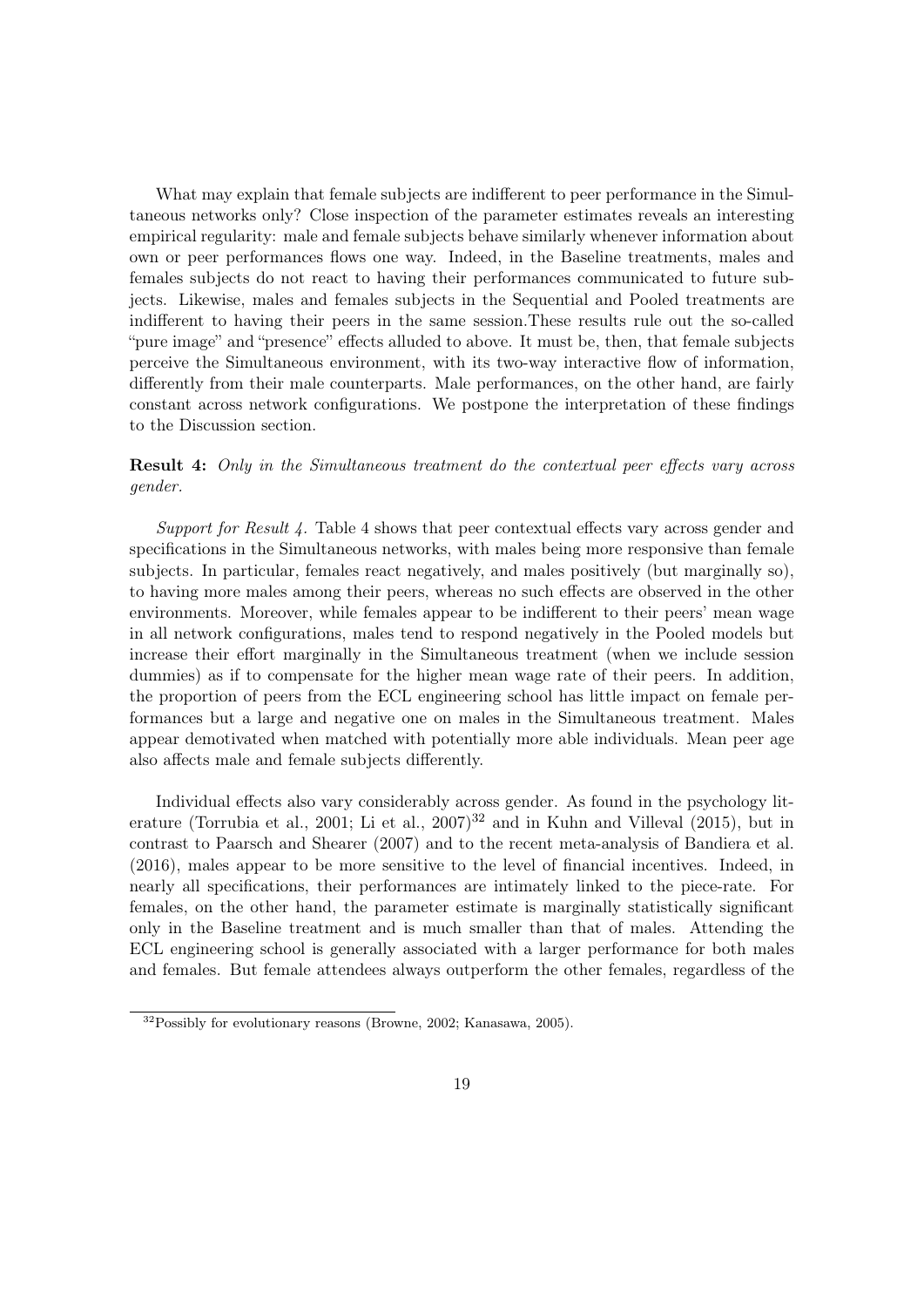What may explain that female subjects are indifferent to peer performance in the Simultaneous networks only? Close inspection of the parameter estimates reveals an interesting empirical regularity: male and female subjects behave similarly whenever information about own or peer performances flows one way. Indeed, in the Baseline treatments, males and females subjects do not react to having their performances communicated to future subjects. Likewise, males and females subjects in the Sequential and Pooled treatments are indifferent to having their peers in the same session.These results rule out the so-called "pure image" and "presence" effects alluded to above. It must be, then, that female subjects perceive the Simultaneous environment, with its two-way interactive flow of information, differently from their male counterparts. Male performances, on the other hand, are fairly constant across network configurations. We postpone the interpretation of these findings to the Discussion section.

**Result 4:** Only in the Simultaneous treatment do the contextual peer effects vary across gender.

Support for Result 4. Table 4 shows that peer contextual effects vary across gender and specifications in the Simultaneous networks, with males being more responsive than female subjects. In particular, females react negatively, and males positively (but marginally so), to having more males among their peers, whereas no such effects are observed in the other environments. Moreover, while females appear to be indifferent to their peers' mean wage in all network configurations, males tend to respond negatively in the Pooled models but increase their effort marginally in the Simultaneous treatment (when we include session dummies) as if to compensate for the higher mean wage rate of their peers. In addition, the proportion of peers from the ECL engineering school has little impact on female performances but a large and negative one on males in the Simultaneous treatment. Males appear demotivated when matched with potentially more able individuals. Mean peer age also affects male and female subjects differently.

Individual effects also vary considerably across gender. As found in the psychology literature (Torrubia et al., 2001; Li et al., 2007)<sup>32</sup> and in Kuhn and Villeval (2015), but in contrast to Paarsch and Shearer (2007) and to the recent meta-analysis of Bandiera et al. (2016), males appear to be more sensitive to the level of financial incentives. Indeed, in nearly all specifications, their performances are intimately linked to the piece-rate. For females, on the other hand, the parameter estimate is marginally statistically significant only in the Baseline treatment and is much smaller than that of males. Attending the ECL engineering school is generally associated with a larger performance for both males and females. But female attendees always outperform the other females, regardless of the

<sup>32</sup>Possibly for evolutionary reasons (Browne, 2002; Kanasawa, 2005).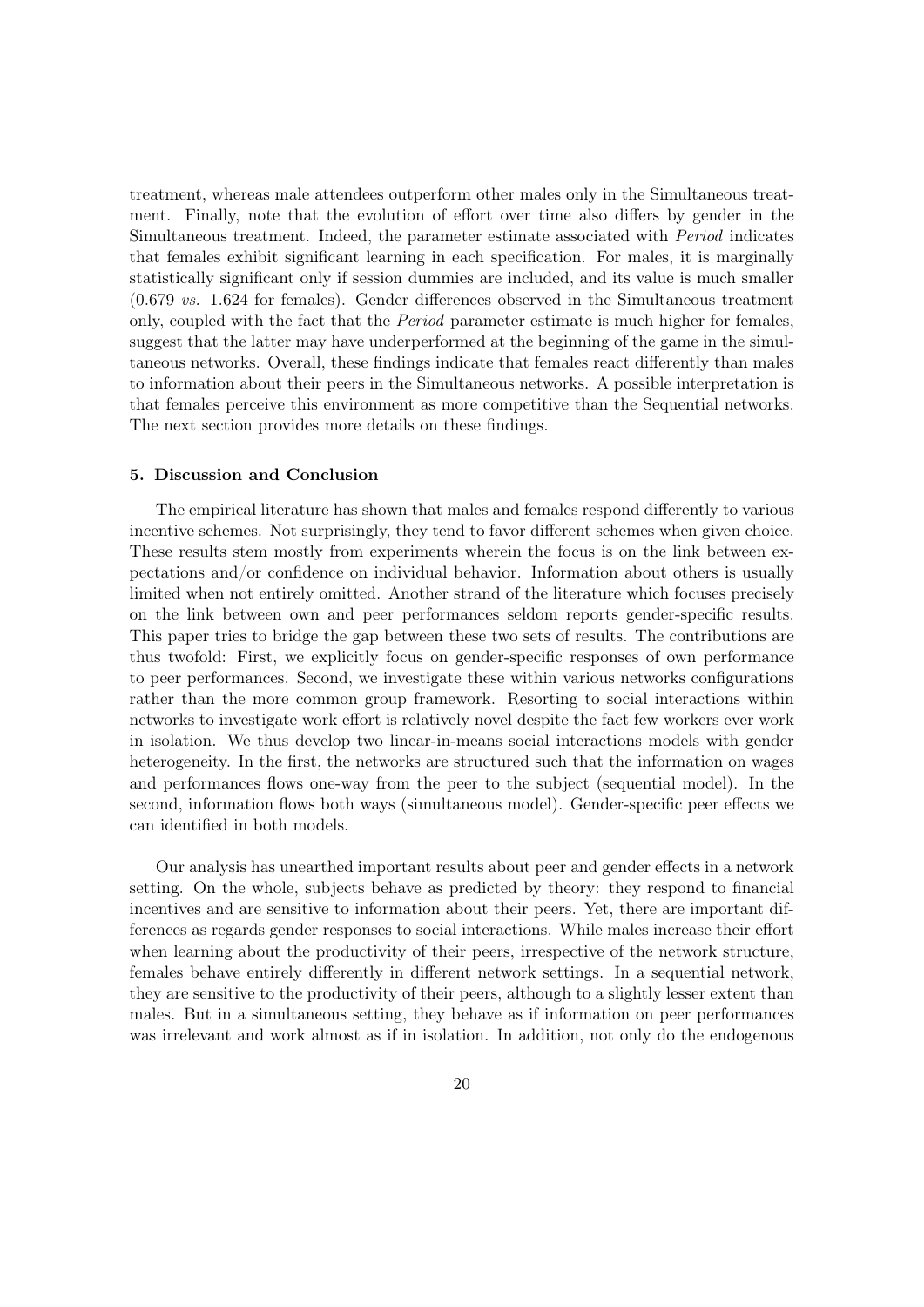treatment, whereas male attendees outperform other males only in the Simultaneous treatment. Finally, note that the evolution of effort over time also differs by gender in the Simultaneous treatment. Indeed, the parameter estimate associated with Period indicates that females exhibit significant learning in each specification. For males, it is marginally statistically significant only if session dummies are included, and its value is much smaller (0.679 vs. 1.624 for females). Gender differences observed in the Simultaneous treatment only, coupled with the fact that the Period parameter estimate is much higher for females, suggest that the latter may have underperformed at the beginning of the game in the simultaneous networks. Overall, these findings indicate that females react differently than males to information about their peers in the Simultaneous networks. A possible interpretation is that females perceive this environment as more competitive than the Sequential networks. The next section provides more details on these findings.

## 5. Discussion and Conclusion

The empirical literature has shown that males and females respond differently to various incentive schemes. Not surprisingly, they tend to favor different schemes when given choice. These results stem mostly from experiments wherein the focus is on the link between expectations and/or confidence on individual behavior. Information about others is usually limited when not entirely omitted. Another strand of the literature which focuses precisely on the link between own and peer performances seldom reports gender-specific results. This paper tries to bridge the gap between these two sets of results. The contributions are thus twofold: First, we explicitly focus on gender-specific responses of own performance to peer performances. Second, we investigate these within various networks configurations rather than the more common group framework. Resorting to social interactions within networks to investigate work effort is relatively novel despite the fact few workers ever work in isolation. We thus develop two linear-in-means social interactions models with gender heterogeneity. In the first, the networks are structured such that the information on wages and performances flows one-way from the peer to the subject (sequential model). In the second, information flows both ways (simultaneous model). Gender-specific peer effects we can identified in both models.

Our analysis has unearthed important results about peer and gender effects in a network setting. On the whole, subjects behave as predicted by theory: they respond to financial incentives and are sensitive to information about their peers. Yet, there are important differences as regards gender responses to social interactions. While males increase their effort when learning about the productivity of their peers, irrespective of the network structure, females behave entirely differently in different network settings. In a sequential network, they are sensitive to the productivity of their peers, although to a slightly lesser extent than males. But in a simultaneous setting, they behave as if information on peer performances was irrelevant and work almost as if in isolation. In addition, not only do the endogenous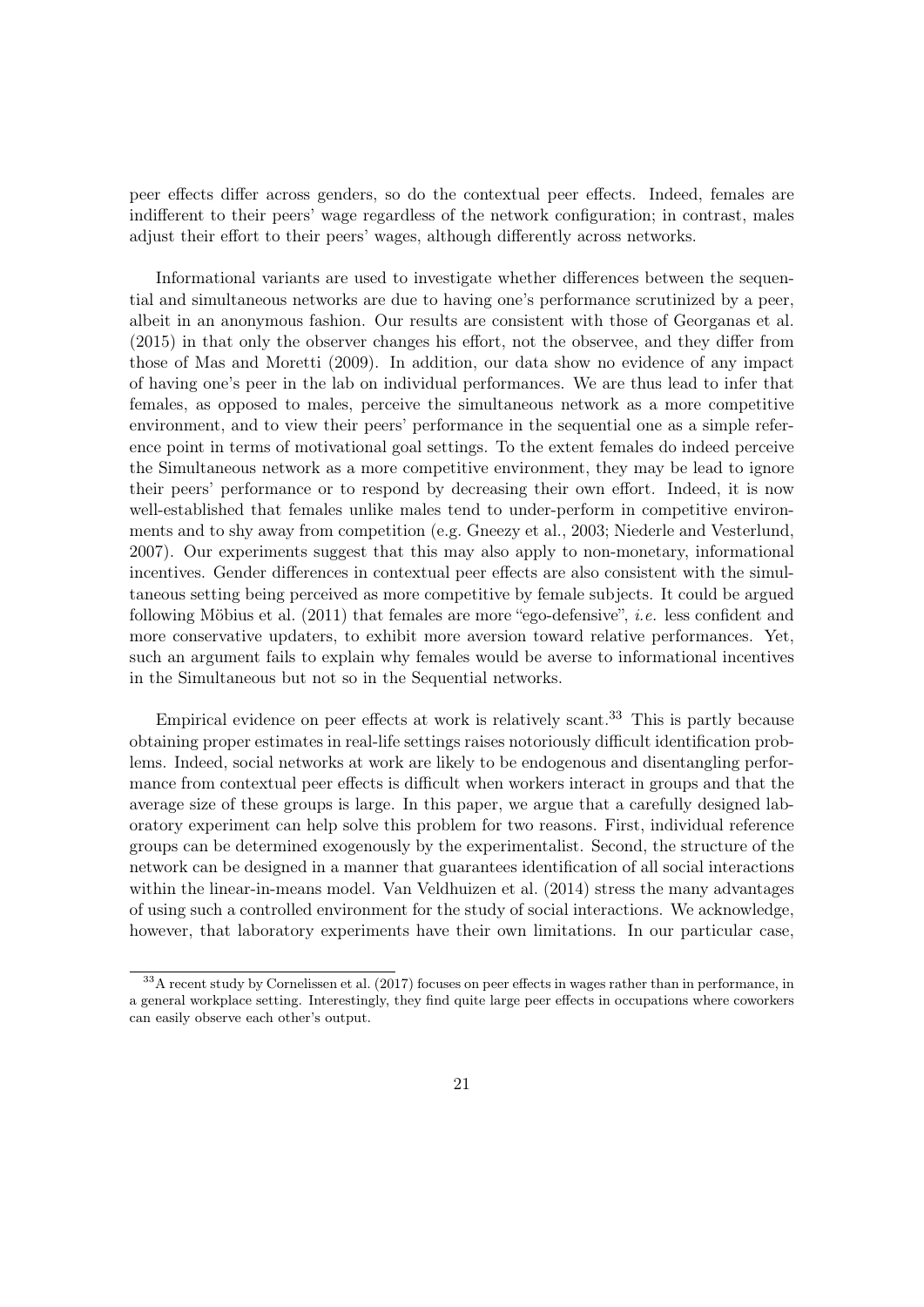peer effects differ across genders, so do the contextual peer effects. Indeed, females are indifferent to their peers' wage regardless of the network configuration; in contrast, males adjust their effort to their peers' wages, although differently across networks.

Informational variants are used to investigate whether differences between the sequential and simultaneous networks are due to having one's performance scrutinized by a peer, albeit in an anonymous fashion. Our results are consistent with those of Georganas et al. (2015) in that only the observer changes his effort, not the observee, and they differ from those of Mas and Moretti (2009). In addition, our data show no evidence of any impact of having one's peer in the lab on individual performances. We are thus lead to infer that females, as opposed to males, perceive the simultaneous network as a more competitive environment, and to view their peers' performance in the sequential one as a simple reference point in terms of motivational goal settings. To the extent females do indeed perceive the Simultaneous network as a more competitive environment, they may be lead to ignore their peers' performance or to respond by decreasing their own effort. Indeed, it is now well-established that females unlike males tend to under-perform in competitive environments and to shy away from competition (e.g. Gneezy et al., 2003; Niederle and Vesterlund, 2007). Our experiments suggest that this may also apply to non-monetary, informational incentives. Gender differences in contextual peer effects are also consistent with the simultaneous setting being perceived as more competitive by female subjects. It could be argued following Möbius et al. (2011) that females are more "ego-defensive", i.e. less confident and more conservative updaters, to exhibit more aversion toward relative performances. Yet, such an argument fails to explain why females would be averse to informational incentives in the Simultaneous but not so in the Sequential networks.

Empirical evidence on peer effects at work is relatively scant.<sup>33</sup> This is partly because obtaining proper estimates in real-life settings raises notoriously difficult identification problems. Indeed, social networks at work are likely to be endogenous and disentangling performance from contextual peer effects is difficult when workers interact in groups and that the average size of these groups is large. In this paper, we argue that a carefully designed laboratory experiment can help solve this problem for two reasons. First, individual reference groups can be determined exogenously by the experimentalist. Second, the structure of the network can be designed in a manner that guarantees identification of all social interactions within the linear-in-means model. Van Veldhuizen et al. (2014) stress the many advantages of using such a controlled environment for the study of social interactions. We acknowledge, however, that laboratory experiments have their own limitations. In our particular case,

<sup>33</sup>A recent study by Cornelissen et al. (2017) focuses on peer effects in wages rather than in performance, in a general workplace setting. Interestingly, they find quite large peer effects in occupations where coworkers can easily observe each other's output.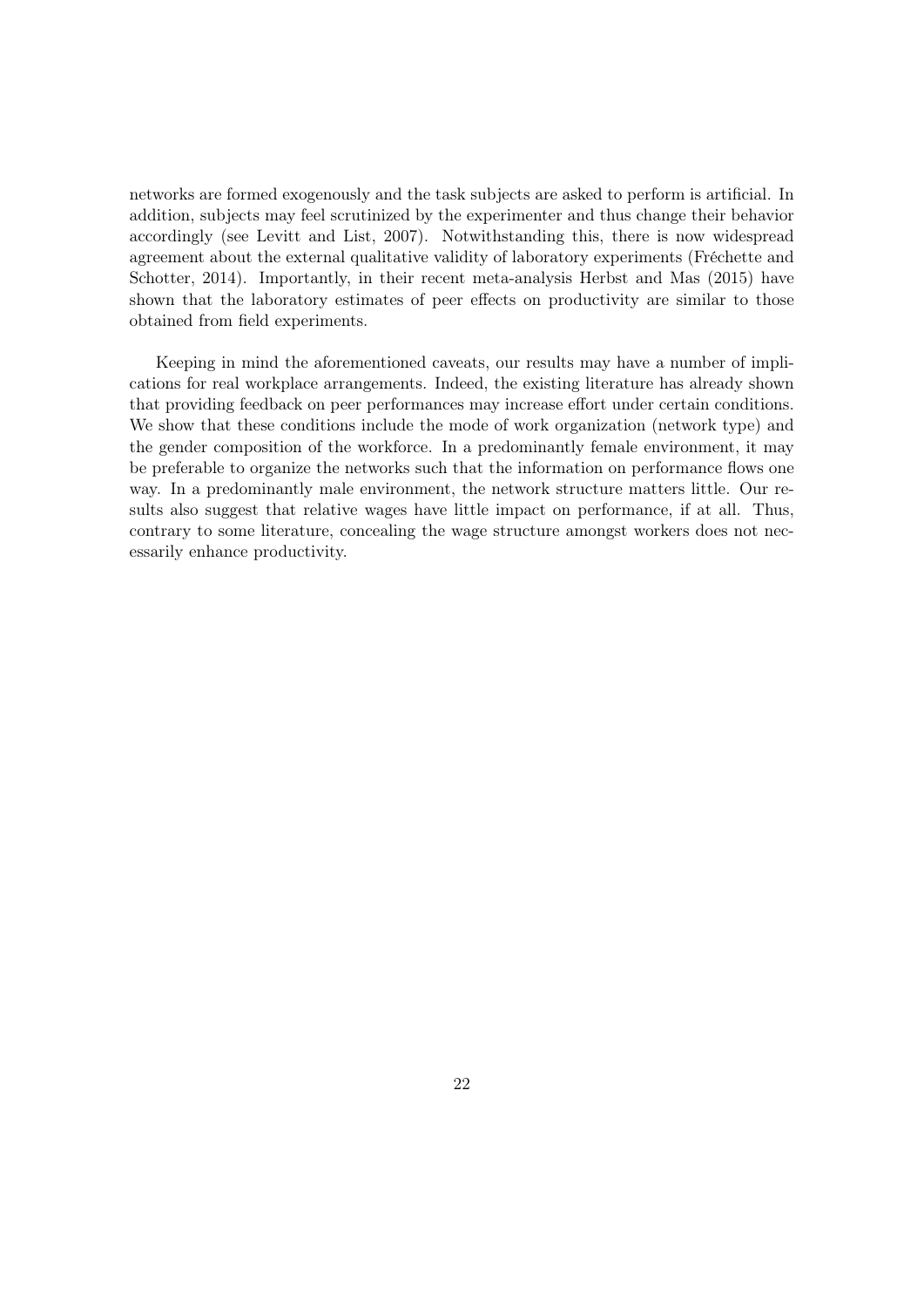networks are formed exogenously and the task subjects are asked to perform is artificial. In addition, subjects may feel scrutinized by the experimenter and thus change their behavior accordingly (see Levitt and List, 2007). Notwithstanding this, there is now widespread agreement about the external qualitative validity of laboratory experiments (Fréchette and Schotter, 2014). Importantly, in their recent meta-analysis Herbst and Mas (2015) have shown that the laboratory estimates of peer effects on productivity are similar to those obtained from field experiments.

Keeping in mind the aforementioned caveats, our results may have a number of implications for real workplace arrangements. Indeed, the existing literature has already shown that providing feedback on peer performances may increase effort under certain conditions. We show that these conditions include the mode of work organization (network type) and the gender composition of the workforce. In a predominantly female environment, it may be preferable to organize the networks such that the information on performance flows one way. In a predominantly male environment, the network structure matters little. Our results also suggest that relative wages have little impact on performance, if at all. Thus, contrary to some literature, concealing the wage structure amongst workers does not necessarily enhance productivity.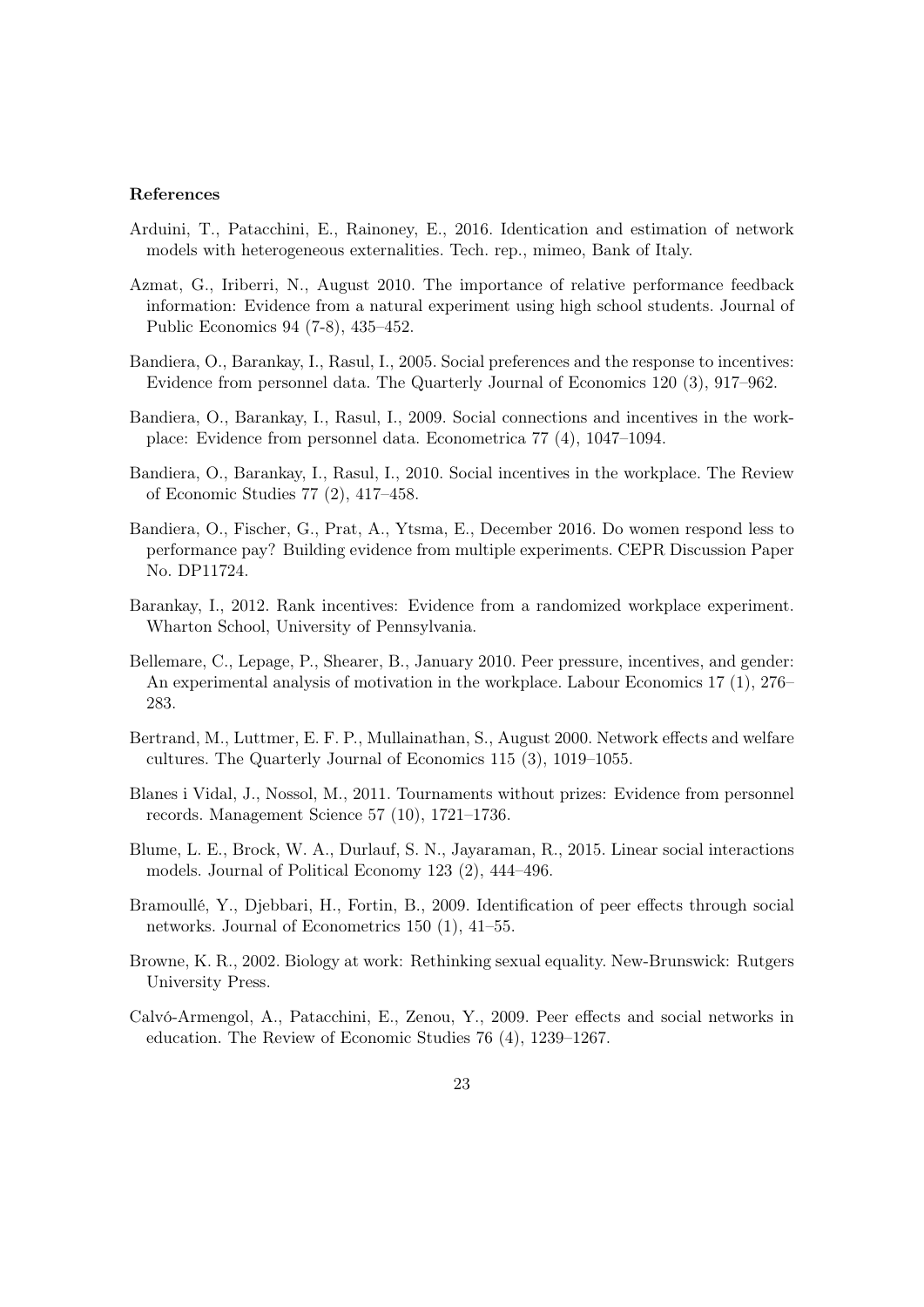## References

- Arduini, T., Patacchini, E., Rainoney, E., 2016. Identication and estimation of network models with heterogeneous externalities. Tech. rep., mimeo, Bank of Italy.
- Azmat, G., Iriberri, N., August 2010. The importance of relative performance feedback information: Evidence from a natural experiment using high school students. Journal of Public Economics 94 (7-8), 435–452.
- Bandiera, O., Barankay, I., Rasul, I., 2005. Social preferences and the response to incentives: Evidence from personnel data. The Quarterly Journal of Economics 120 (3), 917–962.
- Bandiera, O., Barankay, I., Rasul, I., 2009. Social connections and incentives in the workplace: Evidence from personnel data. Econometrica 77 (4), 1047–1094.
- Bandiera, O., Barankay, I., Rasul, I., 2010. Social incentives in the workplace. The Review of Economic Studies 77 (2), 417–458.
- Bandiera, O., Fischer, G., Prat, A., Ytsma, E., December 2016. Do women respond less to performance pay? Building evidence from multiple experiments. CEPR Discussion Paper No. DP11724.
- Barankay, I., 2012. Rank incentives: Evidence from a randomized workplace experiment. Wharton School, University of Pennsylvania.
- Bellemare, C., Lepage, P., Shearer, B., January 2010. Peer pressure, incentives, and gender: An experimental analysis of motivation in the workplace. Labour Economics 17 (1), 276– 283.
- Bertrand, M., Luttmer, E. F. P., Mullainathan, S., August 2000. Network effects and welfare cultures. The Quarterly Journal of Economics 115 (3), 1019–1055.
- Blanes i Vidal, J., Nossol, M., 2011. Tournaments without prizes: Evidence from personnel records. Management Science 57 (10), 1721–1736.
- Blume, L. E., Brock, W. A., Durlauf, S. N., Jayaraman, R., 2015. Linear social interactions models. Journal of Political Economy 123 (2), 444–496.
- Bramoullé, Y., Djebbari, H., Fortin, B., 2009. Identification of peer effects through social networks. Journal of Econometrics 150 (1), 41–55.
- Browne, K. R., 2002. Biology at work: Rethinking sexual equality. New-Brunswick: Rutgers University Press.
- Calvó-Armengol, A., Patacchini, E., Zenou, Y., 2009. Peer effects and social networks in education. The Review of Economic Studies 76 (4), 1239–1267.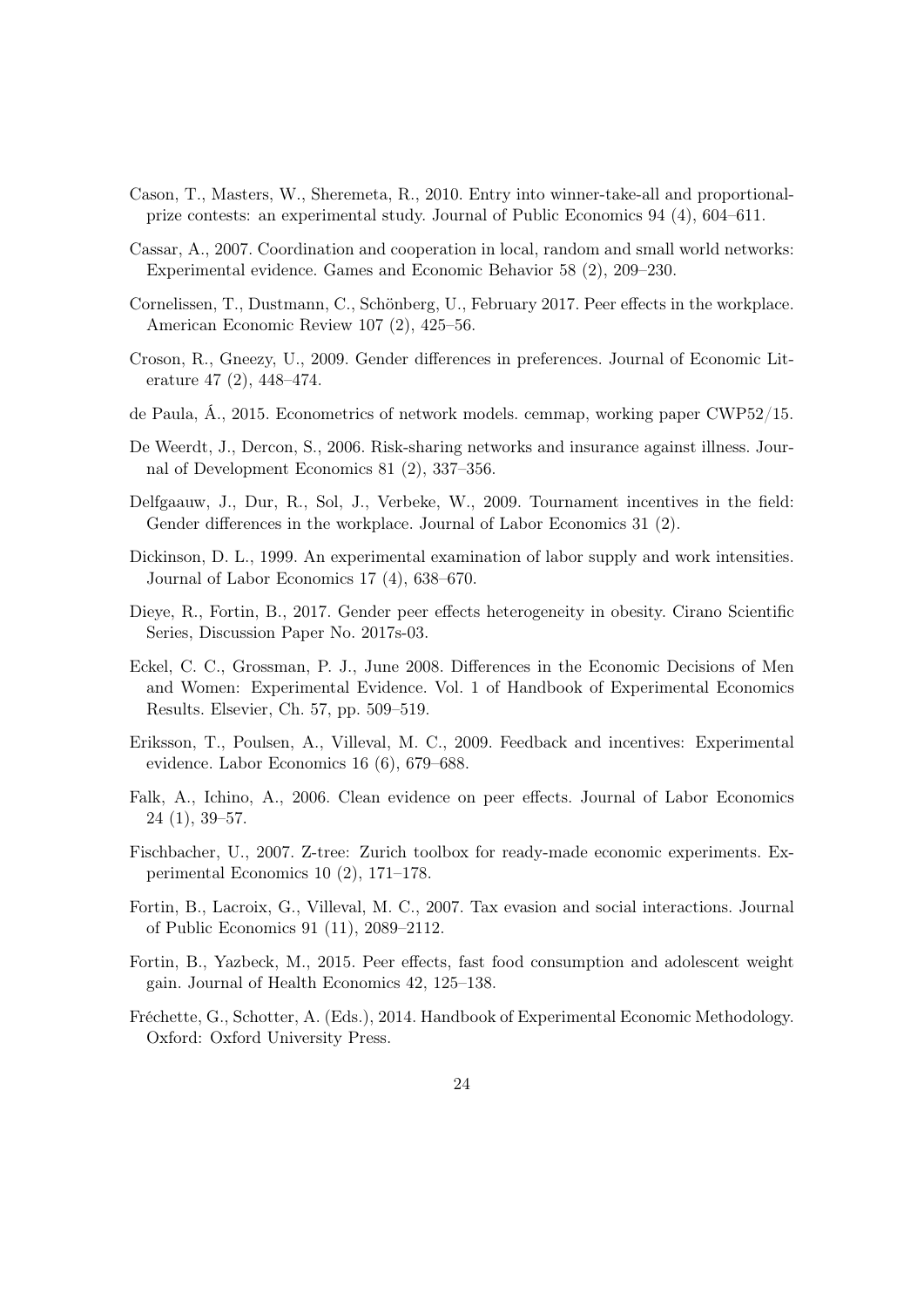- Cason, T., Masters, W., Sheremeta, R., 2010. Entry into winner-take-all and proportionalprize contests: an experimental study. Journal of Public Economics 94 (4), 604–611.
- Cassar, A., 2007. Coordination and cooperation in local, random and small world networks: Experimental evidence. Games and Economic Behavior 58 (2), 209–230.
- Cornelissen, T., Dustmann, C., Schönberg, U., February 2017. Peer effects in the workplace. American Economic Review 107 (2), 425–56.
- Croson, R., Gneezy, U., 2009. Gender differences in preferences. Journal of Economic Literature 47 (2), 448–474.
- de Paula, Á., 2015. Econometrics of network models. cemmap, working paper CWP52/15.
- De Weerdt, J., Dercon, S., 2006. Risk-sharing networks and insurance against illness. Journal of Development Economics 81 (2), 337–356.
- Delfgaauw, J., Dur, R., Sol, J., Verbeke, W., 2009. Tournament incentives in the field: Gender differences in the workplace. Journal of Labor Economics 31 (2).
- Dickinson, D. L., 1999. An experimental examination of labor supply and work intensities. Journal of Labor Economics 17 (4), 638–670.
- Dieye, R., Fortin, B., 2017. Gender peer effects heterogeneity in obesity. Cirano Scientific Series, Discussion Paper No. 2017s-03.
- Eckel, C. C., Grossman, P. J., June 2008. Differences in the Economic Decisions of Men and Women: Experimental Evidence. Vol. 1 of Handbook of Experimental Economics Results. Elsevier, Ch. 57, pp. 509–519.
- Eriksson, T., Poulsen, A., Villeval, M. C., 2009. Feedback and incentives: Experimental evidence. Labor Economics 16 (6), 679–688.
- Falk, A., Ichino, A., 2006. Clean evidence on peer effects. Journal of Labor Economics 24 (1), 39–57.
- Fischbacher, U., 2007. Z-tree: Zurich toolbox for ready-made economic experiments. Experimental Economics 10 (2), 171–178.
- Fortin, B., Lacroix, G., Villeval, M. C., 2007. Tax evasion and social interactions. Journal of Public Economics 91 (11), 2089–2112.
- Fortin, B., Yazbeck, M., 2015. Peer effects, fast food consumption and adolescent weight gain. Journal of Health Economics 42, 125–138.
- Fréchette, G., Schotter, A. (Eds.), 2014. Handbook of Experimental Economic Methodology. Oxford: Oxford University Press.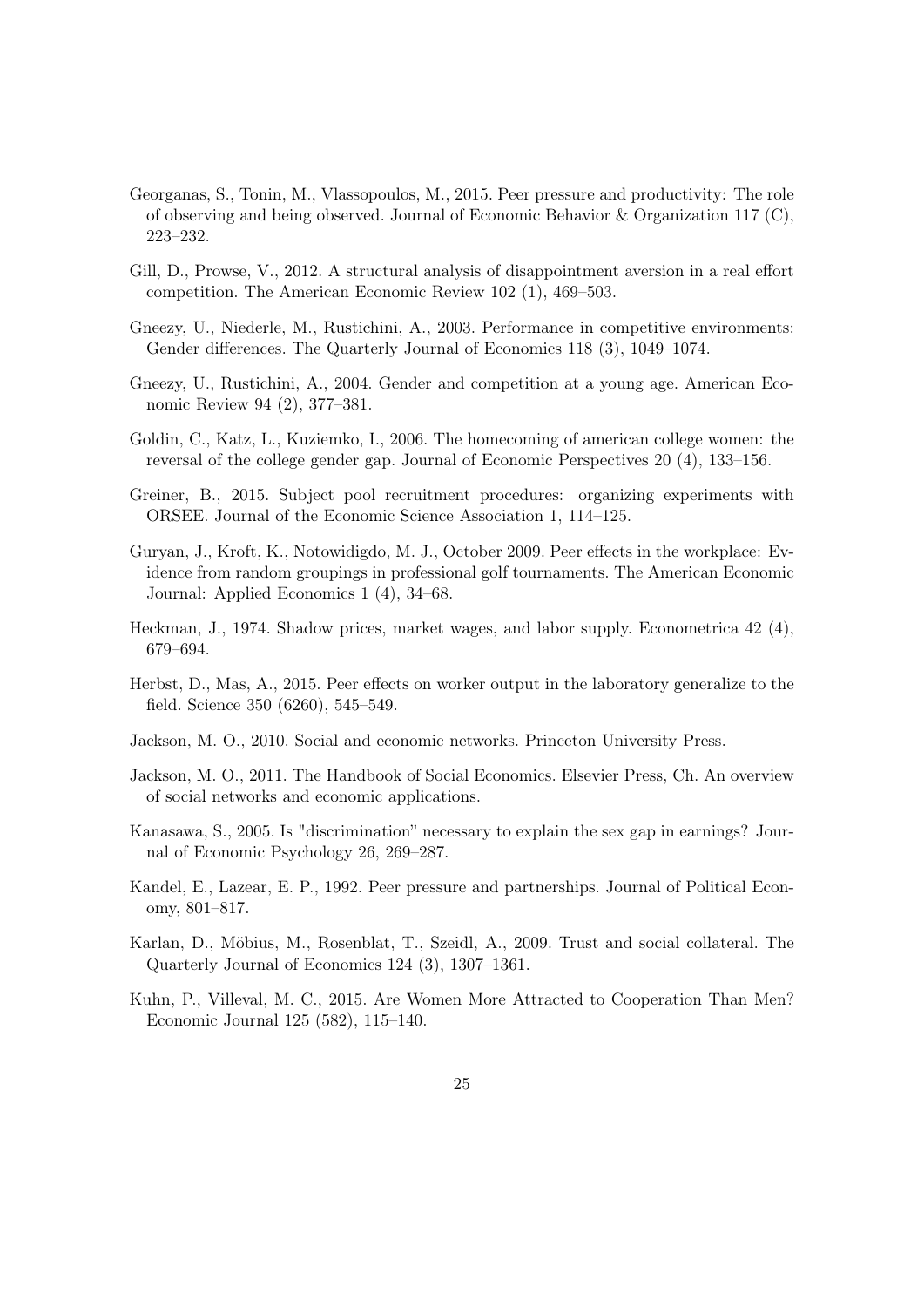- Georganas, S., Tonin, M., Vlassopoulos, M., 2015. Peer pressure and productivity: The role of observing and being observed. Journal of Economic Behavior & Organization 117 (C), 223–232.
- Gill, D., Prowse, V., 2012. A structural analysis of disappointment aversion in a real effort competition. The American Economic Review 102 (1), 469–503.
- Gneezy, U., Niederle, M., Rustichini, A., 2003. Performance in competitive environments: Gender differences. The Quarterly Journal of Economics 118 (3), 1049–1074.
- Gneezy, U., Rustichini, A., 2004. Gender and competition at a young age. American Economic Review 94 (2), 377–381.
- Goldin, C., Katz, L., Kuziemko, I., 2006. The homecoming of american college women: the reversal of the college gender gap. Journal of Economic Perspectives 20 (4), 133–156.
- Greiner, B., 2015. Subject pool recruitment procedures: organizing experiments with ORSEE. Journal of the Economic Science Association 1, 114–125.
- Guryan, J., Kroft, K., Notowidigdo, M. J., October 2009. Peer effects in the workplace: Evidence from random groupings in professional golf tournaments. The American Economic Journal: Applied Economics 1 (4), 34–68.
- Heckman, J., 1974. Shadow prices, market wages, and labor supply. Econometrica 42 (4), 679–694.
- Herbst, D., Mas, A., 2015. Peer effects on worker output in the laboratory generalize to the field. Science 350 (6260), 545–549.
- Jackson, M. O., 2010. Social and economic networks. Princeton University Press.
- Jackson, M. O., 2011. The Handbook of Social Economics. Elsevier Press, Ch. An overview of social networks and economic applications.
- Kanasawa, S., 2005. Is "discrimination" necessary to explain the sex gap in earnings? Journal of Economic Psychology 26, 269–287.
- Kandel, E., Lazear, E. P., 1992. Peer pressure and partnerships. Journal of Political Economy, 801–817.
- Karlan, D., Möbius, M., Rosenblat, T., Szeidl, A., 2009. Trust and social collateral. The Quarterly Journal of Economics 124 (3), 1307–1361.
- Kuhn, P., Villeval, M. C., 2015. Are Women More Attracted to Cooperation Than Men? Economic Journal 125 (582), 115–140.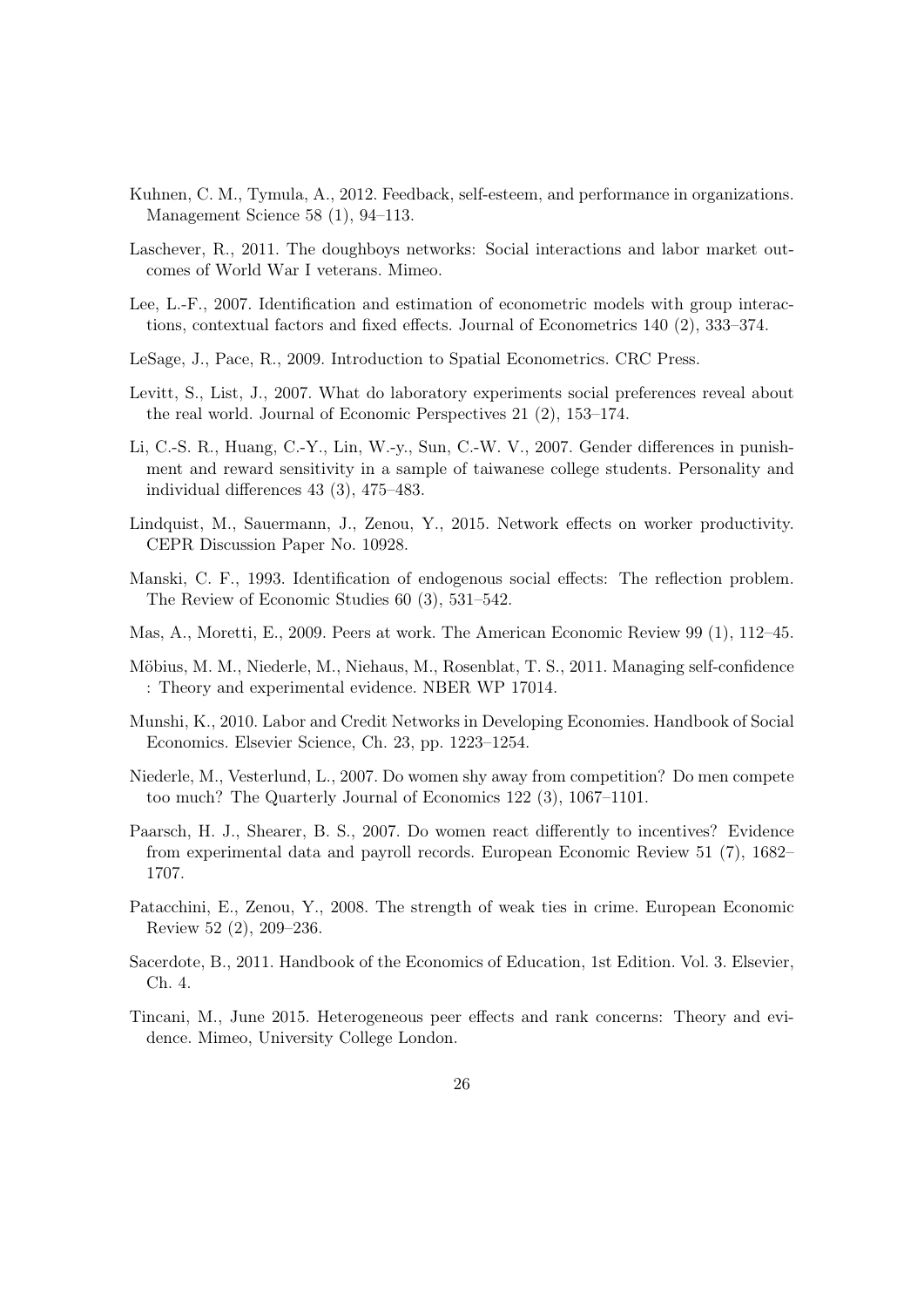- Kuhnen, C. M., Tymula, A., 2012. Feedback, self-esteem, and performance in organizations. Management Science 58 (1), 94–113.
- Laschever, R., 2011. The doughboys networks: Social interactions and labor market outcomes of World War I veterans. Mimeo.
- Lee, L.-F., 2007. Identification and estimation of econometric models with group interactions, contextual factors and fixed effects. Journal of Econometrics 140 (2), 333–374.
- LeSage, J., Pace, R., 2009. Introduction to Spatial Econometrics. CRC Press.
- Levitt, S., List, J., 2007. What do laboratory experiments social preferences reveal about the real world. Journal of Economic Perspectives 21 (2), 153–174.
- Li, C.-S. R., Huang, C.-Y., Lin, W.-y., Sun, C.-W. V., 2007. Gender differences in punishment and reward sensitivity in a sample of taiwanese college students. Personality and individual differences 43 (3), 475–483.
- Lindquist, M., Sauermann, J., Zenou, Y., 2015. Network effects on worker productivity. CEPR Discussion Paper No. 10928.
- Manski, C. F., 1993. Identification of endogenous social effects: The reflection problem. The Review of Economic Studies 60 (3), 531–542.
- Mas, A., Moretti, E., 2009. Peers at work. The American Economic Review 99 (1), 112–45.
- Möbius, M. M., Niederle, M., Niehaus, M., Rosenblat, T. S., 2011. Managing self-confidence : Theory and experimental evidence. NBER WP 17014.
- Munshi, K., 2010. Labor and Credit Networks in Developing Economies. Handbook of Social Economics. Elsevier Science, Ch. 23, pp. 1223–1254.
- Niederle, M., Vesterlund, L., 2007. Do women shy away from competition? Do men compete too much? The Quarterly Journal of Economics 122 (3), 1067–1101.
- Paarsch, H. J., Shearer, B. S., 2007. Do women react differently to incentives? Evidence from experimental data and payroll records. European Economic Review 51 (7), 1682– 1707.
- Patacchini, E., Zenou, Y., 2008. The strength of weak ties in crime. European Economic Review 52 (2), 209–236.
- Sacerdote, B., 2011. Handbook of the Economics of Education, 1st Edition. Vol. 3. Elsevier, Ch. 4.
- Tincani, M., June 2015. Heterogeneous peer effects and rank concerns: Theory and evidence. Mimeo, University College London.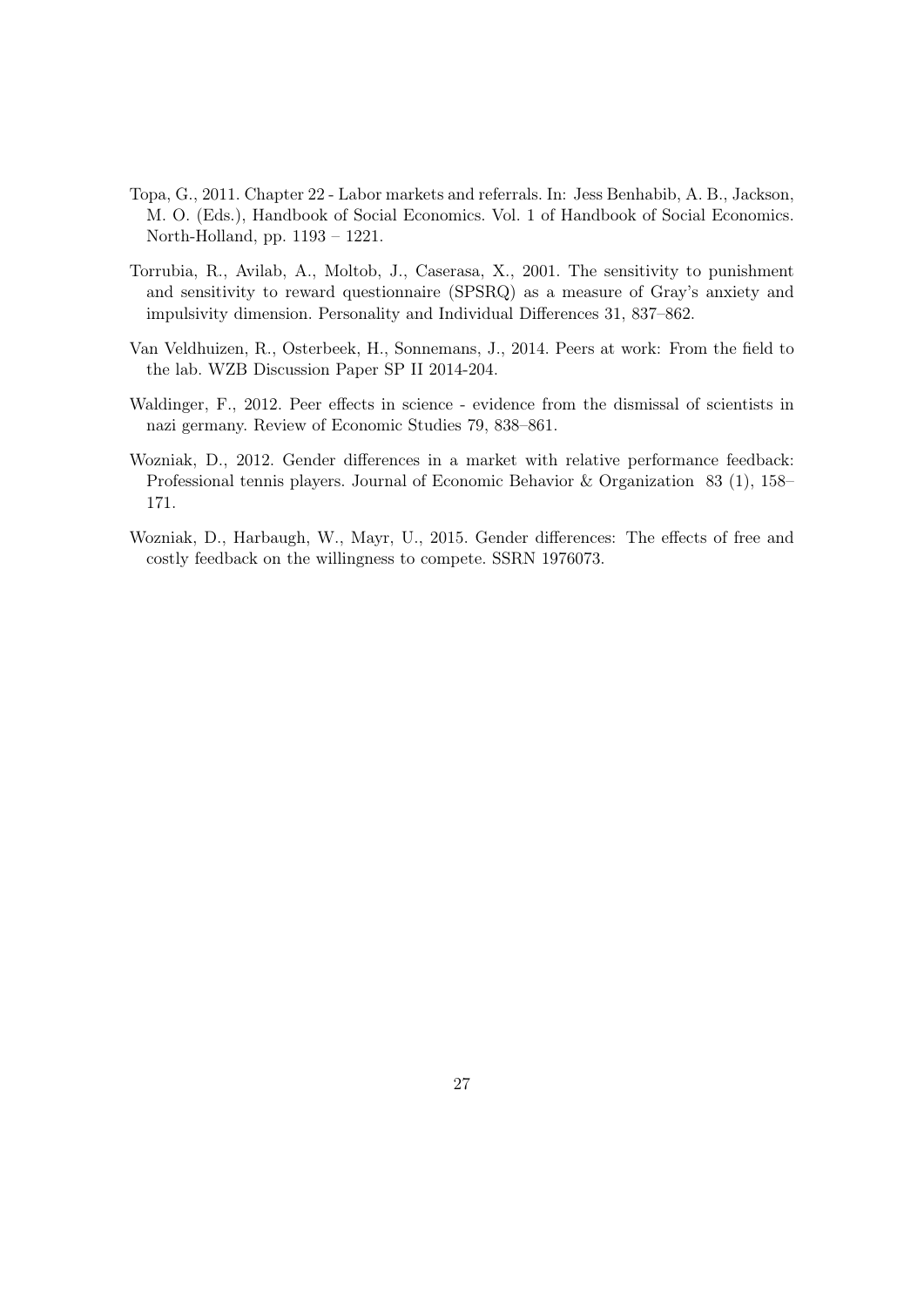- Topa, G., 2011. Chapter 22 Labor markets and referrals. In: Jess Benhabib, A. B., Jackson, M. O. (Eds.), Handbook of Social Economics. Vol. 1 of Handbook of Social Economics. North-Holland, pp. 1193 – 1221.
- Torrubia, R., Avilab, A., Moltob, J., Caserasa, X., 2001. The sensitivity to punishment and sensitivity to reward questionnaire (SPSRQ) as a measure of Gray's anxiety and impulsivity dimension. Personality and Individual Differences 31, 837–862.
- Van Veldhuizen, R., Osterbeek, H., Sonnemans, J., 2014. Peers at work: From the field to the lab. WZB Discussion Paper SP II 2014-204.
- Waldinger, F., 2012. Peer effects in science evidence from the dismissal of scientists in nazi germany. Review of Economic Studies 79, 838–861.
- Wozniak, D., 2012. Gender differences in a market with relative performance feedback: Professional tennis players. Journal of Economic Behavior & Organization 83 (1), 158– 171.
- Wozniak, D., Harbaugh, W., Mayr, U., 2015. Gender differences: The effects of free and costly feedback on the willingness to compete. SSRN 1976073.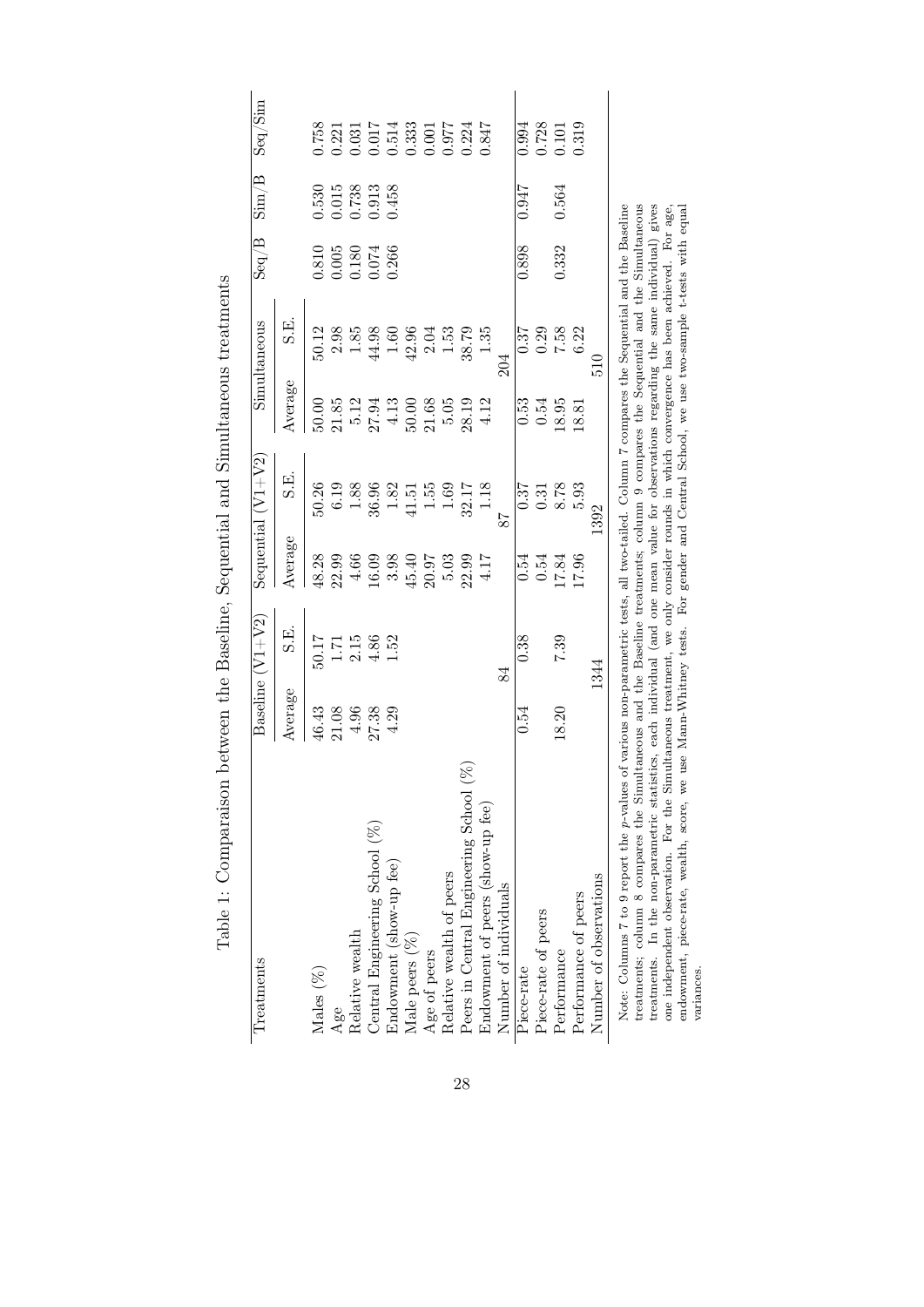| Treatments                               |           | Baseline $(V1+V2)$  |          | Sequential $(V1 + V2)$ |                                               | Simultaneous  | Seq/B                            | $\mathrm{Sim}/\mathrm{B}$                                                | $\mathrm{Seq}/\mathrm{Sim}$                                                 |
|------------------------------------------|-----------|---------------------|----------|------------------------|-----------------------------------------------|---------------|----------------------------------|--------------------------------------------------------------------------|-----------------------------------------------------------------------------|
|                                          | Average   | 드.<br>오             | Average  | E.S                    | Average                                       | 드.<br>오       |                                  |                                                                          |                                                                             |
| Males $(\%)$                             | $46.43\,$ | 50.17               | 18.28    | 50.26                  | 50.00                                         | 50.12         | 0.810                            |                                                                          | 0.758                                                                       |
| Age                                      | $21.08\,$ |                     | 22.99    | 6.19                   | $21.85\,$                                     | 2.98          | 0.005<br>0.180<br>0.074<br>0.266 | $\begin{array}{c} 0.530 \\ 0.015 \\ 0.738 \\ 0.913 \\ 0.458 \end{array}$ | 0.221                                                                       |
| Relative wealth                          | $4.96\,$  | $\frac{1.71}{2.15}$ | $4.66\,$ | $1.88\,$               | 5.12                                          | $1.85\,$      |                                  |                                                                          | 0.031                                                                       |
| Central Engineering School (%)           | 27.38     |                     | 16.09    | 36.96                  |                                               | 14.98         |                                  |                                                                          |                                                                             |
| Endowment (show-up fee)                  | 4.29      | 1.52                | $3.98\,$ | $1.82\,$               | $\begin{array}{c} 27.94 \\ 4.13 \end{array}$  | $1.60\,$      |                                  |                                                                          |                                                                             |
| Male peers $(\%)$                        |           |                     | 15.40    | 41.51                  | $\begin{array}{c} 50.00 \\ 21.68 \end{array}$ | 42.96         |                                  |                                                                          | $\begin{array}{c} 0.017 \\ 0.514 \\ 0.333 \\ 0.001 \\ 0.001 \\ \end{array}$ |
| Age of peers                             |           |                     | 20.97    | 1.55                   |                                               | 2.04          |                                  |                                                                          |                                                                             |
| Relative wealth of peers                 |           |                     | 5.03     | 1.69                   | 5.05                                          | 1.53          |                                  |                                                                          |                                                                             |
| R<br>Peers in Central Engineering School |           |                     | 22.99    | 32.17                  | 28.19                                         | 38.79         |                                  |                                                                          | 0.224                                                                       |
| Endowment of peers (show-up fee)         |           |                     | 4.17     | 1.18                   | 4.12                                          | 1.35          |                                  |                                                                          | 0.847                                                                       |
| Number of individuals                    |           | 84                  |          | 78                     |                                               | 204           |                                  |                                                                          |                                                                             |
| Piece-rate                               | 0.54      | 0.38                | 0.54     | 0.37                   | 0.53                                          | 0.37          | 0.898                            | 0.947                                                                    | 0.994                                                                       |
| Piece-rate of peers                      |           |                     | 0.54     | 0.31                   | 0.54                                          | 0.29          |                                  |                                                                          |                                                                             |
| Performance                              | 18.20     | 7.39                | 17.84    | 8.78                   | 18.95                                         | 7.58          | 0.332                            | 0.564                                                                    | $\begin{array}{c} 0.728 \\ 0.101 \\ 0.319 \end{array}$                      |
| Performance of peers                     |           |                     | 17.96    | 5.93                   | 18.81                                         | 6.22          |                                  |                                                                          |                                                                             |
| Number of observations                   |           | 1344                |          | 1392                   |                                               | $\frac{0}{5}$ |                                  |                                                                          |                                                                             |

Table 1: Comparaison between the Baseline, Sequential and Simultaneous treatments Table 1: Comparaison between the Baseline, Sequential and Simultaneous treatments

28

treatments; column 8 compares the Simultaneous and the Baseline treatments; column 9 compares the Sequential and the Simultaneous treatments. In the non-parametric statistics, each individual (and one mean value for observations regarding the same individual) gives one independent observation. For the Simultaneous treatment, we only consider rounds in which convergence has been achieved. For age, endowment, piece-rate, wealth, score, we use Mann-Whitney tests. For gender and Central School, we use two-sample t-tests with equal treatments. In the non-parametric statistics, each individual (and one mean value for observations regarding the same individual) gives one independent observation. For the Simultaneous reatures were exactly and one mean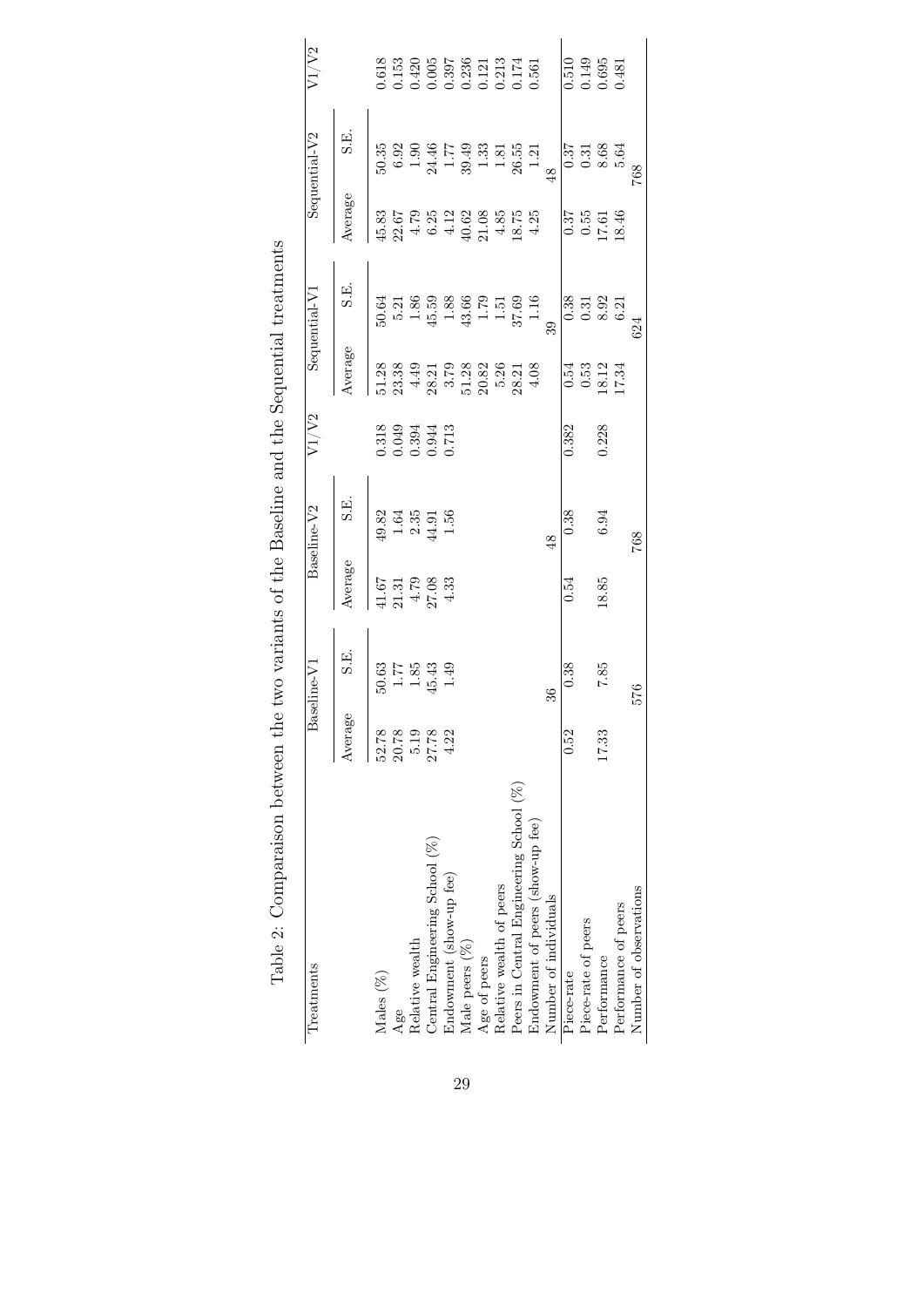| Treatments                              |            | Baseline-V <sub>1</sub>                                          |                                                                        | Baseline-V2                             | $\rm V1/V2$                      |                                                                | Sequential-V1                                                                 |                                                                                                                                    | Sequential-V2                                                                                        | V1/V2                                                                                                                                                                                                                                                                                               |
|-----------------------------------------|------------|------------------------------------------------------------------|------------------------------------------------------------------------|-----------------------------------------|----------------------------------|----------------------------------------------------------------|-------------------------------------------------------------------------------|------------------------------------------------------------------------------------------------------------------------------------|------------------------------------------------------------------------------------------------------|-----------------------------------------------------------------------------------------------------------------------------------------------------------------------------------------------------------------------------------------------------------------------------------------------------|
|                                         | Average    | 山<br>S.                                                          | Average                                                                | <br>5.                                  |                                  | werage                                                         | 山<br>S.                                                                       | werage                                                                                                                             | 년.<br>오                                                                                              |                                                                                                                                                                                                                                                                                                     |
| Males (%)                               | 52.78      |                                                                  |                                                                        |                                         |                                  |                                                                | 50.64                                                                         |                                                                                                                                    | 50.35                                                                                                |                                                                                                                                                                                                                                                                                                     |
| Age                                     | 20.78      |                                                                  |                                                                        |                                         |                                  |                                                                |                                                                               |                                                                                                                                    |                                                                                                      |                                                                                                                                                                                                                                                                                                     |
| Relative wealth                         | 5.19       |                                                                  |                                                                        |                                         |                                  |                                                                |                                                                               |                                                                                                                                    |                                                                                                      |                                                                                                                                                                                                                                                                                                     |
| Central Engineering School (%)          | 27.78      | $\begin{array}{c} 63 \\ 1.8 \\ 1.43 \\ 1.49 \\ 1.49 \end{array}$ | $\begin{array}{c} 41.67 \\ 21.31 \\ 4.79 \\ 27.33 \\ 4.33 \end{array}$ | $9.82$<br>$-1.85$<br>$-1.56$<br>$-1.56$ | 0.318<br>0.049<br>0.394<br>0.713 | 1.28<br>123.39<br>123.4 20.30.20.30.30.30<br>12.50.30.30.30.41 | $\frac{5.21}{1.86}$                                                           | $\begin{array}{cccc}\n45.83 \\ 45.21 \\ 45.32 \\ 46.12 \\ 47.9 \\ 48.12 \\ 49.11 \\ 40.85 \\ 41.31 \\ 40.85 \\ 40.85\n\end{array}$ | $\begin{array}{c} 6.99 \\ -1.90 \\ 24.46 \\ -24.77 \\ 9.33 \\ -1.81 \\ -1.21 \\ 1.21 \\ \end{array}$ | $\begin{array}{l} 0.618 \\ 0.153 \\ 0.420 \\ 0.005 \\ 0.397 \\ 0.236 \\ 0.121 \\ 0.174 \\ 0.133 \\ 0.030 \\ 0.050 \\ 0.050 \\ 0.050 \\ 0.050 \\ 0.050 \\ 0.050 \\ 0.050 \\ 0.050 \\ 0.050 \\ 0.050 \\ 0.050 \\ 0.050 \\ 0.050 \\ 0.050 \\ 0.050 \\ 0.050 \\ 0.050 \\ 0.050 \\ 0.050 \\ 0.050 \\ 0.$ |
| Endowment (show-up fee)                 | 4.22       |                                                                  |                                                                        |                                         |                                  |                                                                |                                                                               |                                                                                                                                    |                                                                                                      |                                                                                                                                                                                                                                                                                                     |
| Male peers (%)                          |            |                                                                  |                                                                        |                                         |                                  |                                                                | $\begin{array}{c} 1.88 \\ 43.66 \\ 1.79 \\ 1.51 \\ 37.69 \\ 1.16 \end{array}$ |                                                                                                                                    |                                                                                                      |                                                                                                                                                                                                                                                                                                     |
| Age of peers                            |            |                                                                  |                                                                        |                                         |                                  |                                                                |                                                                               |                                                                                                                                    |                                                                                                      |                                                                                                                                                                                                                                                                                                     |
| Relative wealth of peers                |            |                                                                  |                                                                        |                                         |                                  |                                                                |                                                                               |                                                                                                                                    |                                                                                                      |                                                                                                                                                                                                                                                                                                     |
| Peers in Central Engineering School (%) |            |                                                                  |                                                                        |                                         |                                  |                                                                |                                                                               |                                                                                                                                    |                                                                                                      |                                                                                                                                                                                                                                                                                                     |
| Endowment of peers (show-up fee)        |            |                                                                  |                                                                        |                                         |                                  |                                                                |                                                                               |                                                                                                                                    |                                                                                                      |                                                                                                                                                                                                                                                                                                     |
| Number of individuals                   |            | 36                                                               |                                                                        | $\frac{48}{5}$                          |                                  |                                                                |                                                                               |                                                                                                                                    |                                                                                                      |                                                                                                                                                                                                                                                                                                     |
| Piece-rate                              | $\ddot{5}$ | 0.38                                                             | 0.54                                                                   | 0.38                                    | 0.382                            |                                                                | 0.38                                                                          |                                                                                                                                    |                                                                                                      |                                                                                                                                                                                                                                                                                                     |
| Piece-rate of peers                     |            |                                                                  |                                                                        |                                         |                                  | 55<br>0.52<br>0.81<br>0.734                                    | 0.31                                                                          | 0.55<br>0.55<br>0.55<br>0.85                                                                                                       | $0.37$<br>$0.31$<br>$8.64$<br>$5.64$                                                                 | $\begin{array}{c} 0.510 \\ 0.149 \\ 0.695 \\ 0.695 \\ 0.481 \end{array}$                                                                                                                                                                                                                            |
| Performance                             | 17.33      | 7.85                                                             | 18.85                                                                  | 6.94                                    | 0.228                            |                                                                | 8.92                                                                          |                                                                                                                                    |                                                                                                      |                                                                                                                                                                                                                                                                                                     |
| Performance of peers                    |            |                                                                  |                                                                        |                                         |                                  |                                                                | 6.21                                                                          |                                                                                                                                    |                                                                                                      |                                                                                                                                                                                                                                                                                                     |
| Number of observations                  |            | 976                                                              |                                                                        | 768                                     |                                  |                                                                | 624                                                                           |                                                                                                                                    | 89                                                                                                   |                                                                                                                                                                                                                                                                                                     |

Table 2: Comparaison between the two variants of the Baseline and the Sequential treatments Table 2: Comparaison between the two variants of the Baseline and the Sequential treatments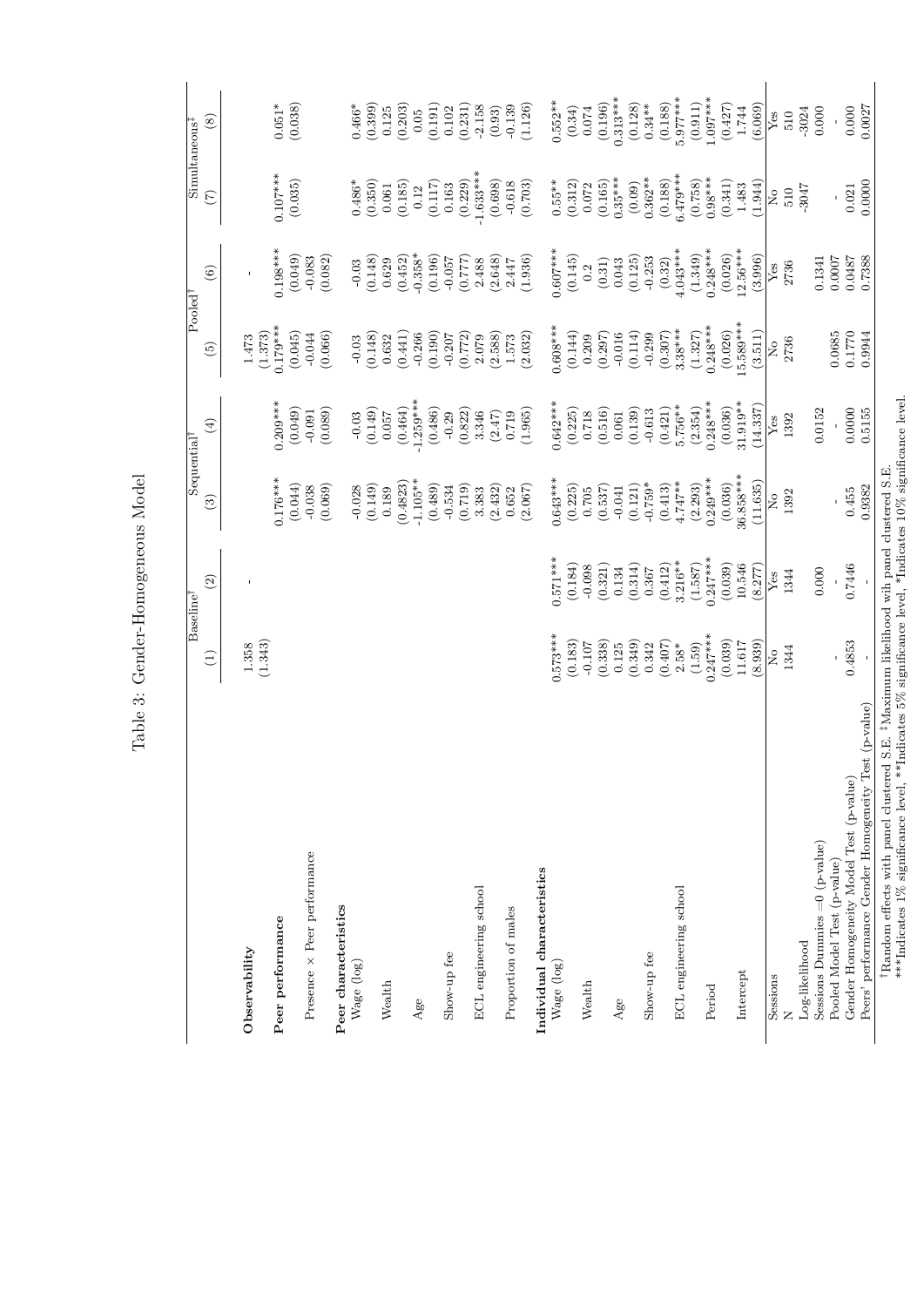|                                                                                                                |                       | Baseline              |                             |                       | Pooled                |                       | Simultaneous <sup>#</sup> |                       |
|----------------------------------------------------------------------------------------------------------------|-----------------------|-----------------------|-----------------------------|-----------------------|-----------------------|-----------------------|---------------------------|-----------------------|
|                                                                                                                | $\widehat{E}$         | $\widehat{\Omega}$    | Sequential<br>$\widehat{c}$ | $\widehat{E}$         | $\widetilde{5}$       | $\widehat{6}$         | (7)                       | $\circledast$         |
|                                                                                                                |                       |                       |                             |                       |                       |                       |                           |                       |
| Observability                                                                                                  | (1.343)<br>1.358      | J.                    |                             |                       | (1.373)<br>$1.473\,$  | $\mathbf{I}$          |                           |                       |
| Peer performance                                                                                               |                       |                       | $0.176***$                  | $0.209***$            | $0.179***$            | $0.198***$            | $0.107***$                | $0.051*$              |
|                                                                                                                |                       |                       | (0.044)                     | (0.049)               | (0.045)               | (0.049)               | (0.035)                   | (0.038)               |
| Presence × Peer performance                                                                                    |                       |                       | $-0.038$<br>(0.069)         | (0.089)<br>$-0.091$   | $-0.044$<br>(0.066)   | (0.082)<br>$-0.083$   |                           |                       |
| Peer characteristics                                                                                           |                       |                       |                             |                       |                       |                       |                           |                       |
| Wage (log)                                                                                                     |                       |                       | $-0.028$                    | $-0.03$               | $-0.03$               | $-0.03$               | $0.486*$                  | $0.466*$              |
|                                                                                                                |                       |                       | (0.149)                     | (0.149)<br>0.057      | (0.148)               | (0.148)               | (0.350)<br>0.061          | (0.399)               |
| Wealth                                                                                                         |                       |                       | (0.4823)<br>0.189           | (0.464)               | (0.441)<br>0.632      | (0.452)<br>0.629      | (0.185)                   | (0.203)<br>0.125      |
| Age                                                                                                            |                       |                       | $-1.105**$                  | $-1.259***$           | $-0.266$              | $-0.358*$             | 0.12                      | 0.05                  |
|                                                                                                                |                       |                       | (0.489)                     | (0.486)               | (0.190)               | (0.196)               | (0.117)                   | (0.191)               |
| Show-up fee                                                                                                    |                       |                       | $-0.534$                    | $-0.29$               | $-0.207$              | $-0.057$              | 0.163                     | 0.102                 |
| ECL engineering school                                                                                         |                       |                       | (0.719)<br>3.383            | (0.822)<br>3.346      | (0.772)<br>2.079      | (777)<br>2.488        | $-1.633***$<br>(0.229)    | (0.231)<br>$-2.158$   |
|                                                                                                                |                       |                       | (2.432)                     | (2.47)                | (2.588)               | (2.648)               | (0.698)                   | (0.93)                |
| Proportion of males                                                                                            |                       |                       | 0.652                       | 0.719                 | 1.573                 | 2.447                 | $-0.618$                  | $-0.139$              |
|                                                                                                                |                       |                       | (2.067)                     | (1.965)               | (2.032)               | (1.936)               | (0.703)                   | (1.126)               |
| Individual characteristics                                                                                     |                       |                       |                             |                       |                       |                       |                           |                       |
| Wage (log)                                                                                                     | $0.573***$            | $0.571***$            | $0.643***$                  | $0.642***$            | $0.608***$            | $0.607***$            | $0.55**$                  | $0.552**$             |
|                                                                                                                | (0.183)               | (0.184)               | (0.225)                     | (0.225)               | (0.144)               | (0.145)               | (0.312)                   | (0.34)                |
| Wealth                                                                                                         | $-0.107$              | $-0.098$              | 0.705                       | 0.718                 | 0.209                 | 0.2                   | 0.072                     | $0.074\,$             |
|                                                                                                                | (0.338)               | (0.321)               | (0.537)                     | (0.516)               | (0.297)               | (0.31)                | (0.165)                   | (0.196)               |
| Age                                                                                                            | 0.125                 | 0.134                 | $-0.041$                    | 0.061                 | $-0.016$              | 0.043                 | $0.35***$                 | $0.313***$            |
| Show-up fee                                                                                                    | (0.349)<br>0.342      | (0.314)<br>0.367      | $-0.759*$<br>(0.121)        | (0.139)<br>$-0.613$   | (0.114)<br>$-0.299$   | (0.125)<br>$-0.253$   | $0.362**$<br>(0.09)       | (0.128)<br>$0.34***$  |
|                                                                                                                | (0.407)               | (0.412)               | (0.413)                     | (0.421)               | (0.307)               | (0.32)                | (0.188)                   | (0.188)               |
| ECL engineering school                                                                                         | $2.58*$               | $3.216***$            | $4.747**$                   | $5.756**$             | $3.38***$             | $4.043***$            | $3.479***$                | $5.977***$            |
|                                                                                                                | $0.247***$<br>(1.59)  | $0.247***$<br>(1.587) | $0.249***$<br>(2.293)       | $0.248***$<br>(2.354) | $0.248***$<br>(1.327) | $0.248***$<br>(1.349) | $0.98***$<br>(0.758)      | $1.097***$<br>(0.911) |
| Period                                                                                                         | (0.039)               | (0.039)               | (0.036)                     | (0.036)               | (0.026)               | (0.026)               | (0.341)                   | (0.427)               |
| Intercept                                                                                                      | 11.617                | 10.546                | 36.858***                   | 31.919**              | 15.589***             | $12.56***$            | 1.483                     | 1.744                 |
|                                                                                                                | (8.939)               | (8.277)               | (11.635)                    | (14.337)              | (3.511)               | (3.996)               | (1.944)                   | (6.069)               |
| Sessions                                                                                                       | $\mathcal{L}^{\circ}$ | Yes                   | ż                           | Yes                   | ż                     | ${\rm Yes}$           | ż                         | Yes                   |
|                                                                                                                | 1344                  | 1344                  | 1392                        | 1392                  | 2736                  | 2736                  | 510                       | $510\,$               |
| Log-likelihood                                                                                                 |                       |                       |                             |                       |                       |                       | $-3047$                   | $-3024$               |
| Sessions Dummies $=0$ (p-value)                                                                                |                       | 0.000                 |                             | 0.0152                |                       | 0.1341                |                           | 0.000                 |
| Pooled Model Test (p-value)                                                                                    |                       |                       |                             |                       | 0.0685                | 0.0007                |                           |                       |
| Gender Homogeneity Model Test (p-value)                                                                        | 0.4853                | 0.7446                | 0.455                       | 0.0000                | 0.1770                | 0.0487                | 0.021                     | 0.000                 |
| Peers' performance Gender Homogeneity Test (p-value)                                                           |                       |                       | 0.9382                      | 0.5155                | 0.9944                | 0.7388                | 0.0000                    | 0.0027                |
| <sup>†</sup> Random effects with panel clustered S.E. <sup>‡</sup> Maximum likelihood wih panel clustered S.E. |                       |                       |                             |                       |                       |                       |                           |                       |

Table 3: Gender-Homogeneous Model Table 3: Gender-Homogeneous Model

 $\ldots$  and  $\ldots$  and  $\ldots$  are continuous contract to  $\ldots$  and  $\ldots$  are set of  $\mathcal{S}_N$  significance level. \*\*\*Indicates 1% significance level, \*\*Indicates 5% significance level, \*Indicates 10% significance level.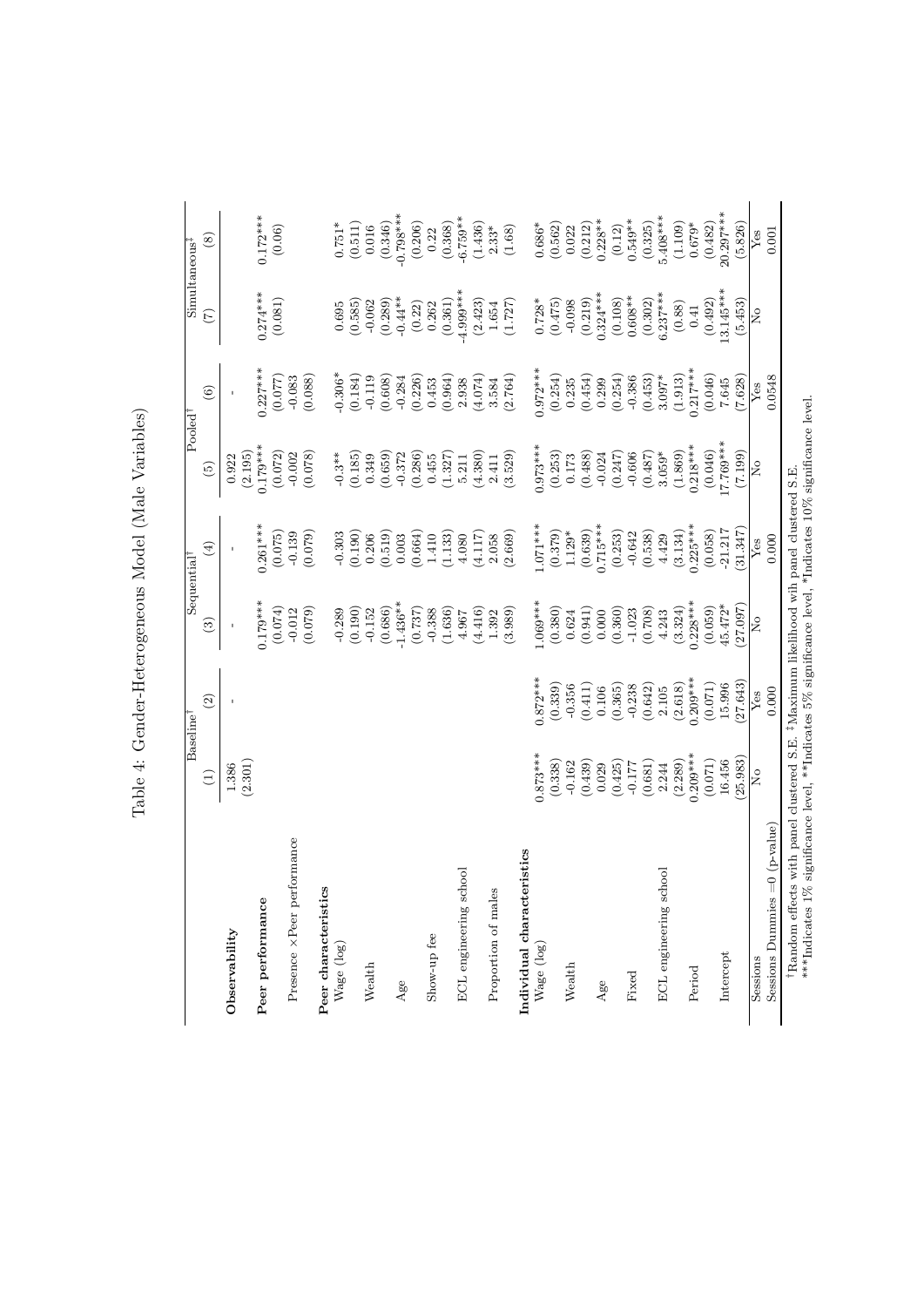|                                                                                                                |                                                                                           | Baseline           |                      | Sequential <sup>T</sup> | Pooled              |                     | Simultaneous <sup>‡</sup> |                       |
|----------------------------------------------------------------------------------------------------------------|-------------------------------------------------------------------------------------------|--------------------|----------------------|-------------------------|---------------------|---------------------|---------------------------|-----------------------|
|                                                                                                                | $\widehat{\Xi}$                                                                           | $\widehat{\Omega}$ | $\circled{3}$        | $\widehat{E}$           | $\widetilde{5}$     | $\widehat{6}$       | $\widehat{C}$             | $\circledast$         |
| Observability                                                                                                  | (2.301)<br>1.386                                                                          |                    |                      | $\mathbf I$             | (2.195)<br>0.922    |                     |                           |                       |
| Peer performance                                                                                               |                                                                                           |                    | $0.179***$           | $0.261***$              | $0.179***$          | $0.227***$          | $0.274***$                | $0.172***$            |
| Presence ×Peer performance                                                                                     |                                                                                           |                    | (0.074)<br>$-0.012$  | (0.075)<br>$-0.139$     | (0.072)<br>$-0.002$ | (0.077)<br>$-0.083$ | (0.081)                   | (0.06)                |
| Peer characteristics                                                                                           |                                                                                           |                    | (0.079)              | (0.079)                 | (0.078)             | (0.088)             |                           |                       |
| Wage (log)                                                                                                     |                                                                                           |                    | $-0.289$             | $-0.303$                | $-0.3**$            | $-0.306*$           | 0.695                     | $0.751*$              |
|                                                                                                                |                                                                                           |                    | (0.190)              | (0.190)                 | (0.185)             | (0.184)             | (0.585)                   | (0.511)               |
| Wealth                                                                                                         |                                                                                           |                    | (0.686)<br>$-0.152$  | (0.519)<br>0.206        | (0.659)<br>0.349    | $-0.119$<br>(0.608) | (0.289)<br>$-0.062$       | (0.346)<br>0.016      |
| Age                                                                                                            |                                                                                           |                    | $-1.436**$           | 0.003                   | $-0.372$            | $-0.284$            | $-0.44**$                 | $-0.798***$           |
|                                                                                                                |                                                                                           |                    | (0.737)              | (0.664)                 | (0.286)             | (0.226)             | (0.22)                    | (0.206)               |
| Show-up fee                                                                                                    |                                                                                           |                    | $-0.388$             | 1.410                   | 0.455               | 0.453               | 0.262                     | 0.22                  |
|                                                                                                                |                                                                                           |                    | (1.636)              | (1.133)                 | (1.327)             | (0.964)             | (0.361)                   | (0.368)               |
| ECL engineering school                                                                                         |                                                                                           |                    | 4.967                | 4.080                   | 5.211               | (4.074)<br>2.938    | $4.999***$                | $-6.759**$            |
| Proportion of males                                                                                            |                                                                                           |                    | (4.416)<br>1.392     | (4.117)<br>2.058        | (4.380)<br>2.411    | 3.584               | (2.423)<br>1.654          | (1.436)<br>$2.33*$    |
|                                                                                                                |                                                                                           |                    | (3.989)              | (2.669)                 | (3.529)             | (2.764)             | (1.727)                   | (1.68)                |
| Individual characteristics                                                                                     |                                                                                           |                    |                      |                         |                     |                     |                           |                       |
| Wage (log)                                                                                                     | $0.873***$                                                                                | $0.872***$         | $1.069***$           | $1.071***$              | $0.973***$          | $0.972***$          | $0.728*$                  | $0.686*$              |
|                                                                                                                | (0.338)                                                                                   | (0.339)            | (0.380)              | (0.379)                 | (0.253)             | (0.254)             | (0.475)                   | (0.562)               |
| Wealth                                                                                                         | $-0.162$                                                                                  | $-0.356$           | 0.624                | $1.129*$                | 0.173               | 0.235               | $-0.098$                  | 0.022                 |
|                                                                                                                | (0.439)                                                                                   | (0.411)            | (0.941)              | (0.639)                 | (0.488)             | (0.454)             | (0.219)                   | (0.212)               |
| Age                                                                                                            | 0.029                                                                                     | 0.106              | 0.000                | $0.715***$              | $-0.024$            | 0.299               | $0.324***$                | $0.228**$             |
|                                                                                                                | (0.425)                                                                                   | (0.365)            | (0.360)              | (0.253)                 | (0.247)             | (0.254)             | (0.108)                   | (0.12)                |
| Fixed                                                                                                          | $-0.177$                                                                                  | $-0.238$           | $-1.023$             | $-0.642$                | $-0.606$            | $-0.386$            | $0.608**$                 | $0.549**$             |
| ECL engineering school                                                                                         | (0.681)<br>2.244                                                                          | (0.642)<br>2.105   | (0.708)<br>4.243     | (0.538)<br>4.429        | $3.059*$<br>(0.487) | $3.097*$<br>(0.453) | $5.237***$<br>(0.302)     | $5.408***$<br>(0.325) |
|                                                                                                                | (2.289)                                                                                   | (2.618)            | (3.324)              | (3.134)                 | (1.869)             | (1.913)             | (0.88)                    | (1.109)               |
| Period                                                                                                         | $0.209***$                                                                                | $0.209***$         | $0.228***$           | $0.225***$              | $0.218***$          | $0.217***$          | 0.41                      | $0.679*$              |
|                                                                                                                | (0.071)                                                                                   | (0.071)            | (0.059)              | (0.058)                 | (0.046)             | (0.046)             | (0.492)                   | (0.482)               |
| Intercept                                                                                                      | 16.456                                                                                    | 15.996             | $45.472*$            | $-21.217$               | $7.769***$          | 7.645               | $3.145***$                | $20.297***$           |
|                                                                                                                | 25.983                                                                                    | 27.643             | 27.097               | 31.347                  | (7.199)             | (7.628)             | (5.453)                   | (5.826)               |
| Sessions                                                                                                       | $\tilde{\mathsf{z}}$                                                                      | Yes                | $\tilde{\mathbf{z}}$ | ${\rm Yes}$             | $\frac{1}{2}$       | $Y$ es              | $\frac{1}{2}$             | $Y$ es                |
| Sessions Dummies $=0$ ( $p-value$ )                                                                            |                                                                                           | 0.000              |                      | 0.000                   |                     | 0.0548              |                           | 0.001                 |
| <sup>†</sup> Random effects with panel clustered S.E. <sup>‡</sup> Maximum likelihood wih panel clustered S.E. |                                                                                           |                    |                      |                         |                     |                     |                           |                       |
| ***Indicates 1%                                                                                                | significance level, **Indicates 5% significance level, *Indicates 10% significance level. |                    |                      |                         |                     |                     |                           |                       |

Table 4: Gender-Heterogeneous Model (Male Variables) Table 4: Gender-Heterogeneous Model (Male Variables)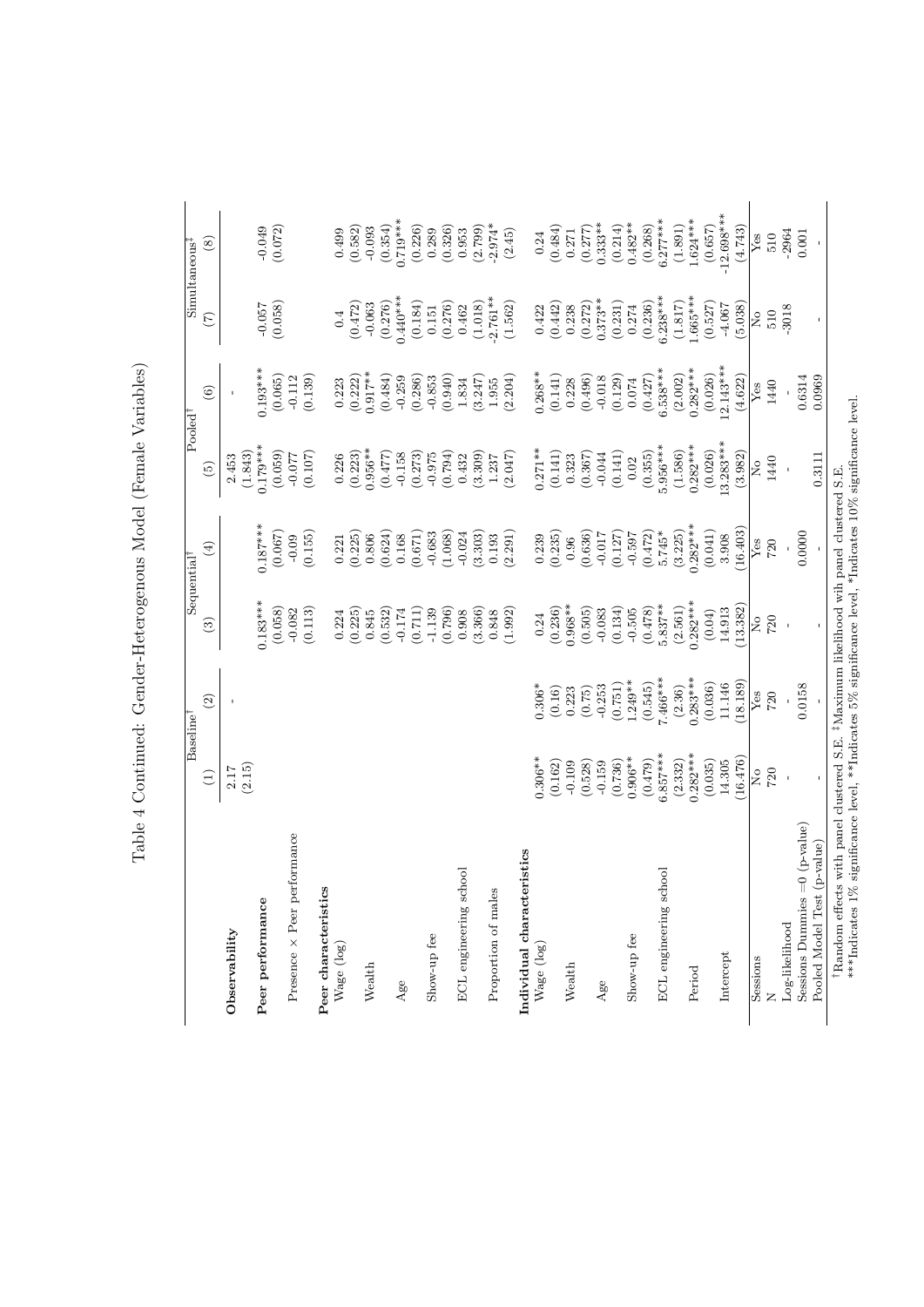|                                                                                                                |                       | Baseline             |                       | ${\rm Sequential}$    | Pooled                  |                       |                         | Simultaneous <sup>1</sup> |
|----------------------------------------------------------------------------------------------------------------|-----------------------|----------------------|-----------------------|-----------------------|-------------------------|-----------------------|-------------------------|---------------------------|
|                                                                                                                | $\widehat{E}$         | $\widehat{2}$        | $\widehat{c}$         | $\left( 4\right)$     | $\widetilde{5}$         | $\widehat{6}$         | $\widetilde{C}$         | $\circledS$               |
| Observability                                                                                                  | (2.15)<br>2.17        |                      |                       |                       | (1.843)<br>2.453        | $\mathbf{I}$          |                         |                           |
| Peer performance                                                                                               |                       |                      | $0.183***$<br>(0.058) | $0.187***$<br>(0.067) | $0.179***$              | $0.193***$<br>(0.065) | (0.058)<br>$-0.057$     | $-0.049$<br>(0.072)       |
| Presence × Peer performance                                                                                    |                       |                      | $-0.082$              | $-0.09$               | (0.059)<br>$-0.077$     | $-0.112$              |                         |                           |
|                                                                                                                |                       |                      | (0.113)               | (0.155)               | (0.107)                 | (0.139)               |                         |                           |
| Peer characteristics<br>Wage (log)                                                                             |                       |                      | 0.224                 | 0.221                 | 0.226                   | 0.223                 | 0.4                     | 0.499                     |
|                                                                                                                |                       |                      | (0.225)               | (0.225)               | (0.223)                 | (0.222)               | (0.472)                 | (0.582)                   |
| Wealth                                                                                                         |                       |                      | (0.532)<br>0.845      | (0.624)<br>0.806      | $0.956**$<br>(0.477)    | $0.917**$<br>(0.484)  | $-0.063$<br>(0.276)     | (0.354)<br>$-0.093$       |
| Age                                                                                                            |                       |                      | $-0.174$              | 0.168                 | $-0.158$                | $-0.259$              | $0.440***$              | $0.719***$                |
|                                                                                                                |                       |                      | (0.711)               | (0.671)               | (0.273)                 | (0.286)               | (0.184)                 | (0.226)                   |
| Show-up fee                                                                                                    |                       |                      | (0.796)<br>$-1.139$   | (1.068)<br>$-0.683$   | (0.794)<br>$-0.975$     | $-0.853$              | (0.276)<br>0.151        | (0.326)<br>0.289          |
| ECL engineering school                                                                                         |                       |                      | 0.908                 | $-0.024$              | 0.432                   | (0.940)<br>1.834      | 0.462                   | 0.953                     |
|                                                                                                                |                       |                      | (3.366)               | (3.303)               | (3.309)                 | (3.247)               | $(1.018)$<br>$-2.761**$ | $(2.799)$<br>-2.974*      |
| Proportion of males                                                                                            |                       |                      | 0.848                 | 0.193                 | 1.237                   | 1.955                 |                         |                           |
| Individual characteristics                                                                                     |                       |                      | (1.992)               | (2.291)               | (2.047)                 | (2.204)               | (1.562)                 | (2.45)                    |
|                                                                                                                |                       |                      |                       |                       |                         |                       |                         |                           |
| Wage (log)                                                                                                     | $0.306**$             | $0.306*$             | 0.24                  | 0.239                 | $0.271**$               | $0.268**$             | 0.422                   | 0.24                      |
|                                                                                                                | (0.162)               | (0.16)               | (0.236)               | (0.235)               | (0.141)                 | (0.141)               | (0.442)                 | (0.484)                   |
| Wealth                                                                                                         | $-0.109$              | 0.223                | $0.968**$             | 0.96                  | 0.323                   | 0.228                 | 0.238                   | 0.271                     |
|                                                                                                                | (0.528)               | (0.75)               | (0.505)               | (0.636)               | (0.367)                 | (0.496)               | (0.272)                 | (0.277)                   |
| Age                                                                                                            | $-0.159$              | $-0.253$             | $-0.083$              | $-0.017$              | $-0.044$                | $-0.018$              | $0.373**$               | $0.333***$                |
|                                                                                                                | (0.736)               | (0.751)              | (0.134)               | (0.127)               | (0.141)                 | (0.129)               | (0.231)                 | (0.214)                   |
| Show-up fee                                                                                                    | $0.906**$             | $1.249**$            | $-0.505$              | $-0.597$              | 0.02                    | 0.074                 | 0.274                   | $0.482***$                |
|                                                                                                                | (0.479)               | (0.545)              | (0.478)               | (0.472)               | (0.355)                 | (0.427)               | (0.236)                 | (0.268)                   |
| ECL engineering school                                                                                         | $3.857***$            | 7.466***             | $5.837**$             | $5.745*$              | $5.956***$              | $6.538***$            | $5.238***$              | $6.277***$                |
| Period                                                                                                         | $0.282***$<br>(2.332) | $0.283***$<br>(2.36) | $0.282***$<br>(2.561) | $0.282***$<br>(3.225) | $0.282***$<br>(1.586)   | $0.282***$<br>(2.002) | $1.665***$<br>(1.817)   | $1.624***$<br>(1.891)     |
|                                                                                                                | (0.035)               | (0.036)              | (0.04)                | (0.041)               | (0.026)                 | (0.026)               | (0.527)                 | (0.657)                   |
| Intercept                                                                                                      | 14.305                | 11.146               | 14.913                | 3.908                 | $13.283***$             | $12.143***$           | $-4.067$                | $-12.698***$              |
|                                                                                                                | 16.476                | (68.18)              | (13.382)              | (16.403)              | (3.982)                 | (4.622)               | (5.038)                 | (4.743)                   |
| Sessions                                                                                                       | $\frac{1}{2}$         | Yes                  | $\frac{1}{2}$         | $Y$ es                | $\overline{\mathsf{x}}$ | Yes                   | $\frac{1}{2}$           | Yes                       |
|                                                                                                                | 720                   | 720                  | 720                   | 720                   | 1440                    | 1440                  | 015                     | 510                       |
| Log-likelihood                                                                                                 | Î,                    |                      |                       |                       | $\mathbf{I}$            |                       | 3018                    | $-2964$                   |
| $=0$ (p-value)<br><b>Sessions Dummies</b>                                                                      |                       | 0.0158               |                       | 0.0000                |                         | 0.6314                |                         | 0.001                     |
| (p-value)<br>Pooled Model Test                                                                                 |                       |                      |                       |                       | 0.3111                  | 0.0969                |                         |                           |
| <sup>†</sup> Random effects with panel clustered S.E. <sup>‡</sup> Maximum likelihood wih panel clustered S.E. |                       |                      |                       |                       |                         |                       |                         |                           |

Table 4 Continued: Gender-Heterogenous Model (Female Variables) Table 4 Continued: Gender-Heterogenous Model (Female Variables)

\*\*\*Indicates 1% significance level, \*\*Indicates 5% significance level, \*Indicates 10% significance level. \*\*\*Indicates 1% significance level, \*\*Indicates 5% significance level, \*Indicates 10% significance level.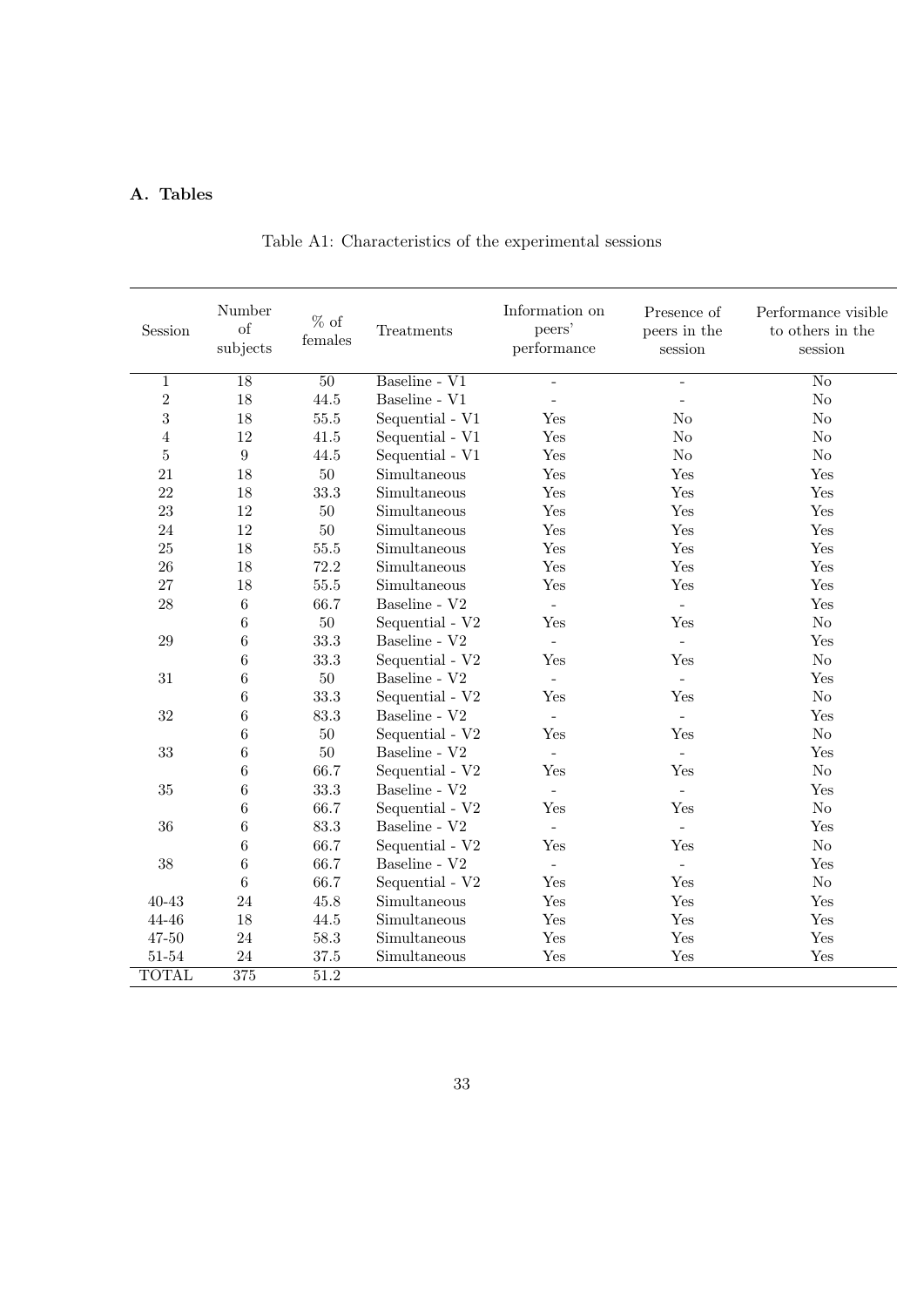# A. Tables

| Session        | Number<br>of<br>subjects | $%$ of<br>females | Treatments      | Information on<br>peers'<br>performance | Presence of<br>peers in the<br>session | Performance visible<br>to others in the<br>session |
|----------------|--------------------------|-------------------|-----------------|-----------------------------------------|----------------------------------------|----------------------------------------------------|
| $\mathbf 1$    | 18                       | 50                | Baseline - V1   | $\overline{a}$                          | $\equiv$                               | $\overline{\text{No}}$                             |
| $\overline{2}$ | 18                       | 44.5              | Baseline - V1   | $\overline{a}$                          | $\equiv$                               | $\rm No$                                           |
| 3              | 18                       | $55.5\,$          | Sequential - V1 | Yes                                     | No                                     | No                                                 |
| $\overline{4}$ | 12                       | 41.5              | Sequential - V1 | Yes                                     | N <sub>o</sub>                         | No                                                 |
| $\bf 5$        | $\overline{9}$           | 44.5              | Sequential - V1 | Yes                                     | No                                     | No                                                 |
| 21             | 18                       | $50\,$            | Simultaneous    | Yes                                     | Yes                                    | Yes                                                |
| 22             | 18                       | 33.3              | Simultaneous    | Yes                                     | Yes                                    | Yes                                                |
| 23             | 12                       | 50                | Simultaneous    | Yes                                     | Yes                                    | Yes                                                |
| 24             | 12                       | $50\,$            | Simultaneous    | Yes                                     | Yes                                    | Yes                                                |
| 25             | 18                       | 55.5              | Simultaneous    | Yes                                     | Yes                                    | Yes                                                |
| 26             | 18                       | 72.2              | Simultaneous    | Yes                                     | Yes                                    | Yes                                                |
| 27             | 18                       | 55.5              | Simultaneous    | Yes                                     | Yes                                    | Yes                                                |
| 28             | $\,6\,$                  | 66.7              | Baseline - V2   | $\overline{a}$                          |                                        | Yes                                                |
|                | $\,6$                    | $50\,$            | Sequential - V2 | Yes                                     | Yes                                    | $\rm No$                                           |
| 29             | $\,6$                    | 33.3              | Baseline - V2   |                                         |                                        | Yes                                                |
|                | $\,6$                    | 33.3              | Sequential - V2 | Yes                                     | Yes                                    | $\rm No$                                           |
| 31             | $\,6$                    | $50\,$            | Baseline - V2   |                                         |                                        | Yes                                                |
|                | $\,6$                    | 33.3              | Sequential - V2 | Yes                                     | Yes                                    | No                                                 |
| $32\,$         | $\boldsymbol{6}$         | 83.3              | Baseline - V2   |                                         |                                        | Yes                                                |
|                | $\boldsymbol{6}$         | $50\,$            | Sequential - V2 | Yes                                     | Yes                                    | $\rm No$                                           |
| 33             | $\boldsymbol{6}$         | $50\,$            | Baseline - V2   | $\overline{a}$                          |                                        | Yes                                                |
|                | $\boldsymbol{6}$         | 66.7              | Sequential - V2 | Yes                                     | Yes                                    | $\rm No$                                           |
| $35\,$         | $\boldsymbol{6}$         | 33.3              | Baseline - V2   |                                         |                                        | Yes                                                |
|                | $\boldsymbol{6}$         | 66.7              | Sequential - V2 | Yes                                     | Yes                                    | $\rm No$                                           |
| 36             | $\boldsymbol{6}$         | 83.3              | Baseline - V2   | $\overline{a}$                          | $\equiv$                               | Yes                                                |
|                | $\,6$                    | 66.7              | Sequential - V2 | Yes                                     | Yes                                    | $\rm No$                                           |
| $38\,$         | $\,6$                    | 66.7              | Baseline - V2   | $\overline{a}$                          |                                        | Yes                                                |
|                | $\,6\,$                  | 66.7              | Sequential - V2 | Yes                                     | Yes                                    | $\rm No$                                           |
| $40 - 43$      | 24                       | 45.8              | Simultaneous    | Yes                                     | Yes                                    | Yes                                                |
| 44-46          | 18                       | 44.5              | Simultaneous    | Yes                                     | Yes                                    | Yes                                                |
| 47-50          | 24                       | $58.3\,$          | Simultaneous    | Yes                                     | Yes                                    | Yes                                                |
| $51\hbox{-}54$ | 24                       | 37.5              | Simultaneous    | Yes                                     | Yes                                    | Yes                                                |
| <b>TOTAL</b>   | 375                      | $\overline{51.2}$ |                 |                                         |                                        |                                                    |

Table A1: Characteristics of the experimental sessions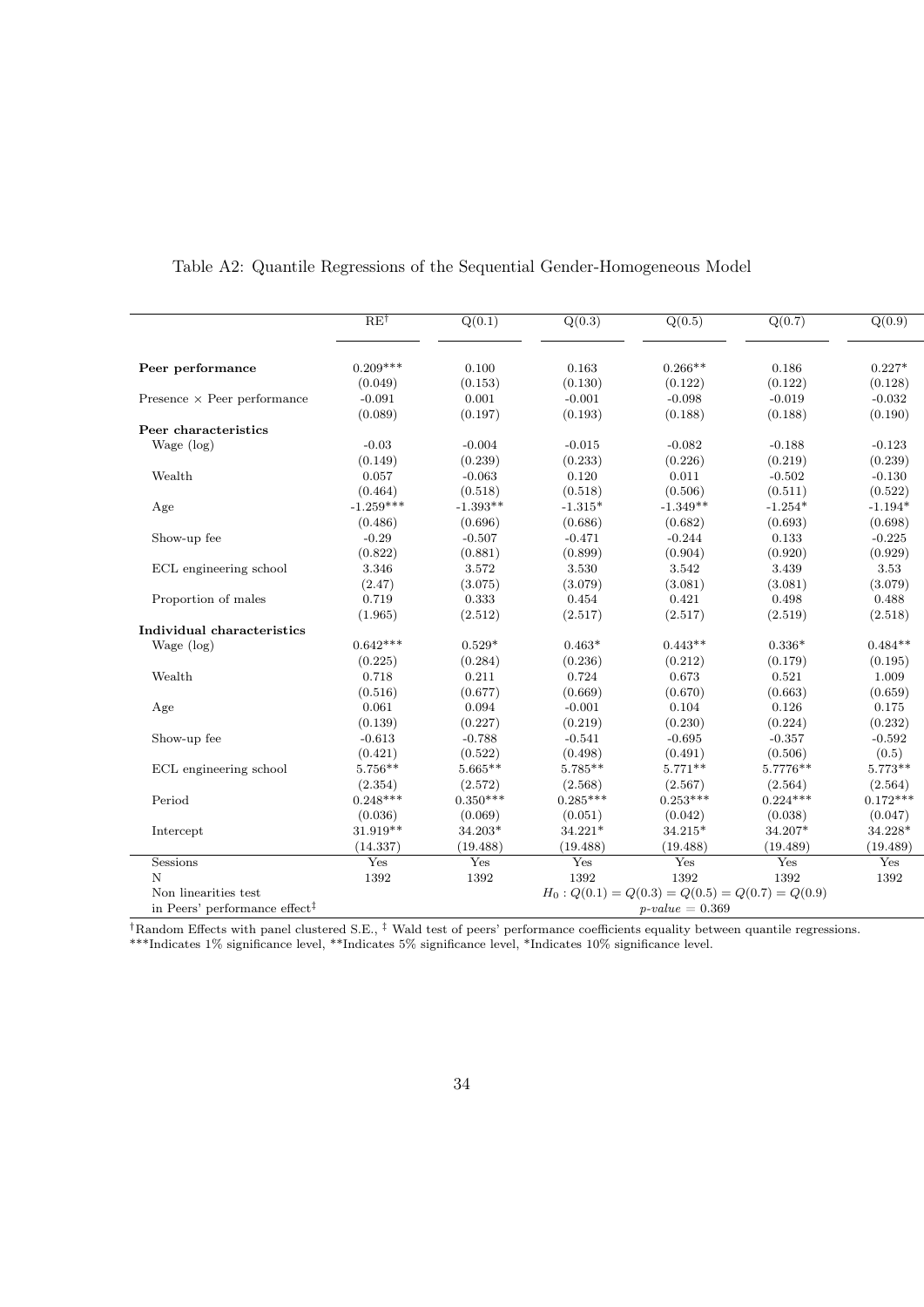|                                           | $RE^{\dagger}$ | Q(0.1)     | $\overline{Q(0.3)}$ | $\overline{Q(0.5)}$                                  | Q(0.7)     | Q(0.9)     |
|-------------------------------------------|----------------|------------|---------------------|------------------------------------------------------|------------|------------|
| Peer performance                          | $0.209***$     | 0.100      | 0.163               | $0.266**$                                            | 0.186      | $0.227*$   |
|                                           | (0.049)        | (0.153)    | (0.130)             | (0.122)                                              | (0.122)    | (0.128)    |
| Presence $\times$ Peer performance        | $-0.091$       | 0.001      | $-0.001$            | $-0.098$                                             | $-0.019$   | $-0.032$   |
|                                           | (0.089)        | (0.197)    | (0.193)             | (0.188)                                              | (0.188)    | (0.190)    |
| Peer characteristics                      |                |            |                     |                                                      |            |            |
| Wage $(\log)$                             | $-0.03$        | $-0.004$   | $-0.015$            | $-0.082$                                             | $-0.188$   | $-0.123$   |
|                                           | (0.149)        | (0.239)    | (0.233)             | (0.226)                                              | (0.219)    | (0.239)    |
| Wealth                                    | 0.057          | $-0.063$   | 0.120               | 0.011                                                | $-0.502$   | $-0.130$   |
|                                           | (0.464)        | (0.518)    | (0.518)             | (0.506)                                              | (0.511)    | (0.522)    |
| Age                                       | $-1.259***$    | $-1.393**$ | $-1.315*$           | $-1.349**$                                           | $-1.254*$  | $-1.194*$  |
|                                           | (0.486)        | (0.696)    | (0.686)             | (0.682)                                              | (0.693)    | (0.698)    |
| Show-up fee                               | $-0.29$        | $-0.507$   | $-0.471$            | $-0.244$                                             | 0.133      | $-0.225$   |
|                                           | (0.822)        | (0.881)    | (0.899)             | (0.904)                                              | (0.920)    | (0.929)    |
| ECL engineering school                    | 3.346          | 3.572      | 3.530               | 3.542                                                | 3.439      | 3.53       |
|                                           | (2.47)         | (3.075)    | (3.079)             | (3.081)                                              | (3.081)    | (3.079)    |
| Proportion of males                       | 0.719          | 0.333      | 0.454               | 0.421                                                | 0.498      | 0.488      |
|                                           | (1.965)        | (2.512)    | (2.517)             | (2.517)                                              | (2.519)    | (2.518)    |
| Individual characteristics                |                |            |                     |                                                      |            |            |
| Wage (log)                                | $0.642***$     | $0.529*$   | $0.463*$            | $0.443**$                                            | $0.336*$   | $0.484**$  |
|                                           | (0.225)        | (0.284)    | (0.236)             | (0.212)                                              | (0.179)    | (0.195)    |
| Wealth                                    | 0.718          | 0.211      | 0.724               | 0.673                                                | 0.521      | 1.009      |
|                                           | (0.516)        | (0.677)    | (0.669)             | (0.670)                                              | (0.663)    | (0.659)    |
| Age                                       | 0.061          | 0.094      | $-0.001$            | 0.104                                                | 0.126      | 0.175      |
|                                           | (0.139)        | (0.227)    | (0.219)             | (0.230)                                              | (0.224)    | (0.232)    |
| Show-up fee                               | $-0.613$       | $-0.788$   | $-0.541$            | $-0.695$                                             | $-0.357$   | $-0.592$   |
|                                           | (0.421)        | (0.522)    | (0.498)             | (0.491)                                              | (0.506)    | (0.5)      |
| ECL engineering school                    | $5.756**$      | $5.665**$  | $5.785**$           | $5.771**$                                            | 5.7776**   | $5.773**$  |
|                                           | (2.354)        | (2.572)    | (2.568)             | (2.567)                                              | (2.564)    | (2.564)    |
| Period                                    | $0.248***$     | $0.350***$ | $0.285***$          | $0.253***$                                           | $0.224***$ | $0.172***$ |
|                                           | (0.036)        | (0.069)    | (0.051)             | (0.042)                                              | (0.038)    | (0.047)    |
| Intercept                                 | 31.919**       | $34.203*$  | $34.221*$           | $34.215*$                                            | 34.207*    | 34.228*    |
|                                           | (14.337)       | (19.488)   | (19.488)            | (19.488)                                             | (19.489)   | (19.489)   |
| Sessions                                  | Yes            | Yes        | Yes                 | Yes                                                  | Yes        | Yes        |
| N                                         | 1392           | 1392       | 1392                | 1392                                                 | 1392       | 1392       |
| Non linearities test                      |                |            |                     | $H_0$ : $Q(0.1) = Q(0.3) = Q(0.5) = Q(0.7) = Q(0.9)$ |            |            |
| in Peers' performance effect <sup>‡</sup> |                |            |                     | $p-value = 0.369$                                    |            |            |

# Table A2: Quantile Regressions of the Sequential Gender-Homogeneous Model

†Random Effects with panel clustered S.E., ‡ Wald test of peers' performance coefficients equality between quantile regressions. \*\*\*Indicates 1% significance level, \*\*Indicates 5% significance level, \*Indicates 10% significance level.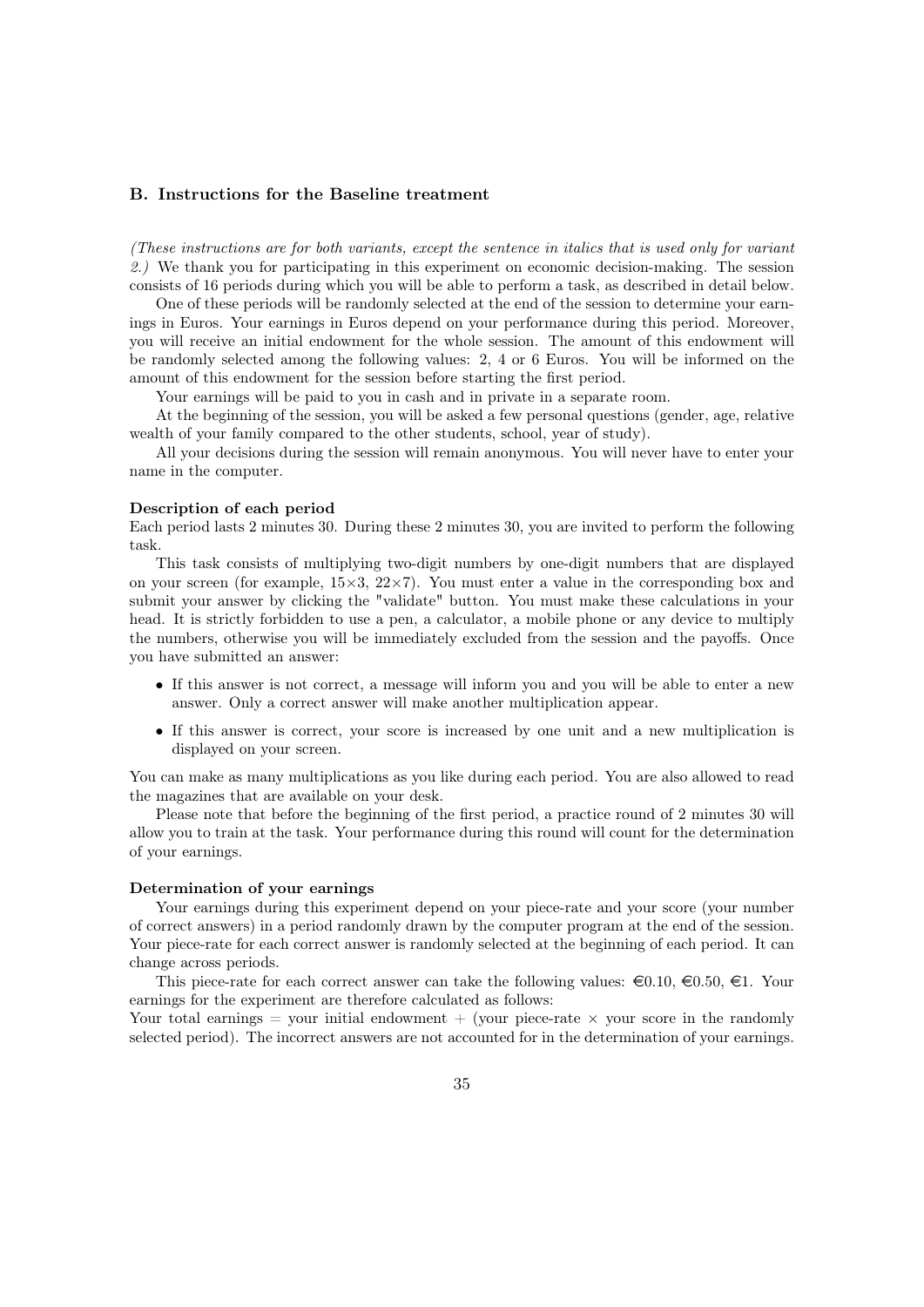## B. Instructions for the Baseline treatment

(These instructions are for both variants, except the sentence in italics that is used only for variant 2.) We thank you for participating in this experiment on economic decision-making. The session consists of 16 periods during which you will be able to perform a task, as described in detail below.

One of these periods will be randomly selected at the end of the session to determine your earnings in Euros. Your earnings in Euros depend on your performance during this period. Moreover, you will receive an initial endowment for the whole session. The amount of this endowment will be randomly selected among the following values: 2, 4 or 6 Euros. You will be informed on the amount of this endowment for the session before starting the first period.

Your earnings will be paid to you in cash and in private in a separate room.

At the beginning of the session, you will be asked a few personal questions (gender, age, relative wealth of your family compared to the other students, school, year of study).

All your decisions during the session will remain anonymous. You will never have to enter your name in the computer.

#### Description of each period

Each period lasts 2 minutes 30. During these 2 minutes 30, you are invited to perform the following task.

This task consists of multiplying two-digit numbers by one-digit numbers that are displayed on your screen (for example,  $15\times3$ ,  $22\times7$ ). You must enter a value in the corresponding box and submit your answer by clicking the "validate" button. You must make these calculations in your head. It is strictly forbidden to use a pen, a calculator, a mobile phone or any device to multiply the numbers, otherwise you will be immediately excluded from the session and the payoffs. Once you have submitted an answer:

- If this answer is not correct, a message will inform you and you will be able to enter a new answer. Only a correct answer will make another multiplication appear.
- If this answer is correct, your score is increased by one unit and a new multiplication is displayed on your screen.

You can make as many multiplications as you like during each period. You are also allowed to read the magazines that are available on your desk.

Please note that before the beginning of the first period, a practice round of 2 minutes 30 will allow you to train at the task. Your performance during this round will count for the determination of your earnings.

#### Determination of your earnings

Your earnings during this experiment depend on your piece-rate and your score (your number of correct answers) in a period randomly drawn by the computer program at the end of the session. Your piece-rate for each correct answer is randomly selected at the beginning of each period. It can change across periods.

This piece-rate for each correct answer can take the following values:  $\epsilon 0.10, \epsilon 0.50, \epsilon 1$ . Your earnings for the experiment are therefore calculated as follows:

Your total earnings  $=$  your initial endowment  $+$  (your piece-rate  $\times$  your score in the randomly selected period). The incorrect answers are not accounted for in the determination of your earnings.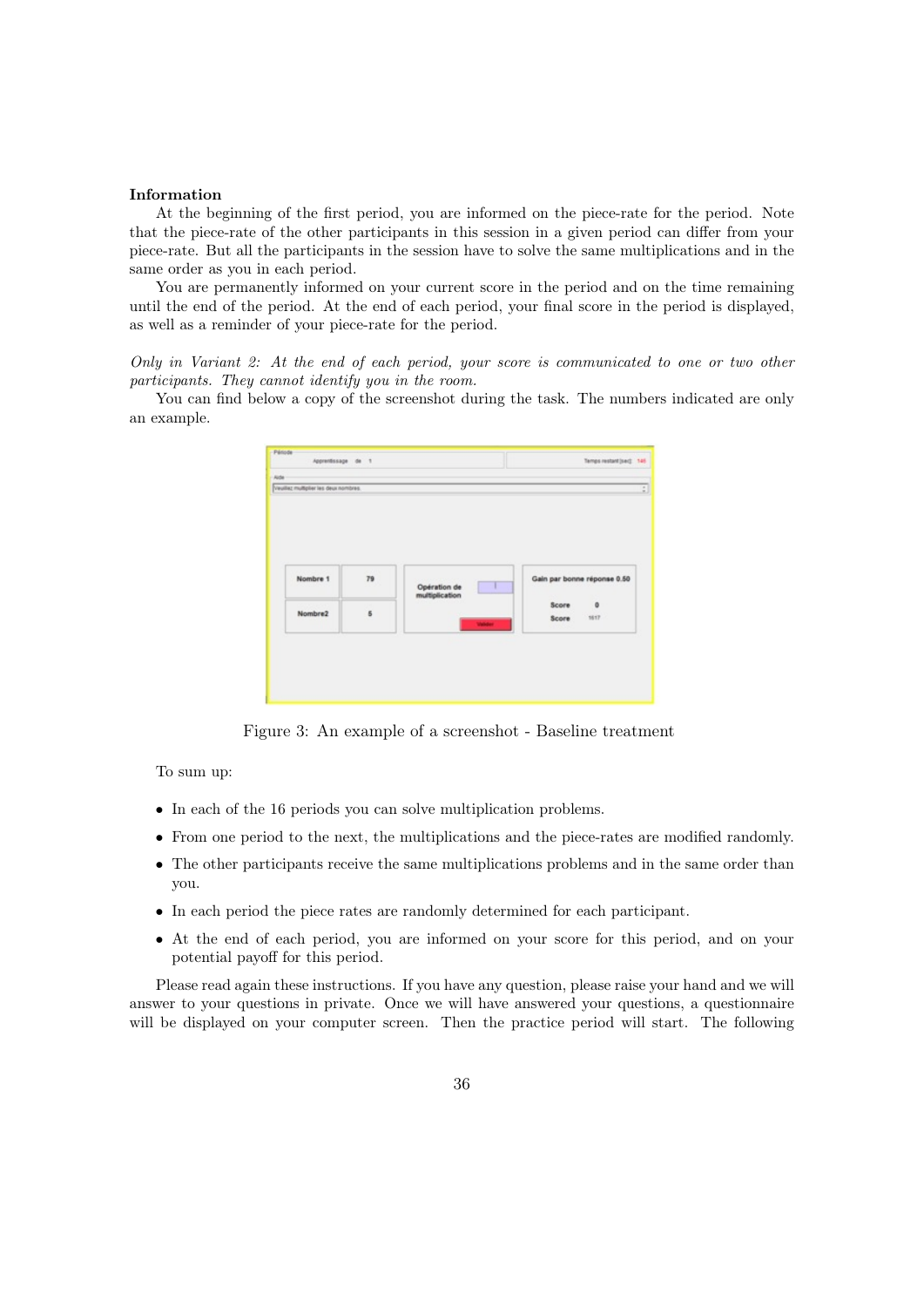#### Information

At the beginning of the first period, you are informed on the piece-rate for the period. Note that the piece-rate of the other participants in this session in a given period can differ from your piece-rate. But all the participants in the session have to solve the same multiplications and in the same order as you in each period.

You are permanently informed on your current score in the period and on the time remaining until the end of the period. At the end of each period, your final score in the period is displayed, as well as a reminder of your piece-rate for the period.

Only in Variant 2: At the end of each period, your score is communicated to one or two other participants. They cannot identify you in the room.

You can find below a copy of the screenshot during the task. The numbers indicated are only an example.

| $-4456$<br>Veuillez multiplier les deux nombres. |    |                                |                             |  |
|--------------------------------------------------|----|--------------------------------|-----------------------------|--|
|                                                  |    |                                |                             |  |
|                                                  |    |                                |                             |  |
|                                                  |    |                                |                             |  |
| Nombre 1                                         | 79 | Opération de<br>multiplication | Gain par bonne réponse 0.50 |  |
| Nombre2                                          | 5  |                                | Score<br>$\circ$            |  |
|                                                  |    |                                | 1617<br>Score               |  |
|                                                  |    |                                |                             |  |
|                                                  |    |                                |                             |  |

Figure 3: An example of a screenshot - Baseline treatment

To sum up:

- In each of the 16 periods you can solve multiplication problems.
- From one period to the next, the multiplications and the piece-rates are modified randomly.
- The other participants receive the same multiplications problems and in the same order than you.
- In each period the piece rates are randomly determined for each participant.
- At the end of each period, you are informed on your score for this period, and on your potential payoff for this period.

Please read again these instructions. If you have any question, please raise your hand and we will answer to your questions in private. Once we will have answered your questions, a questionnaire will be displayed on your computer screen. Then the practice period will start. The following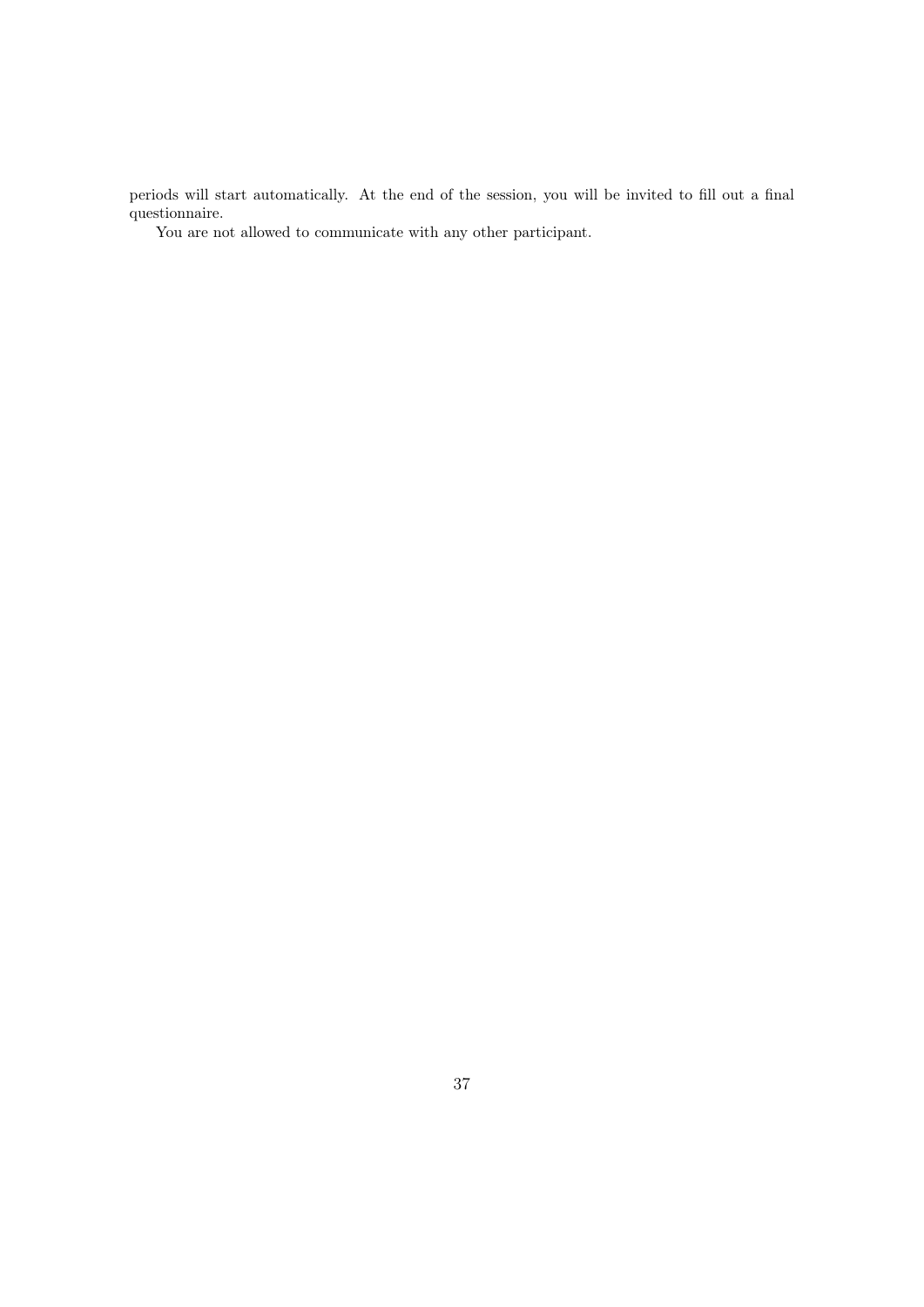periods will start automatically. At the end of the session, you will be invited to fill out a final questionnaire.

You are not allowed to communicate with any other participant.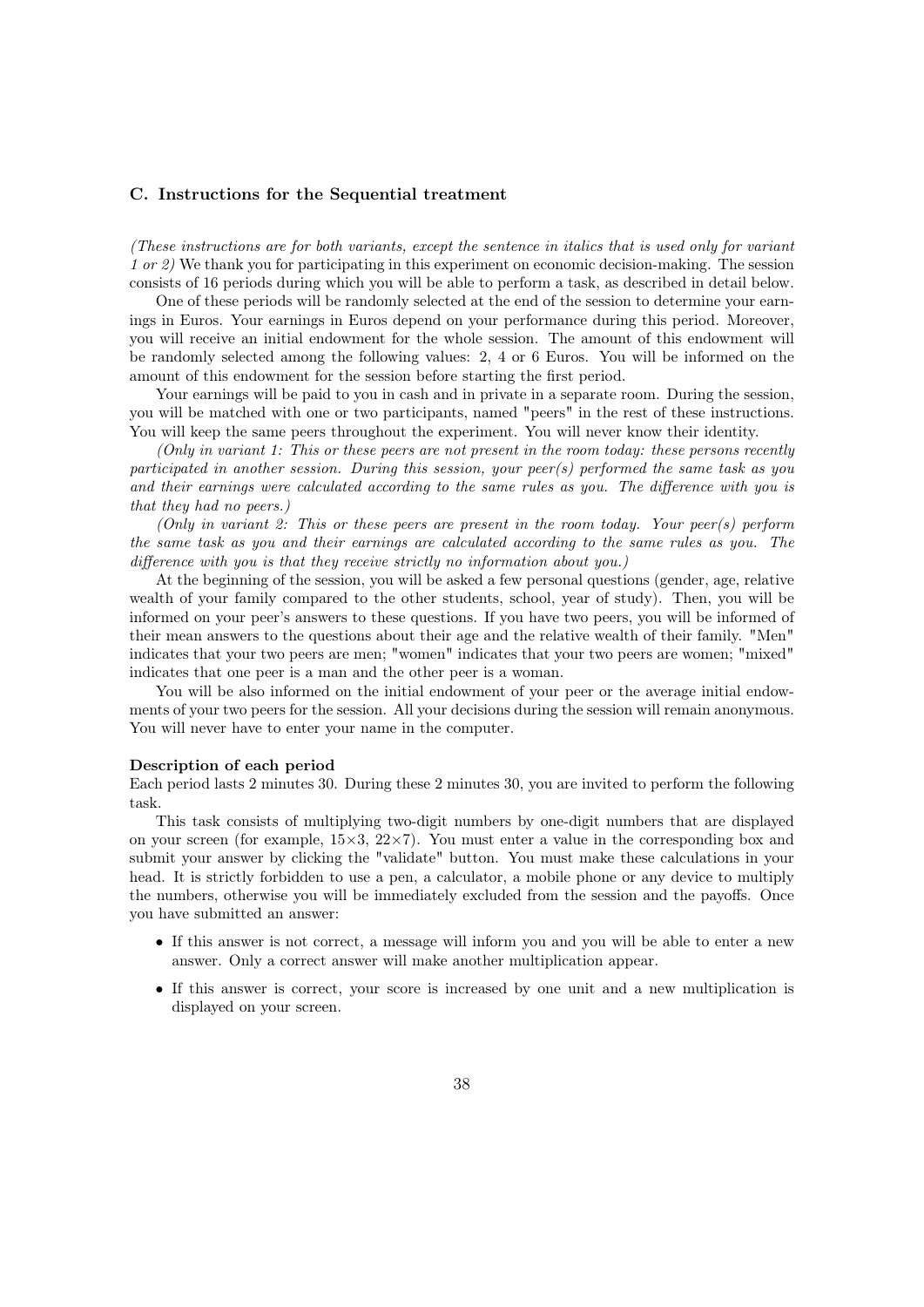## C. Instructions for the Sequential treatment

(These instructions are for both variants, except the sentence in italics that is used only for variant 1 or 2) We thank you for participating in this experiment on economic decision-making. The session consists of 16 periods during which you will be able to perform a task, as described in detail below.

One of these periods will be randomly selected at the end of the session to determine your earnings in Euros. Your earnings in Euros depend on your performance during this period. Moreover, you will receive an initial endowment for the whole session. The amount of this endowment will be randomly selected among the following values: 2, 4 or 6 Euros. You will be informed on the amount of this endowment for the session before starting the first period.

Your earnings will be paid to you in cash and in private in a separate room. During the session, you will be matched with one or two participants, named "peers" in the rest of these instructions. You will keep the same peers throughout the experiment. You will never know their identity.

(Only in variant 1: This or these peers are not present in the room today: these persons recently participated in another session. During this session, your peer(s) performed the same task as you and their earnings were calculated according to the same rules as you. The difference with you is that they had no peers.)

(Only in variant 2: This or these peers are present in the room today. Your peer(s) perform the same task as you and their earnings are calculated according to the same rules as you. The difference with you is that they receive strictly no information about you.)

At the beginning of the session, you will be asked a few personal questions (gender, age, relative wealth of your family compared to the other students, school, year of study). Then, you will be informed on your peer's answers to these questions. If you have two peers, you will be informed of their mean answers to the questions about their age and the relative wealth of their family. "Men" indicates that your two peers are men; "women" indicates that your two peers are women; "mixed" indicates that one peer is a man and the other peer is a woman.

You will be also informed on the initial endowment of your peer or the average initial endowments of your two peers for the session. All your decisions during the session will remain anonymous. You will never have to enter your name in the computer.

#### Description of each period

Each period lasts 2 minutes 30. During these 2 minutes 30, you are invited to perform the following task.

This task consists of multiplying two-digit numbers by one-digit numbers that are displayed on your screen (for example,  $15\times3$ ,  $22\times7$ ). You must enter a value in the corresponding box and submit your answer by clicking the "validate" button. You must make these calculations in your head. It is strictly forbidden to use a pen, a calculator, a mobile phone or any device to multiply the numbers, otherwise you will be immediately excluded from the session and the payoffs. Once you have submitted an answer:

- If this answer is not correct, a message will inform you and you will be able to enter a new answer. Only a correct answer will make another multiplication appear.
- If this answer is correct, your score is increased by one unit and a new multiplication is displayed on your screen.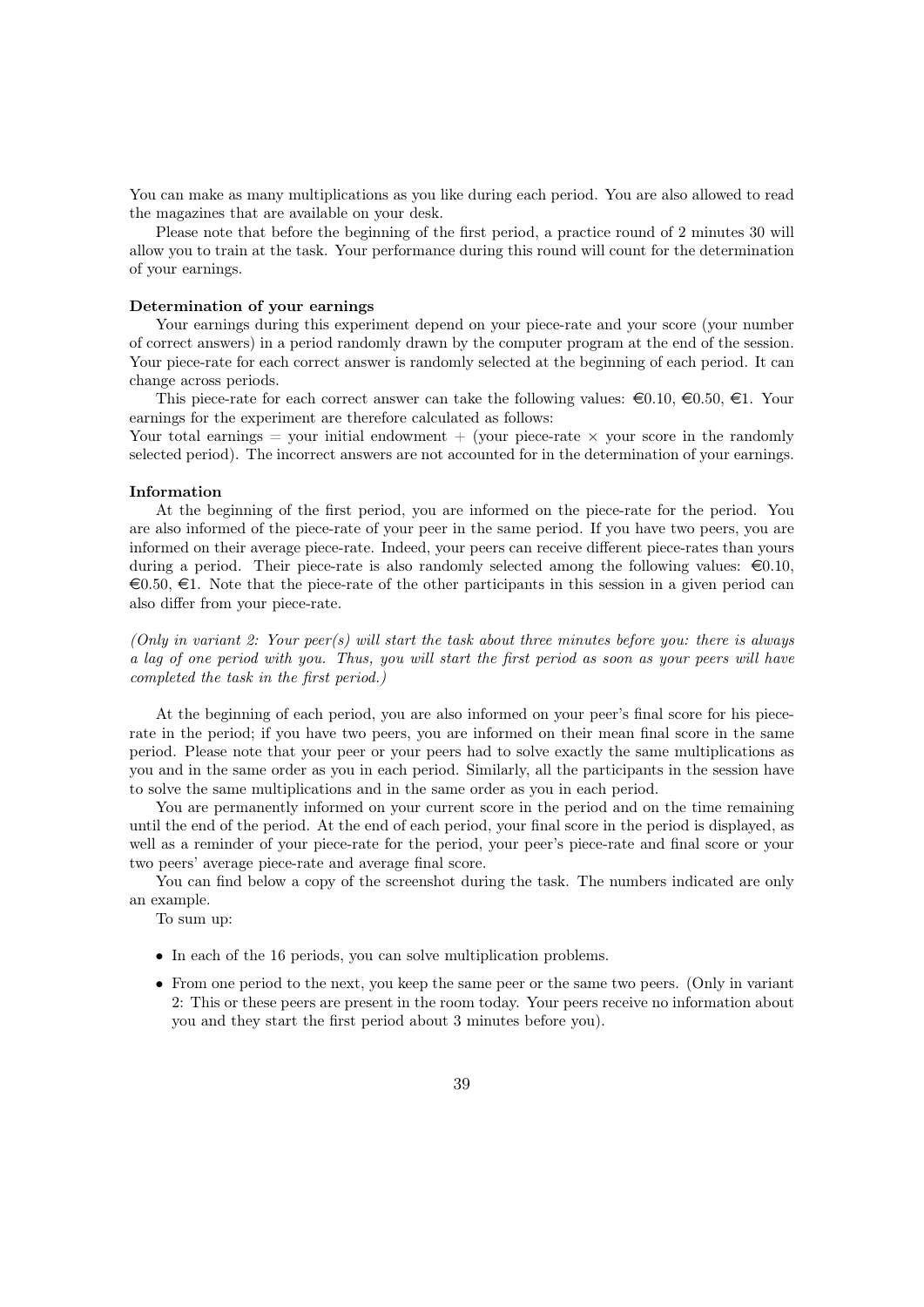You can make as many multiplications as you like during each period. You are also allowed to read the magazines that are available on your desk.

Please note that before the beginning of the first period, a practice round of 2 minutes 30 will allow you to train at the task. Your performance during this round will count for the determination of your earnings.

## Determination of your earnings

Your earnings during this experiment depend on your piece-rate and your score (your number of correct answers) in a period randomly drawn by the computer program at the end of the session. Your piece-rate for each correct answer is randomly selected at the beginning of each period. It can change across periods.

This piece-rate for each correct answer can take the following values:  $\epsilon 0.10, \epsilon 0.50, \epsilon 1$ . Your earnings for the experiment are therefore calculated as follows:

Your total earnings  $=$  your initial endowment  $+$  (your piece-rate  $\times$  your score in the randomly selected period). The incorrect answers are not accounted for in the determination of your earnings.

#### Information

At the beginning of the first period, you are informed on the piece-rate for the period. You are also informed of the piece-rate of your peer in the same period. If you have two peers, you are informed on their average piece-rate. Indeed, your peers can receive different piece-rates than yours during a period. Their piece-rate is also randomly selected among the following values:  $\epsilon 0.10$ ,  $\epsilon$ 0.50,  $\epsilon$ 1. Note that the piece-rate of the other participants in this session in a given period can also differ from your piece-rate.

(Only in variant 2: Your peer(s) will start the task about three minutes before you: there is always a lag of one period with you. Thus, you will start the first period as soon as your peers will have completed the task in the first period.)

At the beginning of each period, you are also informed on your peer's final score for his piecerate in the period; if you have two peers, you are informed on their mean final score in the same period. Please note that your peer or your peers had to solve exactly the same multiplications as you and in the same order as you in each period. Similarly, all the participants in the session have to solve the same multiplications and in the same order as you in each period.

You are permanently informed on your current score in the period and on the time remaining until the end of the period. At the end of each period, your final score in the period is displayed, as well as a reminder of your piece-rate for the period, your peer's piece-rate and final score or your two peers' average piece-rate and average final score.

You can find below a copy of the screenshot during the task. The numbers indicated are only an example.

To sum up:

- In each of the 16 periods, you can solve multiplication problems.
- From one period to the next, you keep the same peer or the same two peers. (Only in variant 2: This or these peers are present in the room today. Your peers receive no information about you and they start the first period about 3 minutes before you).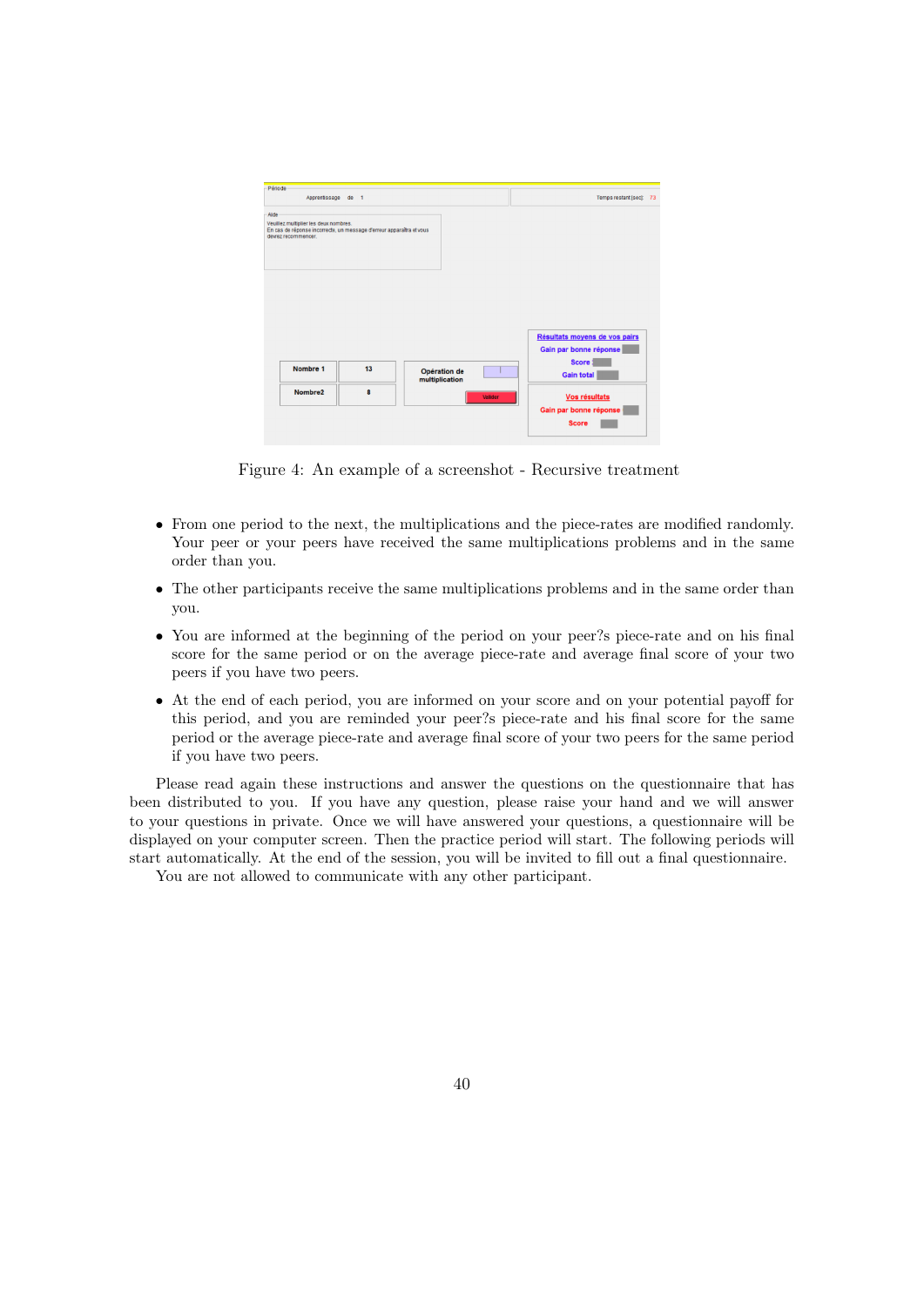| Période<br>Apprentissage de 1                                                                                                                |    |                | Temps restant (sec):<br>73                                              |
|----------------------------------------------------------------------------------------------------------------------------------------------|----|----------------|-------------------------------------------------------------------------|
| Aide<br>Veuillez multiplier les deux nombres.<br>En cas de réponse incorrecte, un message d'erreur apparaîtra et vous<br>devrez recommencer. |    |                |                                                                         |
| Nombre 1                                                                                                                                     | 13 | Opération de   | Résultats moyens de vos pairs<br>Gain par bonne réponse<br><b>Score</b> |
| Nombre2                                                                                                                                      | 8  | multiplication | <b>Gain total</b>                                                       |
|                                                                                                                                              |    | Valider        | Vos résultats<br>Gain par bonne réponse<br><b>Score</b>                 |

Figure 4: An example of a screenshot - Recursive treatment

- From one period to the next, the multiplications and the piece-rates are modified randomly. Your peer or your peers have received the same multiplications problems and in the same order than you.
- The other participants receive the same multiplications problems and in the same order than you.
- You are informed at the beginning of the period on your peer?s piece-rate and on his final score for the same period or on the average piece-rate and average final score of your two peers if you have two peers.
- At the end of each period, you are informed on your score and on your potential payoff for this period, and you are reminded your peer?s piece-rate and his final score for the same period or the average piece-rate and average final score of your two peers for the same period if you have two peers.

Please read again these instructions and answer the questions on the questionnaire that has been distributed to you. If you have any question, please raise your hand and we will answer to your questions in private. Once we will have answered your questions, a questionnaire will be displayed on your computer screen. Then the practice period will start. The following periods will start automatically. At the end of the session, you will be invited to fill out a final questionnaire.

You are not allowed to communicate with any other participant.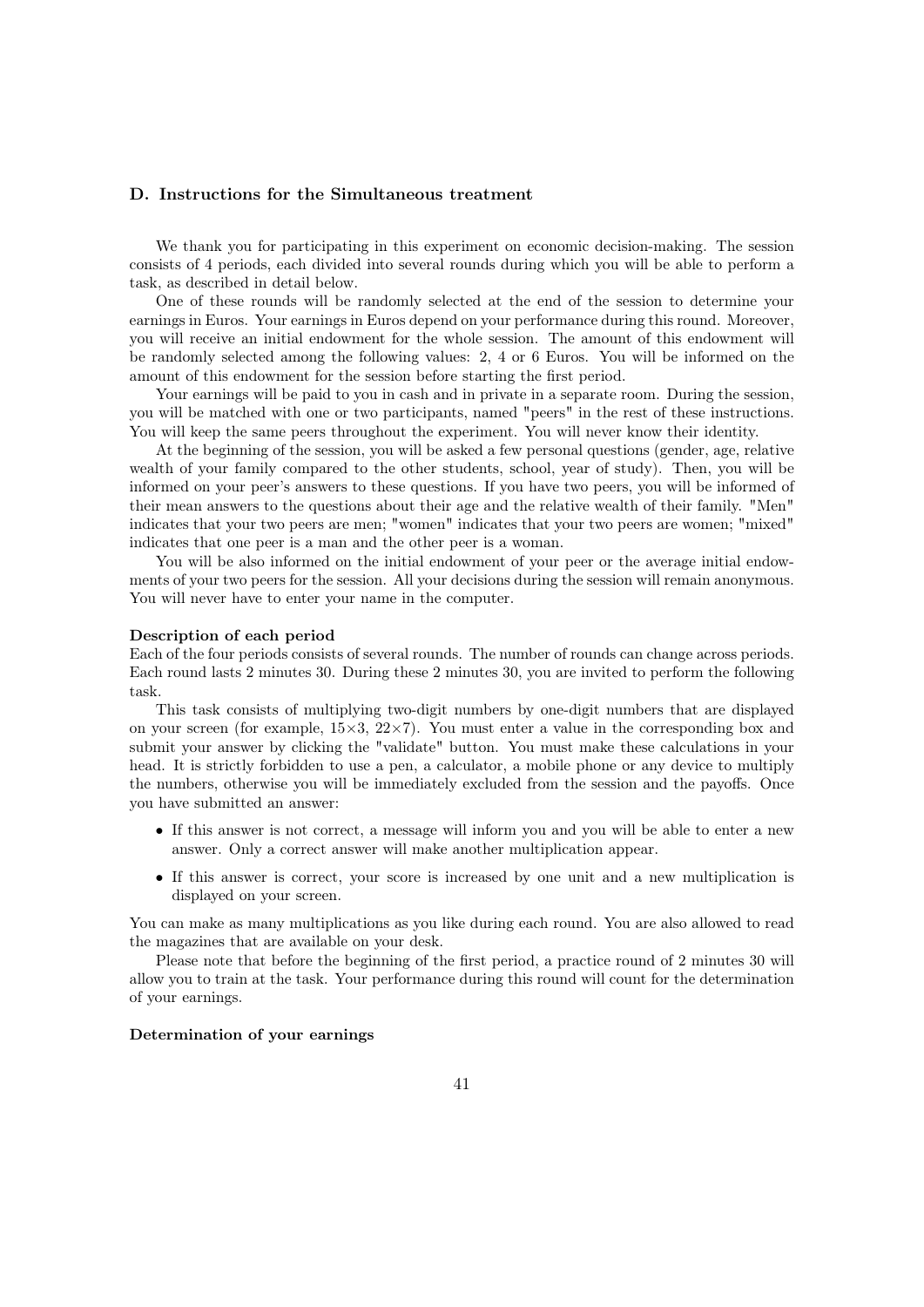## D. Instructions for the Simultaneous treatment

We thank you for participating in this experiment on economic decision-making. The session consists of 4 periods, each divided into several rounds during which you will be able to perform a task, as described in detail below.

One of these rounds will be randomly selected at the end of the session to determine your earnings in Euros. Your earnings in Euros depend on your performance during this round. Moreover, you will receive an initial endowment for the whole session. The amount of this endowment will be randomly selected among the following values: 2, 4 or 6 Euros. You will be informed on the amount of this endowment for the session before starting the first period.

Your earnings will be paid to you in cash and in private in a separate room. During the session, you will be matched with one or two participants, named "peers" in the rest of these instructions. You will keep the same peers throughout the experiment. You will never know their identity.

At the beginning of the session, you will be asked a few personal questions (gender, age, relative wealth of your family compared to the other students, school, year of study). Then, you will be informed on your peer's answers to these questions. If you have two peers, you will be informed of their mean answers to the questions about their age and the relative wealth of their family. "Men" indicates that your two peers are men; "women" indicates that your two peers are women; "mixed" indicates that one peer is a man and the other peer is a woman.

You will be also informed on the initial endowment of your peer or the average initial endowments of your two peers for the session. All your decisions during the session will remain anonymous. You will never have to enter your name in the computer.

## Description of each period

Each of the four periods consists of several rounds. The number of rounds can change across periods. Each round lasts 2 minutes 30. During these 2 minutes 30, you are invited to perform the following task.

This task consists of multiplying two-digit numbers by one-digit numbers that are displayed on your screen (for example,  $15\times3$ ,  $22\times7$ ). You must enter a value in the corresponding box and submit your answer by clicking the "validate" button. You must make these calculations in your head. It is strictly forbidden to use a pen, a calculator, a mobile phone or any device to multiply the numbers, otherwise you will be immediately excluded from the session and the payoffs. Once you have submitted an answer:

- If this answer is not correct, a message will inform you and you will be able to enter a new answer. Only a correct answer will make another multiplication appear.
- If this answer is correct, your score is increased by one unit and a new multiplication is displayed on your screen.

You can make as many multiplications as you like during each round. You are also allowed to read the magazines that are available on your desk.

Please note that before the beginning of the first period, a practice round of 2 minutes 30 will allow you to train at the task. Your performance during this round will count for the determination of your earnings.

## Determination of your earnings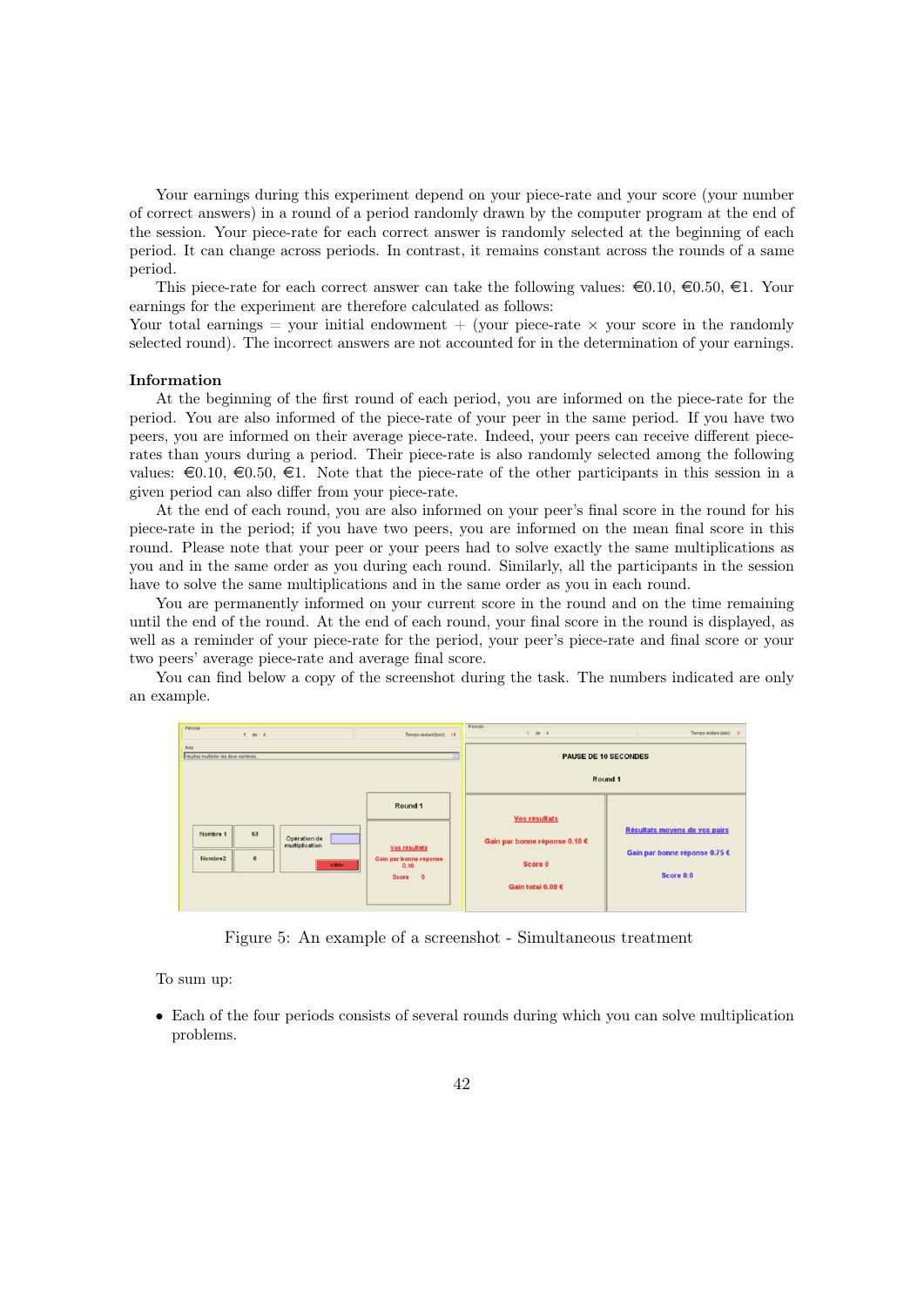Your earnings during this experiment depend on your piece-rate and your score (your number of correct answers) in a round of a period randomly drawn by the computer program at the end of the session. Your piece-rate for each correct answer is randomly selected at the beginning of each period. It can change across periods. In contrast, it remains constant across the rounds of a same period.

This piece-rate for each correct answer can take the following values:  $\epsilon 0.10, \epsilon 0.50, \epsilon 1$ . Your earnings for the experiment are therefore calculated as follows:

Your total earnings  $=$  your initial endowment  $+$  (your piece-rate  $\times$  your score in the randomly selected round). The incorrect answers are not accounted for in the determination of your earnings.

#### Information

At the beginning of the first round of each period, you are informed on the piece-rate for the period. You are also informed of the piece-rate of your peer in the same period. If you have two peers, you are informed on their average piece-rate. Indeed, your peers can receive different piecerates than yours during a period. Their piece-rate is also randomly selected among the following values:  $\epsilon$ 0.10,  $\epsilon$ 0.50,  $\epsilon$ 1. Note that the piece-rate of the other participants in this session in a given period can also differ from your piece-rate.

At the end of each round, you are also informed on your peer's final score in the round for his piece-rate in the period; if you have two peers, you are informed on the mean final score in this round. Please note that your peer or your peers had to solve exactly the same multiplications as you and in the same order as you during each round. Similarly, all the participants in the session have to solve the same multiplications and in the same order as you in each round.

You are permanently informed on your current score in the round and on the time remaining until the end of the round. At the end of each round, your final score in the round is displayed, as well as a reminder of your piece-rate for the period, your peer's piece-rate and final score or your two peers' average piece-rate and average final score.

You can find below a copy of the screenshot during the task. The numbers indicated are only an example.



Figure 5: An example of a screenshot - Simultaneous treatment

## To sum up:

• Each of the four periods consists of several rounds during which you can solve multiplication problems.